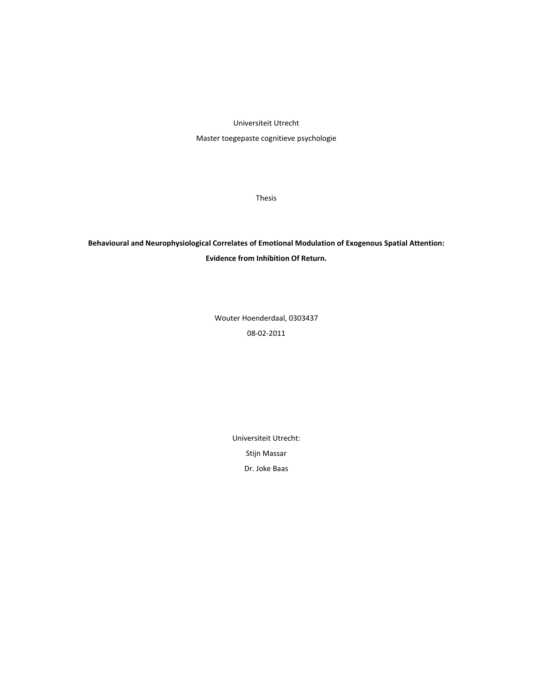Universiteit Utrecht

Master toegepaste cognitieve psychologie

Thesis

**Behavioural and Neurophysiological Correlates of Emotional Modulation of Exogenous Spatial Attention: Evidence from Inhibition Of Return.**

> Wouter Hoenderdaal, 0303437 08‐02‐2011

> > Universiteit Utrecht: Stijn Massar

> > > Dr. Joke Baas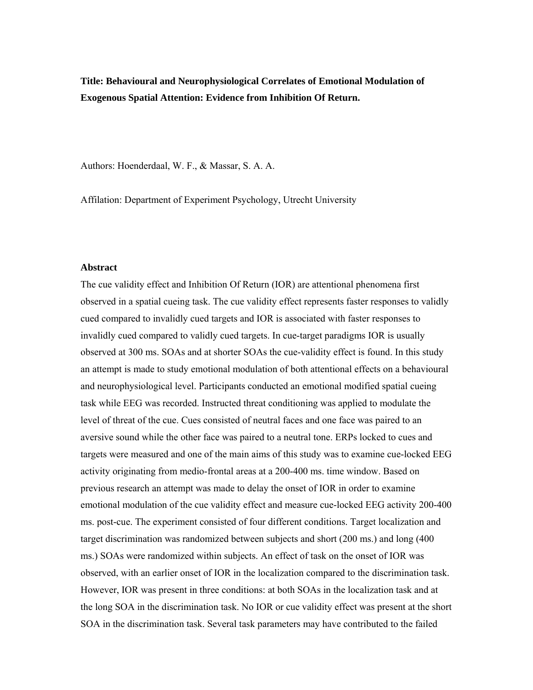**Title: Behavioural and Neurophysiological Correlates of Emotional Modulation of Exogenous Spatial Attention: Evidence from Inhibition Of Return.** 

Authors: Hoenderdaal, W. F., & Massar, S. A. A.

Affilation: Department of Experiment Psychology, Utrecht University

#### **Abstract**

The cue validity effect and Inhibition Of Return (IOR) are attentional phenomena first observed in a spatial cueing task. The cue validity effect represents faster responses to validly cued compared to invalidly cued targets and IOR is associated with faster responses to invalidly cued compared to validly cued targets. In cue-target paradigms IOR is usually observed at 300 ms. SOAs and at shorter SOAs the cue-validity effect is found. In this study an attempt is made to study emotional modulation of both attentional effects on a behavioural and neurophysiological level. Participants conducted an emotional modified spatial cueing task while EEG was recorded. Instructed threat conditioning was applied to modulate the level of threat of the cue. Cues consisted of neutral faces and one face was paired to an aversive sound while the other face was paired to a neutral tone. ERPs locked to cues and targets were measured and one of the main aims of this study was to examine cue-locked EEG activity originating from medio-frontal areas at a 200-400 ms. time window. Based on previous research an attempt was made to delay the onset of IOR in order to examine emotional modulation of the cue validity effect and measure cue-locked EEG activity 200-400 ms. post-cue. The experiment consisted of four different conditions. Target localization and target discrimination was randomized between subjects and short (200 ms.) and long (400 ms.) SOAs were randomized within subjects. An effect of task on the onset of IOR was observed, with an earlier onset of IOR in the localization compared to the discrimination task. However, IOR was present in three conditions: at both SOAs in the localization task and at the long SOA in the discrimination task. No IOR or cue validity effect was present at the short SOA in the discrimination task. Several task parameters may have contributed to the failed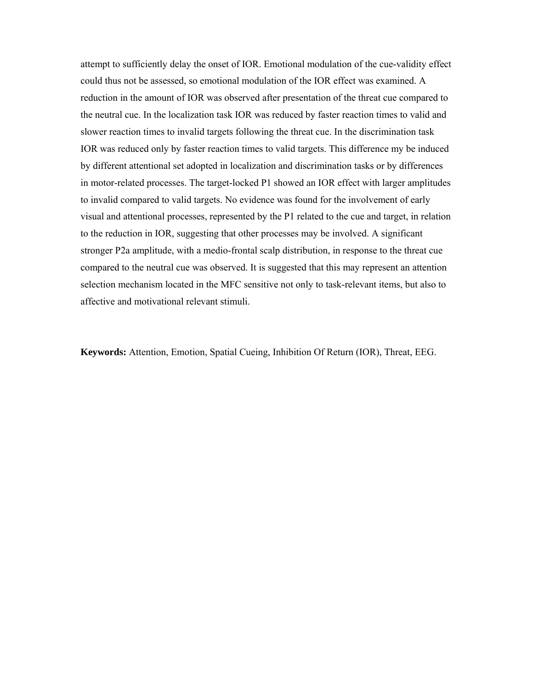attempt to sufficiently delay the onset of IOR. Emotional modulation of the cue-validity effect could thus not be assessed, so emotional modulation of the IOR effect was examined. A reduction in the amount of IOR was observed after presentation of the threat cue compared to the neutral cue. In the localization task IOR was reduced by faster reaction times to valid and slower reaction times to invalid targets following the threat cue. In the discrimination task IOR was reduced only by faster reaction times to valid targets. This difference my be induced by different attentional set adopted in localization and discrimination tasks or by differences in motor-related processes. The target-locked P1 showed an IOR effect with larger amplitudes to invalid compared to valid targets. No evidence was found for the involvement of early visual and attentional processes, represented by the P1 related to the cue and target, in relation to the reduction in IOR, suggesting that other processes may be involved. A significant stronger P2a amplitude, with a medio-frontal scalp distribution, in response to the threat cue compared to the neutral cue was observed. It is suggested that this may represent an attention selection mechanism located in the MFC sensitive not only to task-relevant items, but also to affective and motivational relevant stimuli.

**Keywords:** Attention, Emotion, Spatial Cueing, Inhibition Of Return (IOR), Threat, EEG.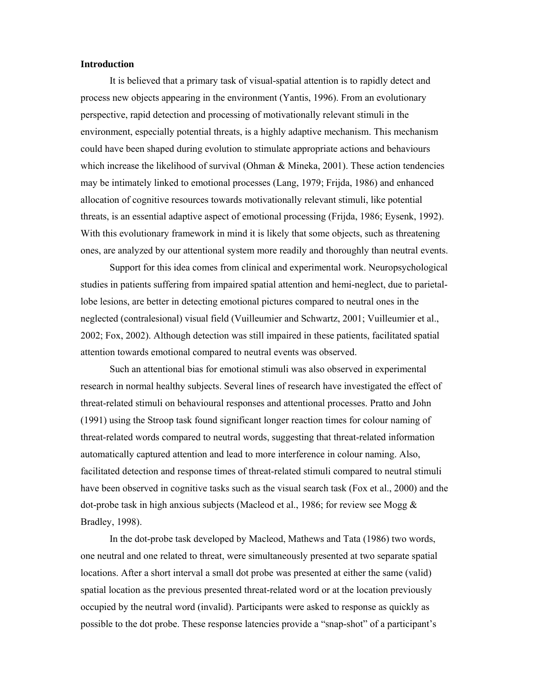## **Introduction**

It is believed that a primary task of visual-spatial attention is to rapidly detect and process new objects appearing in the environment (Yantis, 1996). From an evolutionary perspective, rapid detection and processing of motivationally relevant stimuli in the environment, especially potential threats, is a highly adaptive mechanism. This mechanism could have been shaped during evolution to stimulate appropriate actions and behaviours which increase the likelihood of survival (Ohman & Mineka, 2001). These action tendencies may be intimately linked to emotional processes (Lang, 1979; Frijda, 1986) and enhanced allocation of cognitive resources towards motivationally relevant stimuli, like potential threats, is an essential adaptive aspect of emotional processing (Frijda, 1986; Eysenk, 1992). With this evolutionary framework in mind it is likely that some objects, such as threatening ones, are analyzed by our attentional system more readily and thoroughly than neutral events.

 Support for this idea comes from clinical and experimental work. Neuropsychological studies in patients suffering from impaired spatial attention and hemi-neglect, due to parietallobe lesions, are better in detecting emotional pictures compared to neutral ones in the neglected (contralesional) visual field (Vuilleumier and Schwartz, 2001; Vuilleumier et al., 2002; Fox, 2002). Although detection was still impaired in these patients, facilitated spatial attention towards emotional compared to neutral events was observed.

 Such an attentional bias for emotional stimuli was also observed in experimental research in normal healthy subjects. Several lines of research have investigated the effect of threat-related stimuli on behavioural responses and attentional processes. Pratto and John (1991) using the Stroop task found significant longer reaction times for colour naming of threat-related words compared to neutral words, suggesting that threat-related information automatically captured attention and lead to more interference in colour naming. Also, facilitated detection and response times of threat-related stimuli compared to neutral stimuli have been observed in cognitive tasks such as the visual search task (Fox et al., 2000) and the dot-probe task in high anxious subjects (Macleod et al., 1986; for review see Mogg & Bradley, 1998).

In the dot-probe task developed by Macleod, Mathews and Tata (1986) two words, one neutral and one related to threat, were simultaneously presented at two separate spatial locations. After a short interval a small dot probe was presented at either the same (valid) spatial location as the previous presented threat-related word or at the location previously occupied by the neutral word (invalid). Participants were asked to response as quickly as possible to the dot probe. These response latencies provide a "snap-shot" of a participant's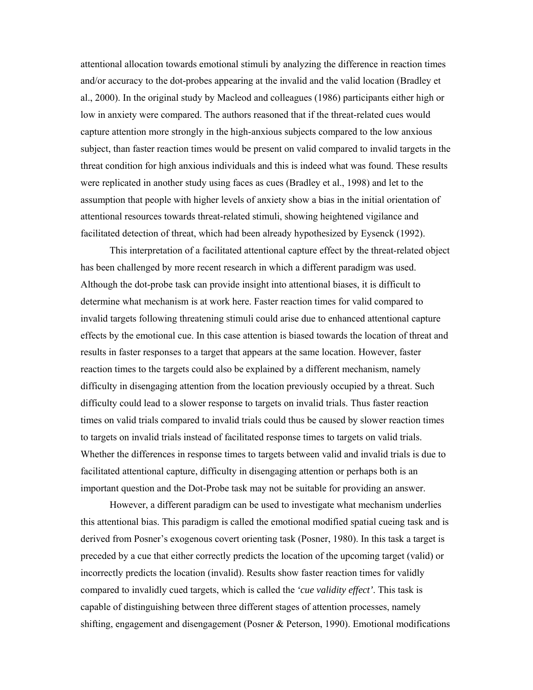attentional allocation towards emotional stimuli by analyzing the difference in reaction times and/or accuracy to the dot-probes appearing at the invalid and the valid location (Bradley et al., 2000). In the original study by Macleod and colleagues (1986) participants either high or low in anxiety were compared. The authors reasoned that if the threat-related cues would capture attention more strongly in the high-anxious subjects compared to the low anxious subject, than faster reaction times would be present on valid compared to invalid targets in the threat condition for high anxious individuals and this is indeed what was found. These results were replicated in another study using faces as cues (Bradley et al., 1998) and let to the assumption that people with higher levels of anxiety show a bias in the initial orientation of attentional resources towards threat-related stimuli, showing heightened vigilance and facilitated detection of threat, which had been already hypothesized by Eysenck (1992).

This interpretation of a facilitated attentional capture effect by the threat-related object has been challenged by more recent research in which a different paradigm was used. Although the dot-probe task can provide insight into attentional biases, it is difficult to determine what mechanism is at work here. Faster reaction times for valid compared to invalid targets following threatening stimuli could arise due to enhanced attentional capture effects by the emotional cue. In this case attention is biased towards the location of threat and results in faster responses to a target that appears at the same location. However, faster reaction times to the targets could also be explained by a different mechanism, namely difficulty in disengaging attention from the location previously occupied by a threat. Such difficulty could lead to a slower response to targets on invalid trials. Thus faster reaction times on valid trials compared to invalid trials could thus be caused by slower reaction times to targets on invalid trials instead of facilitated response times to targets on valid trials. Whether the differences in response times to targets between valid and invalid trials is due to facilitated attentional capture, difficulty in disengaging attention or perhaps both is an important question and the Dot-Probe task may not be suitable for providing an answer.

However, a different paradigm can be used to investigate what mechanism underlies this attentional bias. This paradigm is called the emotional modified spatial cueing task and is derived from Posner's exogenous covert orienting task (Posner, 1980). In this task a target is preceded by a cue that either correctly predicts the location of the upcoming target (valid) or incorrectly predicts the location (invalid). Results show faster reaction times for validly compared to invalidly cued targets, which is called the *'cue validity effect'*. This task is capable of distinguishing between three different stages of attention processes, namely shifting, engagement and disengagement (Posner & Peterson, 1990). Emotional modifications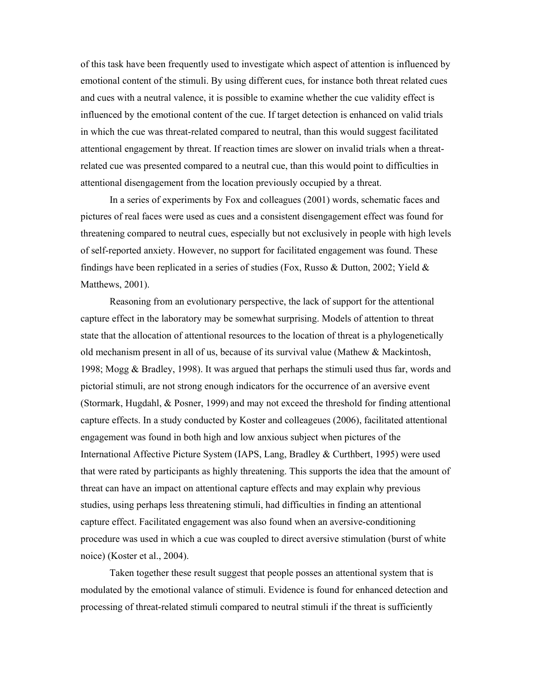of this task have been frequently used to investigate which aspect of attention is influenced by emotional content of the stimuli. By using different cues, for instance both threat related cues and cues with a neutral valence, it is possible to examine whether the cue validity effect is influenced by the emotional content of the cue. If target detection is enhanced on valid trials in which the cue was threat-related compared to neutral, than this would suggest facilitated attentional engagement by threat. If reaction times are slower on invalid trials when a threatrelated cue was presented compared to a neutral cue, than this would point to difficulties in attentional disengagement from the location previously occupied by a threat.

In a series of experiments by Fox and colleagues (2001) words, schematic faces and pictures of real faces were used as cues and a consistent disengagement effect was found for threatening compared to neutral cues, especially but not exclusively in people with high levels of self-reported anxiety. However, no support for facilitated engagement was found. These findings have been replicated in a series of studies (Fox, Russo & Dutton, 2002; Yield & Matthews, 2001).

Reasoning from an evolutionary perspective, the lack of support for the attentional capture effect in the laboratory may be somewhat surprising. Models of attention to threat state that the allocation of attentional resources to the location of threat is a phylogenetically old mechanism present in all of us, because of its survival value (Mathew & Mackintosh, 1998; Mogg & Bradley, 1998). It was argued that perhaps the stimuli used thus far, words and pictorial stimuli, are not strong enough indicators for the occurrence of an aversive event (Stormark, Hugdahl, & Posner, 1999) and may not exceed the threshold for finding attentional capture effects. In a study conducted by Koster and colleageues (2006), facilitated attentional engagement was found in both high and low anxious subject when pictures of the International Affective Picture System (IAPS, Lang, Bradley & Curthbert, 1995) were used that were rated by participants as highly threatening. This supports the idea that the amount of threat can have an impact on attentional capture effects and may explain why previous studies, using perhaps less threatening stimuli, had difficulties in finding an attentional capture effect. Facilitated engagement was also found when an aversive-conditioning procedure was used in which a cue was coupled to direct aversive stimulation (burst of white noice) (Koster et al., 2004).

Taken together these result suggest that people posses an attentional system that is modulated by the emotional valance of stimuli. Evidence is found for enhanced detection and processing of threat-related stimuli compared to neutral stimuli if the threat is sufficiently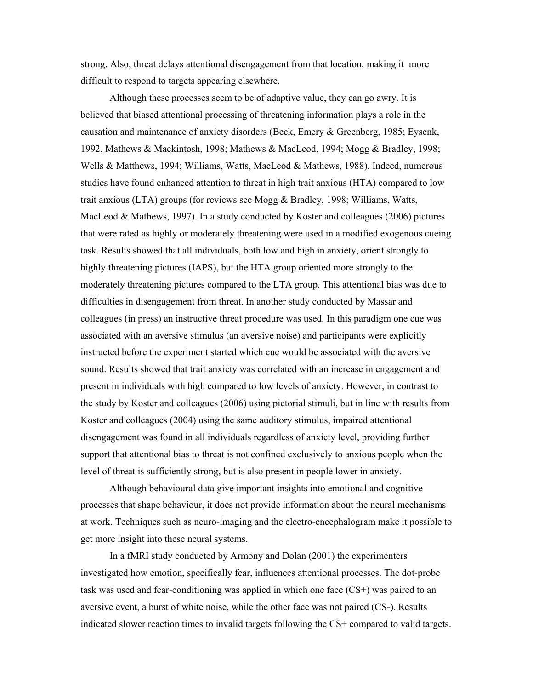strong. Also, threat delays attentional disengagement from that location, making it more difficult to respond to targets appearing elsewhere.

Although these processes seem to be of adaptive value, they can go awry. It is believed that biased attentional processing of threatening information plays a role in the causation and maintenance of anxiety disorders (Beck, Emery & Greenberg, 1985; Eysenk, 1992, Mathews & Mackintosh, 1998; Mathews & MacLeod, 1994; Mogg & Bradley, 1998; Wells & Matthews, 1994; Williams, Watts, MacLeod & Mathews, 1988). Indeed, numerous studies have found enhanced attention to threat in high trait anxious (HTA) compared to low trait anxious (LTA) groups (for reviews see Mogg & Bradley, 1998; Williams, Watts, MacLeod & Mathews, 1997). In a study conducted by Koster and colleagues (2006) pictures that were rated as highly or moderately threatening were used in a modified exogenous cueing task. Results showed that all individuals, both low and high in anxiety, orient strongly to highly threatening pictures (IAPS), but the HTA group oriented more strongly to the moderately threatening pictures compared to the LTA group. This attentional bias was due to difficulties in disengagement from threat. In another study conducted by Massar and colleagues (in press) an instructive threat procedure was used. In this paradigm one cue was associated with an aversive stimulus (an aversive noise) and participants were explicitly instructed before the experiment started which cue would be associated with the aversive sound. Results showed that trait anxiety was correlated with an increase in engagement and present in individuals with high compared to low levels of anxiety. However, in contrast to the study by Koster and colleagues (2006) using pictorial stimuli, but in line with results from Koster and colleagues (2004) using the same auditory stimulus, impaired attentional disengagement was found in all individuals regardless of anxiety level, providing further support that attentional bias to threat is not confined exclusively to anxious people when the level of threat is sufficiently strong, but is also present in people lower in anxiety.

Although behavioural data give important insights into emotional and cognitive processes that shape behaviour, it does not provide information about the neural mechanisms at work. Techniques such as neuro-imaging and the electro-encephalogram make it possible to get more insight into these neural systems.

In a fMRI study conducted by Armony and Dolan (2001) the experimenters investigated how emotion, specifically fear, influences attentional processes. The dot-probe task was used and fear-conditioning was applied in which one face (CS+) was paired to an aversive event, a burst of white noise, while the other face was not paired (CS-). Results indicated slower reaction times to invalid targets following the CS+ compared to valid targets.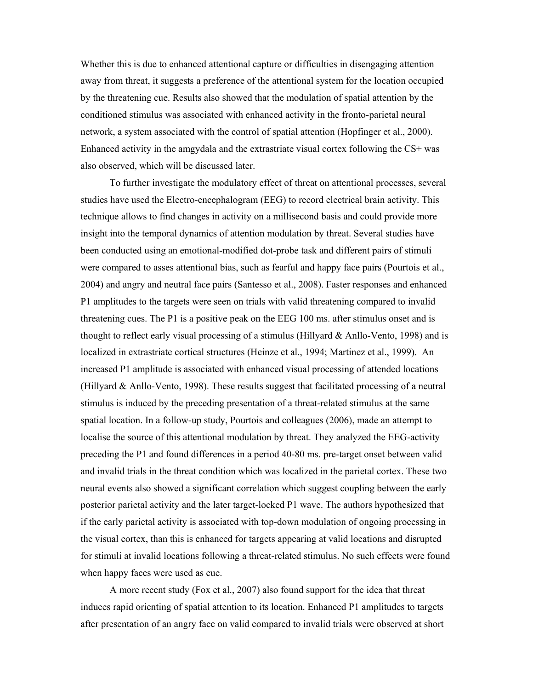Whether this is due to enhanced attentional capture or difficulties in disengaging attention away from threat, it suggests a preference of the attentional system for the location occupied by the threatening cue. Results also showed that the modulation of spatial attention by the conditioned stimulus was associated with enhanced activity in the fronto-parietal neural network, a system associated with the control of spatial attention (Hopfinger et al., 2000). Enhanced activity in the amgydala and the extrastriate visual cortex following the CS+ was also observed, which will be discussed later.

To further investigate the modulatory effect of threat on attentional processes, several studies have used the Electro-encephalogram (EEG) to record electrical brain activity. This technique allows to find changes in activity on a millisecond basis and could provide more insight into the temporal dynamics of attention modulation by threat. Several studies have been conducted using an emotional-modified dot-probe task and different pairs of stimuli were compared to asses attentional bias, such as fearful and happy face pairs (Pourtois et al., 2004) and angry and neutral face pairs (Santesso et al., 2008). Faster responses and enhanced P1 amplitudes to the targets were seen on trials with valid threatening compared to invalid threatening cues. The P1 is a positive peak on the EEG 100 ms. after stimulus onset and is thought to reflect early visual processing of a stimulus (Hillyard & Anllo-Vento, 1998) and is localized in extrastriate cortical structures (Heinze et al., 1994; Martinez et al., 1999). An increased P1 amplitude is associated with enhanced visual processing of attended locations (Hillyard & Anllo-Vento, 1998). These results suggest that facilitated processing of a neutral stimulus is induced by the preceding presentation of a threat-related stimulus at the same spatial location. In a follow-up study, Pourtois and colleagues (2006), made an attempt to localise the source of this attentional modulation by threat. They analyzed the EEG-activity preceding the P1 and found differences in a period 40-80 ms. pre-target onset between valid and invalid trials in the threat condition which was localized in the parietal cortex. These two neural events also showed a significant correlation which suggest coupling between the early posterior parietal activity and the later target-locked P1 wave. The authors hypothesized that if the early parietal activity is associated with top-down modulation of ongoing processing in the visual cortex, than this is enhanced for targets appearing at valid locations and disrupted for stimuli at invalid locations following a threat-related stimulus. No such effects were found when happy faces were used as cue.

A more recent study (Fox et al., 2007) also found support for the idea that threat induces rapid orienting of spatial attention to its location. Enhanced P1 amplitudes to targets after presentation of an angry face on valid compared to invalid trials were observed at short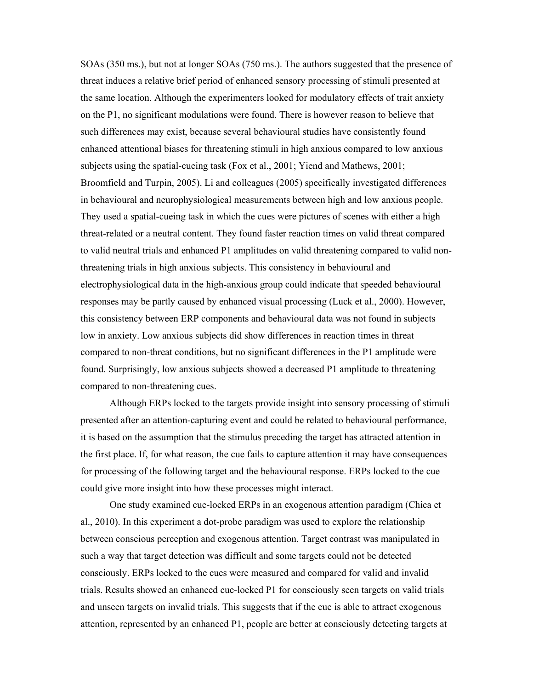SOAs (350 ms.), but not at longer SOAs (750 ms.). The authors suggested that the presence of threat induces a relative brief period of enhanced sensory processing of stimuli presented at the same location. Although the experimenters looked for modulatory effects of trait anxiety on the P1, no significant modulations were found. There is however reason to believe that such differences may exist, because several behavioural studies have consistently found enhanced attentional biases for threatening stimuli in high anxious compared to low anxious subjects using the spatial-cueing task (Fox et al., 2001; Yiend and Mathews, 2001; Broomfield and Turpin, 2005). Li and colleagues (2005) specifically investigated differences in behavioural and neurophysiological measurements between high and low anxious people. They used a spatial-cueing task in which the cues were pictures of scenes with either a high threat-related or a neutral content. They found faster reaction times on valid threat compared to valid neutral trials and enhanced P1 amplitudes on valid threatening compared to valid nonthreatening trials in high anxious subjects. This consistency in behavioural and electrophysiological data in the high-anxious group could indicate that speeded behavioural responses may be partly caused by enhanced visual processing (Luck et al., 2000). However, this consistency between ERP components and behavioural data was not found in subjects low in anxiety. Low anxious subjects did show differences in reaction times in threat compared to non-threat conditions, but no significant differences in the P1 amplitude were found. Surprisingly, low anxious subjects showed a decreased P1 amplitude to threatening compared to non-threatening cues.

Although ERPs locked to the targets provide insight into sensory processing of stimuli presented after an attention-capturing event and could be related to behavioural performance, it is based on the assumption that the stimulus preceding the target has attracted attention in the first place. If, for what reason, the cue fails to capture attention it may have consequences for processing of the following target and the behavioural response. ERPs locked to the cue could give more insight into how these processes might interact.

One study examined cue-locked ERPs in an exogenous attention paradigm (Chica et al., 2010). In this experiment a dot-probe paradigm was used to explore the relationship between conscious perception and exogenous attention. Target contrast was manipulated in such a way that target detection was difficult and some targets could not be detected consciously. ERPs locked to the cues were measured and compared for valid and invalid trials. Results showed an enhanced cue-locked P1 for consciously seen targets on valid trials and unseen targets on invalid trials. This suggests that if the cue is able to attract exogenous attention, represented by an enhanced P1, people are better at consciously detecting targets at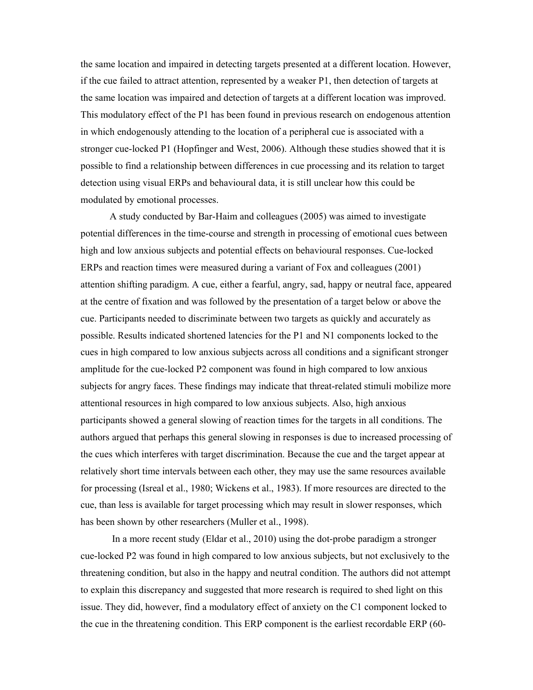the same location and impaired in detecting targets presented at a different location. However, if the cue failed to attract attention, represented by a weaker P1, then detection of targets at the same location was impaired and detection of targets at a different location was improved. This modulatory effect of the P1 has been found in previous research on endogenous attention in which endogenously attending to the location of a peripheral cue is associated with a stronger cue-locked P1 (Hopfinger and West, 2006). Although these studies showed that it is possible to find a relationship between differences in cue processing and its relation to target detection using visual ERPs and behavioural data, it is still unclear how this could be modulated by emotional processes.

 A study conducted by Bar-Haim and colleagues (2005) was aimed to investigate potential differences in the time-course and strength in processing of emotional cues between high and low anxious subjects and potential effects on behavioural responses. Cue-locked ERPs and reaction times were measured during a variant of Fox and colleagues (2001) attention shifting paradigm. A cue, either a fearful, angry, sad, happy or neutral face, appeared at the centre of fixation and was followed by the presentation of a target below or above the cue. Participants needed to discriminate between two targets as quickly and accurately as possible. Results indicated shortened latencies for the P1 and N1 components locked to the cues in high compared to low anxious subjects across all conditions and a significant stronger amplitude for the cue-locked P2 component was found in high compared to low anxious subjects for angry faces. These findings may indicate that threat-related stimuli mobilize more attentional resources in high compared to low anxious subjects. Also, high anxious participants showed a general slowing of reaction times for the targets in all conditions. The authors argued that perhaps this general slowing in responses is due to increased processing of the cues which interferes with target discrimination. Because the cue and the target appear at relatively short time intervals between each other, they may use the same resources available for processing (Isreal et al., 1980; Wickens et al., 1983). If more resources are directed to the cue, than less is available for target processing which may result in slower responses, which has been shown by other researchers (Muller et al., 1998).

 In a more recent study (Eldar et al., 2010) using the dot-probe paradigm a stronger cue-locked P2 was found in high compared to low anxious subjects, but not exclusively to the threatening condition, but also in the happy and neutral condition. The authors did not attempt to explain this discrepancy and suggested that more research is required to shed light on this issue. They did, however, find a modulatory effect of anxiety on the C1 component locked to the cue in the threatening condition. This ERP component is the earliest recordable ERP (60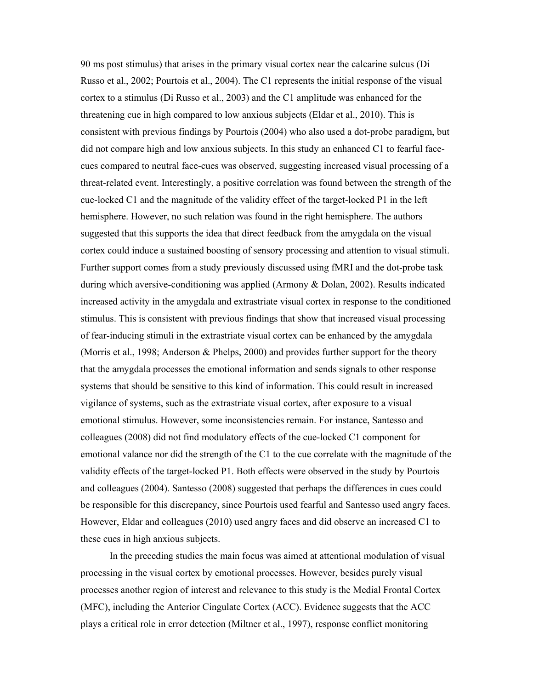90 ms post stimulus) that arises in the primary visual cortex near the calcarine sulcus (Di Russo et al., 2002; Pourtois et al., 2004). The C1 represents the initial response of the visual cortex to a stimulus (Di Russo et al., 2003) and the C1 amplitude was enhanced for the threatening cue in high compared to low anxious subjects (Eldar et al., 2010). This is consistent with previous findings by Pourtois (2004) who also used a dot-probe paradigm, but did not compare high and low anxious subjects. In this study an enhanced C1 to fearful facecues compared to neutral face-cues was observed, suggesting increased visual processing of a threat-related event. Interestingly, a positive correlation was found between the strength of the cue-locked C1 and the magnitude of the validity effect of the target-locked P1 in the left hemisphere. However, no such relation was found in the right hemisphere. The authors suggested that this supports the idea that direct feedback from the amygdala on the visual cortex could induce a sustained boosting of sensory processing and attention to visual stimuli. Further support comes from a study previously discussed using fMRI and the dot-probe task during which aversive-conditioning was applied (Armony & Dolan, 2002). Results indicated increased activity in the amygdala and extrastriate visual cortex in response to the conditioned stimulus. This is consistent with previous findings that show that increased visual processing of fear-inducing stimuli in the extrastriate visual cortex can be enhanced by the amygdala (Morris et al., 1998; Anderson & Phelps, 2000) and provides further support for the theory that the amygdala processes the emotional information and sends signals to other response systems that should be sensitive to this kind of information. This could result in increased vigilance of systems, such as the extrastriate visual cortex, after exposure to a visual emotional stimulus. However, some inconsistencies remain. For instance, Santesso and colleagues (2008) did not find modulatory effects of the cue-locked C1 component for emotional valance nor did the strength of the C1 to the cue correlate with the magnitude of the validity effects of the target-locked P1. Both effects were observed in the study by Pourtois and colleagues (2004). Santesso (2008) suggested that perhaps the differences in cues could be responsible for this discrepancy, since Pourtois used fearful and Santesso used angry faces. However, Eldar and colleagues (2010) used angry faces and did observe an increased C1 to these cues in high anxious subjects.

 In the preceding studies the main focus was aimed at attentional modulation of visual processing in the visual cortex by emotional processes. However, besides purely visual processes another region of interest and relevance to this study is the Medial Frontal Cortex (MFC), including the Anterior Cingulate Cortex (ACC). Evidence suggests that the ACC plays a critical role in error detection (Miltner et al., 1997), response conflict monitoring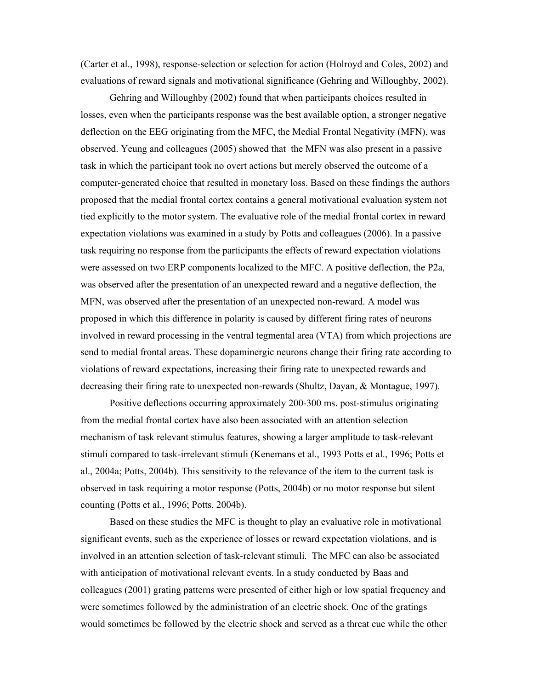(Carter et al., 1998), response-selection or selection for action (Holroyd and Coles, 2002) and evaluations of reward signals and motivational significance (Gehring and Willoughby, 2002).

 Gehring and Willoughby (2002) found that when participants choices resulted in losses, even when the participants response was the best available option, a stronger negative deflection on the EEG originating from the MFC, the Medial Frontal Negativity (MFN), was observed. Yeung and colleagues (2005) showed that the MFN was also present in a passive task in which the participant took no overt actions but merely observed the outcome of a computer-generated choice that resulted in monetary loss. Based on these findings the authors proposed that the medial frontal cortex contains a general motivational evaluation system not tied explicitly to the motor system. The evaluative role of the medial frontal cortex in reward expectation violations was examined in a study by Potts and colleagues (2006). In a passive task requiring no response from the participants the effects of reward expectation violations were assessed on two ERP components localized to the MFC. A positive deflection, the P2a, was observed after the presentation of an unexpected reward and a negative deflection, the MFN, was observed after the presentation of an unexpected non-reward. A model was proposed in which this difference in polarity is caused by different firing rates of neurons involved in reward processing in the ventral tegmental area (VTA) from which projections are send to medial frontal areas. These dopaminergic neurons change their firing rate according to violations of reward expectations, increasing their firing rate to unexpected rewards and decreasing their firing rate to unexpected non-rewards (Shultz, Dayan, & Montague, 1997).

 Positive deflections occurring approximately 200-300 ms. post-stimulus originating from the medial frontal cortex have also been associated with an attention selection mechanism of task relevant stimulus features, showing a larger amplitude to task-relevant stimuli compared to task-irrelevant stimuli (Kenemans et al., 1993 Potts et al., 1996; Potts et al., 2004a; Potts, 2004b). This sensitivity to the relevance of the item to the current task is observed in task requiring a motor response (Potts, 2004b) or no motor response but silent counting (Potts et al., 1996; Potts, 2004b).

 Based on these studies the MFC is thought to play an evaluative role in motivational significant events, such as the experience of losses or reward expectation violations, and is involved in an attention selection of task-relevant stimuli. The MFC can also be associated with anticipation of motivational relevant events. In a study conducted by Baas and colleagues (2001) grating patterns were presented of either high or low spatial frequency and were sometimes followed by the administration of an electric shock. One of the gratings would sometimes be followed by the electric shock and served as a threat cue while the other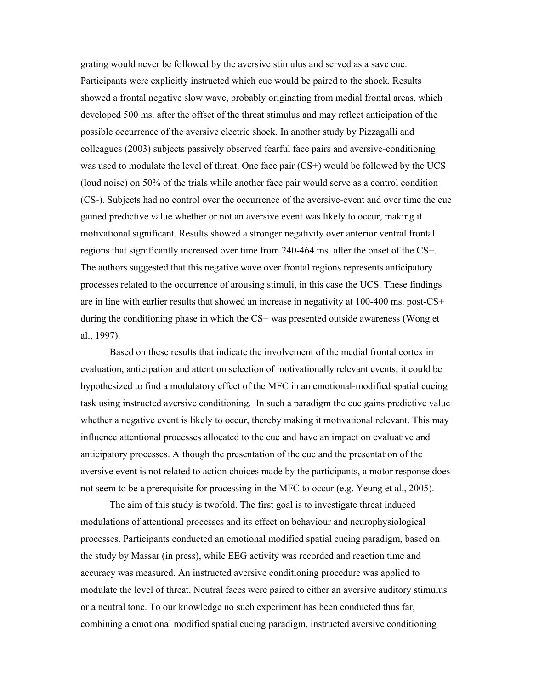grating would never be followed by the aversive stimulus and served as a save cue. Participants were explicitly instructed which cue would be paired to the shock. Results showed a frontal negative slow wave, probably originating from medial frontal areas, which developed 500 ms. after the offset of the threat stimulus and may reflect anticipation of the possible occurrence of the aversive electric shock. In another study by Pizzagalli and colleagues (2003) subjects passively observed fearful face pairs and aversive-conditioning was used to modulate the level of threat. One face pair (CS+) would be followed by the UCS (loud noise) on 50% of the trials while another face pair would serve as a control condition (CS-). Subjects had no control over the occurrence of the aversive-event and over time the cue gained predictive value whether or not an aversive event was likely to occur, making it motivational significant. Results showed a stronger negativity over anterior ventral frontal regions that significantly increased over time from 240-464 ms. after the onset of the CS+. The authors suggested that this negative wave over frontal regions represents anticipatory processes related to the occurrence of arousing stimuli, in this case the UCS. These findings are in line with earlier results that showed an increase in negativity at 100-400 ms. post-CS+ during the conditioning phase in which the CS+ was presented outside awareness (Wong et al., 1997).

 Based on these results that indicate the involvement of the medial frontal cortex in evaluation, anticipation and attention selection of motivationally relevant events, it could be hypothesized to find a modulatory effect of the MFC in an emotional-modified spatial cueing task using instructed aversive conditioning. In such a paradigm the cue gains predictive value whether a negative event is likely to occur, thereby making it motivational relevant. This may influence attentional processes allocated to the cue and have an impact on evaluative and anticipatory processes. Although the presentation of the cue and the presentation of the aversive event is not related to action choices made by the participants, a motor response does not seem to be a prerequisite for processing in the MFC to occur (e.g. Yeung et al., 2005).

The aim of this study is twofold. The first goal is to investigate threat induced modulations of attentional processes and its effect on behaviour and neurophysiological processes. Participants conducted an emotional modified spatial cueing paradigm, based on the study by Massar (in press), while EEG activity was recorded and reaction time and accuracy was measured. An instructed aversive conditioning procedure was applied to modulate the level of threat. Neutral faces were paired to either an aversive auditory stimulus or a neutral tone. To our knowledge no such experiment has been conducted thus far, combining a emotional modified spatial cueing paradigm, instructed aversive conditioning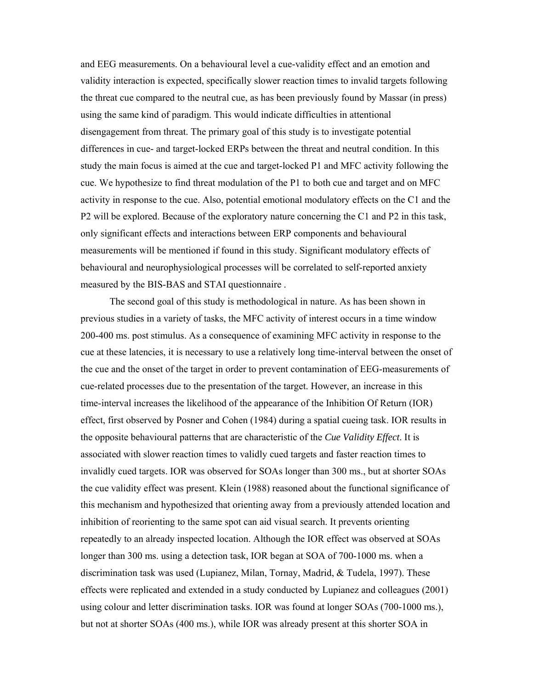and EEG measurements. On a behavioural level a cue-validity effect and an emotion and validity interaction is expected, specifically slower reaction times to invalid targets following the threat cue compared to the neutral cue, as has been previously found by Massar (in press) using the same kind of paradigm. This would indicate difficulties in attentional disengagement from threat. The primary goal of this study is to investigate potential differences in cue- and target-locked ERPs between the threat and neutral condition. In this study the main focus is aimed at the cue and target-locked P1 and MFC activity following the cue. We hypothesize to find threat modulation of the P1 to both cue and target and on MFC activity in response to the cue. Also, potential emotional modulatory effects on the C1 and the P2 will be explored. Because of the exploratory nature concerning the C1 and P2 in this task, only significant effects and interactions between ERP components and behavioural measurements will be mentioned if found in this study. Significant modulatory effects of behavioural and neurophysiological processes will be correlated to self-reported anxiety measured by the BIS-BAS and STAI questionnaire .

The second goal of this study is methodological in nature. As has been shown in previous studies in a variety of tasks, the MFC activity of interest occurs in a time window 200-400 ms. post stimulus. As a consequence of examining MFC activity in response to the cue at these latencies, it is necessary to use a relatively long time-interval between the onset of the cue and the onset of the target in order to prevent contamination of EEG-measurements of cue-related processes due to the presentation of the target. However, an increase in this time-interval increases the likelihood of the appearance of the Inhibition Of Return (IOR) effect, first observed by Posner and Cohen (1984) during a spatial cueing task. IOR results in the opposite behavioural patterns that are characteristic of the *Cue Validity Effect*. It is associated with slower reaction times to validly cued targets and faster reaction times to invalidly cued targets. IOR was observed for SOAs longer than 300 ms., but at shorter SOAs the cue validity effect was present. Klein (1988) reasoned about the functional significance of this mechanism and hypothesized that orienting away from a previously attended location and inhibition of reorienting to the same spot can aid visual search. It prevents orienting repeatedly to an already inspected location. Although the IOR effect was observed at SOAs longer than 300 ms. using a detection task, IOR began at SOA of 700-1000 ms. when a discrimination task was used (Lupianez, Milan, Tornay, Madrid, & Tudela, 1997). These effects were replicated and extended in a study conducted by Lupianez and colleagues (2001) using colour and letter discrimination tasks. IOR was found at longer SOAs (700-1000 ms.), but not at shorter SOAs (400 ms.), while IOR was already present at this shorter SOA in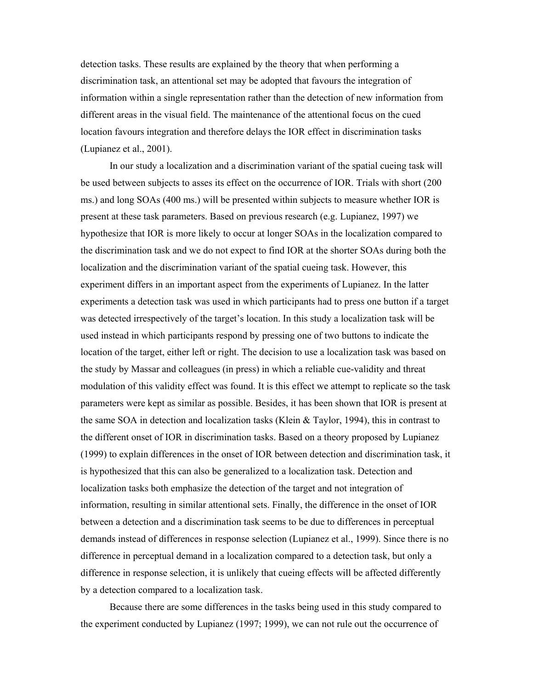detection tasks. These results are explained by the theory that when performing a discrimination task, an attentional set may be adopted that favours the integration of information within a single representation rather than the detection of new information from different areas in the visual field. The maintenance of the attentional focus on the cued location favours integration and therefore delays the IOR effect in discrimination tasks (Lupianez et al., 2001).

In our study a localization and a discrimination variant of the spatial cueing task will be used between subjects to asses its effect on the occurrence of IOR. Trials with short (200 ms.) and long SOAs (400 ms.) will be presented within subjects to measure whether IOR is present at these task parameters. Based on previous research (e.g. Lupianez, 1997) we hypothesize that IOR is more likely to occur at longer SOAs in the localization compared to the discrimination task and we do not expect to find IOR at the shorter SOAs during both the localization and the discrimination variant of the spatial cueing task. However, this experiment differs in an important aspect from the experiments of Lupianez. In the latter experiments a detection task was used in which participants had to press one button if a target was detected irrespectively of the target's location. In this study a localization task will be used instead in which participants respond by pressing one of two buttons to indicate the location of the target, either left or right. The decision to use a localization task was based on the study by Massar and colleagues (in press) in which a reliable cue-validity and threat modulation of this validity effect was found. It is this effect we attempt to replicate so the task parameters were kept as similar as possible. Besides, it has been shown that IOR is present at the same SOA in detection and localization tasks (Klein & Taylor, 1994), this in contrast to the different onset of IOR in discrimination tasks. Based on a theory proposed by Lupianez (1999) to explain differences in the onset of IOR between detection and discrimination task, it is hypothesized that this can also be generalized to a localization task. Detection and localization tasks both emphasize the detection of the target and not integration of information, resulting in similar attentional sets. Finally, the difference in the onset of IOR between a detection and a discrimination task seems to be due to differences in perceptual demands instead of differences in response selection (Lupianez et al., 1999). Since there is no difference in perceptual demand in a localization compared to a detection task, but only a difference in response selection, it is unlikely that cueing effects will be affected differently by a detection compared to a localization task.

Because there are some differences in the tasks being used in this study compared to the experiment conducted by Lupianez (1997; 1999), we can not rule out the occurrence of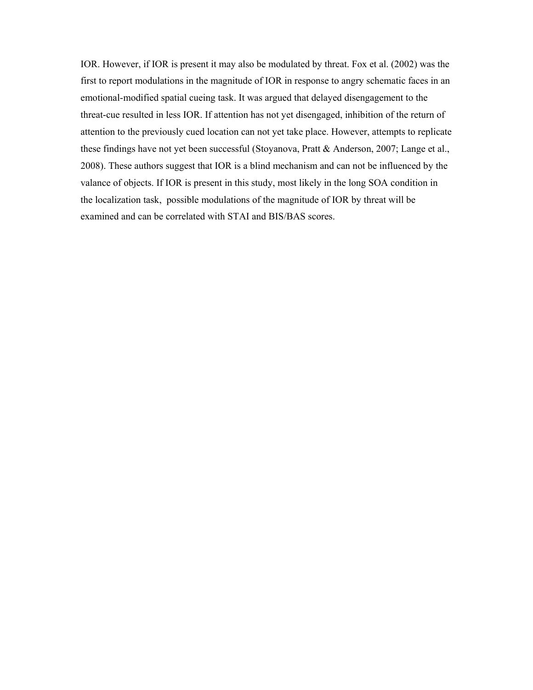IOR. However, if IOR is present it may also be modulated by threat. Fox et al. (2002) was the first to report modulations in the magnitude of IOR in response to angry schematic faces in an emotional-modified spatial cueing task. It was argued that delayed disengagement to the threat-cue resulted in less IOR. If attention has not yet disengaged, inhibition of the return of attention to the previously cued location can not yet take place. However, attempts to replicate these findings have not yet been successful (Stoyanova, Pratt & Anderson, 2007; Lange et al., 2008). These authors suggest that IOR is a blind mechanism and can not be influenced by the valance of objects. If IOR is present in this study, most likely in the long SOA condition in the localization task, possible modulations of the magnitude of IOR by threat will be examined and can be correlated with STAI and BIS/BAS scores.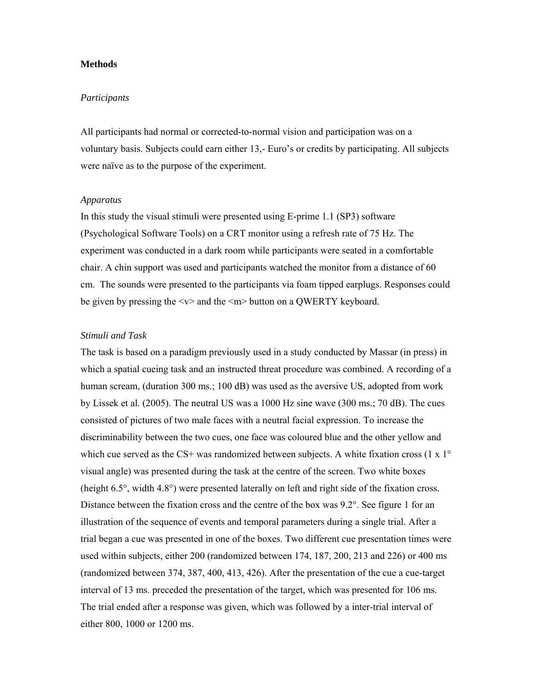### **Methods**

#### *Participants*

All participants had normal or corrected-to-normal vision and participation was on a voluntary basis. Subjects could earn either 13,- Euro's or credits by participating. All subjects were naïve as to the purpose of the experiment.

### *Apparatus*

In this study the visual stimuli were presented using E-prime 1.1 (SP3) software (Psychological Software Tools) on a CRT monitor using a refresh rate of 75 Hz. The experiment was conducted in a dark room while participants were seated in a comfortable chair. A chin support was used and participants watched the monitor from a distance of 60 cm. The sounds were presented to the participants via foam tipped earplugs. Responses could be given by pressing the  $\langle v \rangle$  and the  $\langle m \rangle$  button on a QWERTY keyboard.

## *Stimuli and Task*

The task is based on a paradigm previously used in a study conducted by Massar (in press) in which a spatial cueing task and an instructed threat procedure was combined. A recording of a human scream, (duration 300 ms.; 100 dB) was used as the aversive US, adopted from work by Lissek et al. (2005). The neutral US was a 1000 Hz sine wave (300 ms.; 70 dB). The cues consisted of pictures of two male faces with a neutral facial expression. To increase the discriminability between the two cues, one face was coloured blue and the other yellow and which cue served as the CS+ was randomized between subjects. A white fixation cross (1 x  $1^{\circ}$ ) visual angle) was presented during the task at the centre of the screen. Two white boxes (height 6.5°, width 4.8°) were presented laterally on left and right side of the fixation cross. Distance between the fixation cross and the centre of the box was 9.2°. See figure 1 for an illustration of the sequence of events and temporal parameters during a single trial. After a trial began a cue was presented in one of the boxes. Two different cue presentation times were used within subjects, either 200 (randomized between 174, 187, 200, 213 and 226) or 400 ms (randomized between 374, 387, 400, 413, 426). After the presentation of the cue a cue-target interval of 13 ms. preceded the presentation of the target, which was presented for 106 ms. The trial ended after a response was given, which was followed by a inter-trial interval of either 800, 1000 or 1200 ms.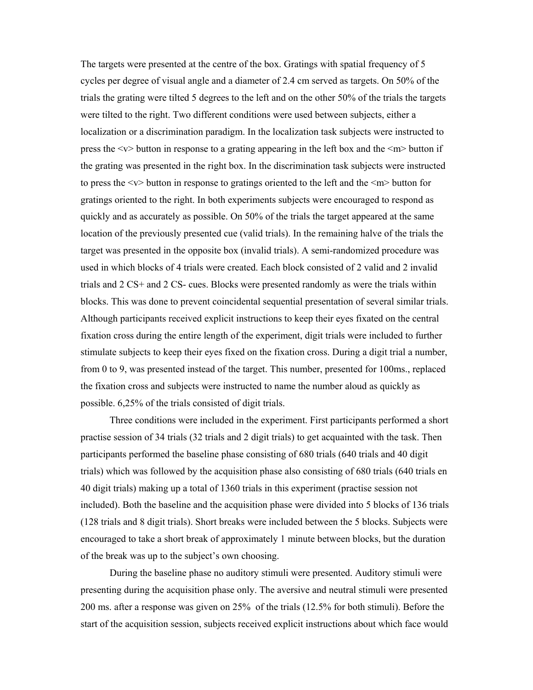The targets were presented at the centre of the box. Gratings with spatial frequency of 5 cycles per degree of visual angle and a diameter of 2.4 cm served as targets. On 50% of the trials the grating were tilted 5 degrees to the left and on the other 50% of the trials the targets were tilted to the right. Two different conditions were used between subjects, either a localization or a discrimination paradigm. In the localization task subjects were instructed to press the  $\langle v \rangle$  button in response to a grating appearing in the left box and the  $\langle m \rangle$  button if the grating was presented in the right box. In the discrimination task subjects were instructed to press the <v> button in response to gratings oriented to the left and the <m> button for gratings oriented to the right. In both experiments subjects were encouraged to respond as quickly and as accurately as possible. On 50% of the trials the target appeared at the same location of the previously presented cue (valid trials). In the remaining halve of the trials the target was presented in the opposite box (invalid trials). A semi-randomized procedure was used in which blocks of 4 trials were created. Each block consisted of 2 valid and 2 invalid trials and 2 CS+ and 2 CS- cues. Blocks were presented randomly as were the trials within blocks. This was done to prevent coincidental sequential presentation of several similar trials. Although participants received explicit instructions to keep their eyes fixated on the central fixation cross during the entire length of the experiment, digit trials were included to further stimulate subjects to keep their eyes fixed on the fixation cross. During a digit trial a number, from 0 to 9, was presented instead of the target. This number, presented for 100ms., replaced the fixation cross and subjects were instructed to name the number aloud as quickly as possible. 6,25% of the trials consisted of digit trials.

Three conditions were included in the experiment. First participants performed a short practise session of 34 trials (32 trials and 2 digit trials) to get acquainted with the task. Then participants performed the baseline phase consisting of 680 trials (640 trials and 40 digit trials) which was followed by the acquisition phase also consisting of 680 trials (640 trials en 40 digit trials) making up a total of 1360 trials in this experiment (practise session not included). Both the baseline and the acquisition phase were divided into 5 blocks of 136 trials (128 trials and 8 digit trials). Short breaks were included between the 5 blocks. Subjects were encouraged to take a short break of approximately 1 minute between blocks, but the duration of the break was up to the subject's own choosing.

During the baseline phase no auditory stimuli were presented. Auditory stimuli were presenting during the acquisition phase only. The aversive and neutral stimuli were presented 200 ms. after a response was given on 25% of the trials (12.5% for both stimuli). Before the start of the acquisition session, subjects received explicit instructions about which face would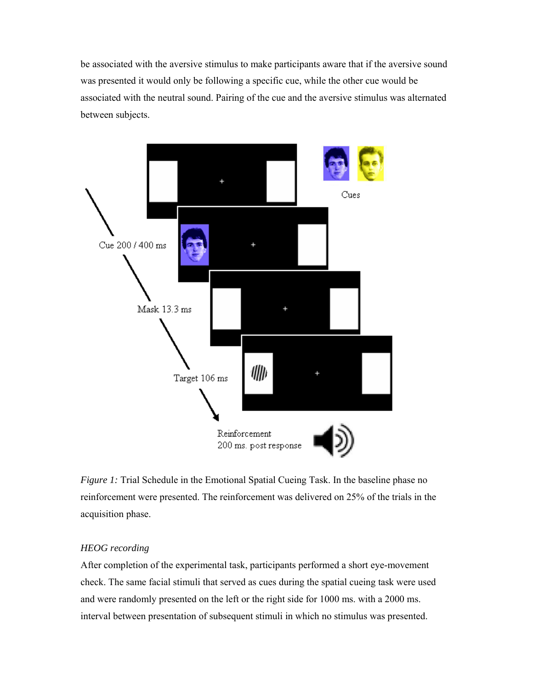be associated with the aversive stimulus to make participants aware that if the aversive sound was presented it would only be following a specific cue, while the other cue would be associated with the neutral sound. Pairing of the cue and the aversive stimulus was alternated between subjects.



*Figure 1:* Trial Schedule in the Emotional Spatial Cueing Task. In the baseline phase no reinforcement were presented. The reinforcement was delivered on 25% of the trials in the acquisition phase.

# *HEOG recording*

After completion of the experimental task, participants performed a short eye-movement check. The same facial stimuli that served as cues during the spatial cueing task were used and were randomly presented on the left or the right side for 1000 ms. with a 2000 ms. interval between presentation of subsequent stimuli in which no stimulus was presented.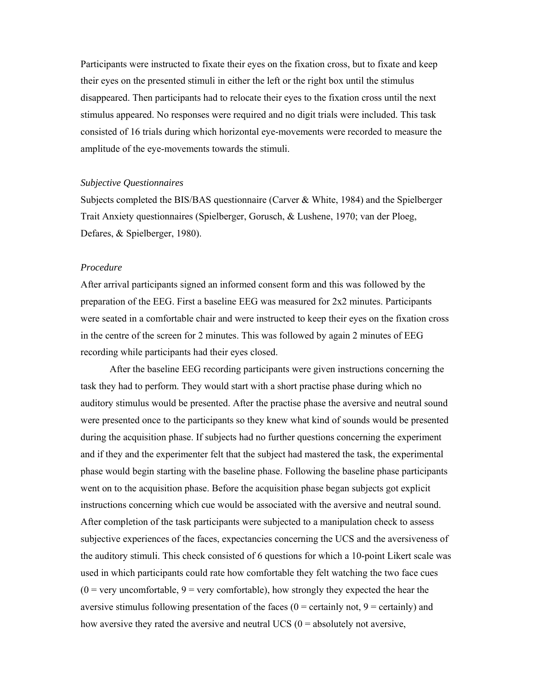Participants were instructed to fixate their eyes on the fixation cross, but to fixate and keep their eyes on the presented stimuli in either the left or the right box until the stimulus disappeared. Then participants had to relocate their eyes to the fixation cross until the next stimulus appeared. No responses were required and no digit trials were included. This task consisted of 16 trials during which horizontal eye-movements were recorded to measure the amplitude of the eye-movements towards the stimuli.

#### *Subjective Questionnaires*

Subjects completed the BIS/BAS questionnaire (Carver & White, 1984) and the Spielberger Trait Anxiety questionnaires (Spielberger, Gorusch, & Lushene, 1970; van der Ploeg, Defares, & Spielberger, 1980).

#### *Procedure*

After arrival participants signed an informed consent form and this was followed by the preparation of the EEG. First a baseline EEG was measured for 2x2 minutes. Participants were seated in a comfortable chair and were instructed to keep their eyes on the fixation cross in the centre of the screen for 2 minutes. This was followed by again 2 minutes of EEG recording while participants had their eyes closed.

After the baseline EEG recording participants were given instructions concerning the task they had to perform. They would start with a short practise phase during which no auditory stimulus would be presented. After the practise phase the aversive and neutral sound were presented once to the participants so they knew what kind of sounds would be presented during the acquisition phase. If subjects had no further questions concerning the experiment and if they and the experimenter felt that the subject had mastered the task, the experimental phase would begin starting with the baseline phase. Following the baseline phase participants went on to the acquisition phase. Before the acquisition phase began subjects got explicit instructions concerning which cue would be associated with the aversive and neutral sound. After completion of the task participants were subjected to a manipulation check to assess subjective experiences of the faces, expectancies concerning the UCS and the aversiveness of the auditory stimuli. This check consisted of 6 questions for which a 10-point Likert scale was used in which participants could rate how comfortable they felt watching the two face cues  $(0 = \text{very unconfortable}, 9 = \text{very comfortable})$ , how strongly they expected the hear the aversive stimulus following presentation of the faces  $(0 =$  certainly not,  $9 =$  certainly) and how aversive they rated the aversive and neutral UCS  $(0 =$  absolutely not aversive,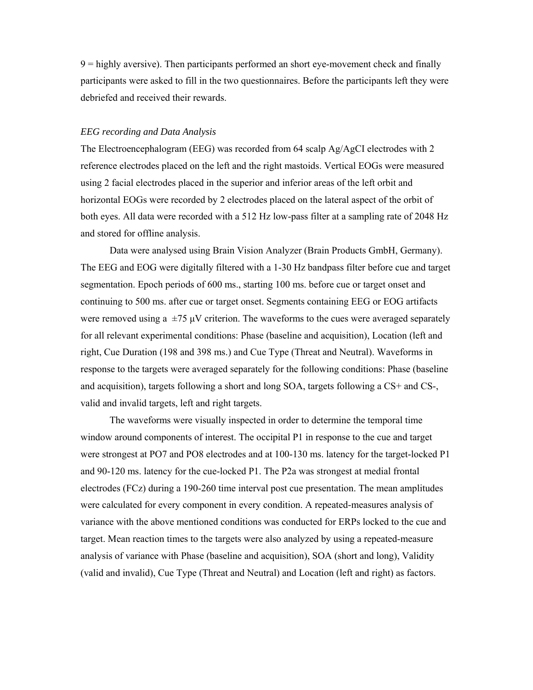9 = highly aversive). Then participants performed an short eye-movement check and finally participants were asked to fill in the two questionnaires. Before the participants left they were debriefed and received their rewards.

#### *EEG recording and Data Analysis*

The Electroencephalogram (EEG) was recorded from 64 scalp Ag/AgCI electrodes with 2 reference electrodes placed on the left and the right mastoids. Vertical EOGs were measured using 2 facial electrodes placed in the superior and inferior areas of the left orbit and horizontal EOGs were recorded by 2 electrodes placed on the lateral aspect of the orbit of both eyes. All data were recorded with a 512 Hz low-pass filter at a sampling rate of 2048 Hz and stored for offline analysis.

Data were analysed using Brain Vision Analyzer (Brain Products GmbH, Germany). The EEG and EOG were digitally filtered with a 1-30 Hz bandpass filter before cue and target segmentation. Epoch periods of 600 ms., starting 100 ms. before cue or target onset and continuing to 500 ms. after cue or target onset. Segments containing EEG or EOG artifacts were removed using a  $\pm$ 75 μV criterion. The waveforms to the cues were averaged separately for all relevant experimental conditions: Phase (baseline and acquisition), Location (left and right, Cue Duration (198 and 398 ms.) and Cue Type (Threat and Neutral). Waveforms in response to the targets were averaged separately for the following conditions: Phase (baseline and acquisition), targets following a short and long SOA, targets following a CS+ and CS-, valid and invalid targets, left and right targets.

The waveforms were visually inspected in order to determine the temporal time window around components of interest. The occipital P1 in response to the cue and target were strongest at PO7 and PO8 electrodes and at 100-130 ms. latency for the target-locked P1 and 90-120 ms. latency for the cue-locked P1. The P2a was strongest at medial frontal electrodes (FCz) during a 190-260 time interval post cue presentation. The mean amplitudes were calculated for every component in every condition. A repeated-measures analysis of variance with the above mentioned conditions was conducted for ERPs locked to the cue and target. Mean reaction times to the targets were also analyzed by using a repeated-measure analysis of variance with Phase (baseline and acquisition), SOA (short and long), Validity (valid and invalid), Cue Type (Threat and Neutral) and Location (left and right) as factors.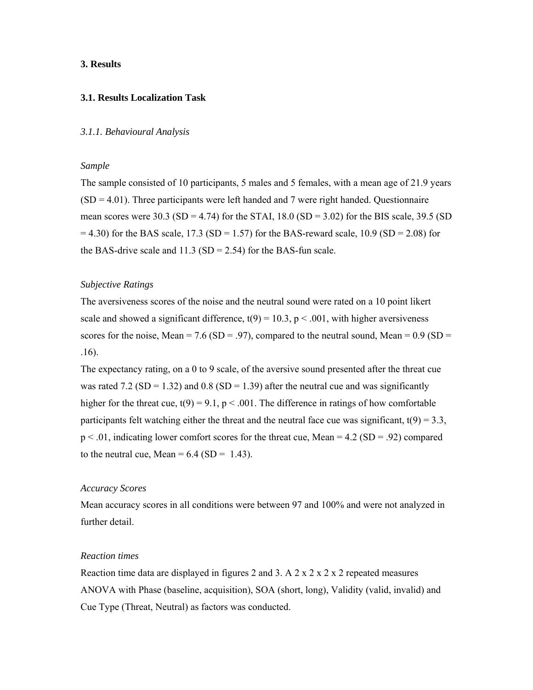#### **3. Results**

### **3.1. Results Localization Task**

#### *3.1.1. Behavioural Analysis*

#### *Sample*

The sample consisted of 10 participants, 5 males and 5 females, with a mean age of 21.9 years  $(SD = 4.01)$ . Three participants were left handed and 7 were right handed. Questionnaire mean scores were 30.3 (SD = 4.74) for the STAI,  $18.0$  (SD = 3.02) for the BIS scale, 39.5 (SD  $= 4.30$ ) for the BAS scale, 17.3 (SD = 1.57) for the BAS-reward scale, 10.9 (SD = 2.08) for the BAS-drive scale and  $11.3$  (SD = 2.54) for the BAS-fun scale.

#### *Subjective Ratings*

The aversiveness scores of the noise and the neutral sound were rated on a 10 point likert scale and showed a significant difference,  $t(9) = 10.3$ ,  $p < .001$ , with higher aversiveness scores for the noise, Mean = 7.6 (SD = .97), compared to the neutral sound, Mean =  $0.9$  (SD = .16).

The expectancy rating, on a 0 to 9 scale, of the aversive sound presented after the threat cue was rated 7.2 (SD = 1.32) and 0.8 (SD = 1.39) after the neutral cue and was significantly higher for the threat cue,  $t(9) = 9.1$ ,  $p < .001$ . The difference in ratings of how comfortable participants felt watching either the threat and the neutral face cue was significant,  $t(9) = 3.3$ ,  $p < .01$ , indicating lower comfort scores for the threat cue, Mean = 4.2 (SD = .92) compared to the neutral cue, Mean =  $6.4$  (SD = 1.43).

#### *Accuracy Scores*

Mean accuracy scores in all conditions were between 97 and 100% and were not analyzed in further detail.

## *Reaction times*

Reaction time data are displayed in figures 2 and 3. A 2 x 2 x 2 x 2 repeated measures ANOVA with Phase (baseline, acquisition), SOA (short, long), Validity (valid, invalid) and Cue Type (Threat, Neutral) as factors was conducted.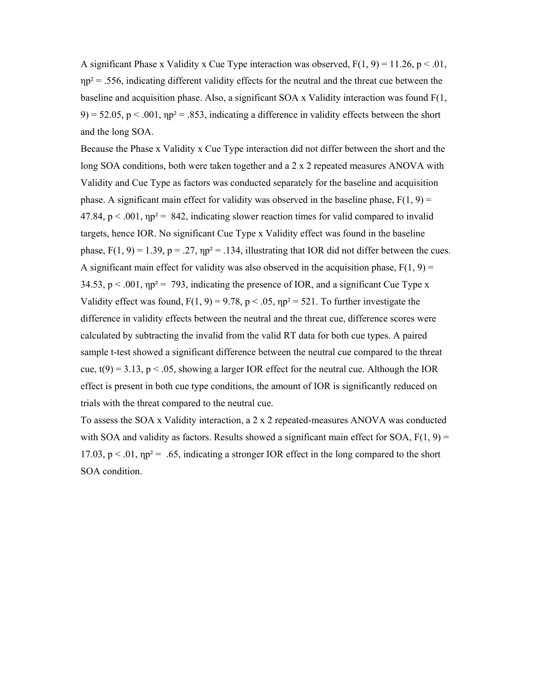A significant Phase x Validity x Cue Type interaction was observed,  $F(1, 9) = 11.26$ ,  $p < .01$ ,  $np^2$  = .556, indicating different validity effects for the neutral and the threat cue between the baseline and acquisition phase. Also, a significant SOA x Validity interaction was found F(1, 9) = 52.05, p < .001,  $np^2$  = .853, indicating a difference in validity effects between the short and the long SOA.

Because the Phase x Validity x Cue Type interaction did not differ between the short and the long SOA conditions, both were taken together and a 2 x 2 repeated measures ANOVA with Validity and Cue Type as factors was conducted separately for the baseline and acquisition phase. A significant main effect for validity was observed in the baseline phase,  $F(1, 9) =$  $47.84$ ,  $p < .001$ ,  $np^2 = .842$ , indicating slower reaction times for valid compared to invalid targets, hence IOR. No significant Cue Type x Validity effect was found in the baseline phase,  $F(1, 9) = 1.39$ ,  $p = .27$ ,  $np^2 = .134$ , illustrating that IOR did not differ between the cues. A significant main effect for validity was also observed in the acquisition phase,  $F(1, 9) =$  $34.53$ ,  $p < .001$ ,  $np^2 = .793$ , indicating the presence of IOR, and a significant Cue Type x Validity effect was found,  $F(1, 9) = 9.78$ ,  $p < .05$ ,  $np^2 = 521$ . To further investigate the difference in validity effects between the neutral and the threat cue, difference scores were calculated by subtracting the invalid from the valid RT data for both cue types. A paired sample t-test showed a significant difference between the neutral cue compared to the threat cue,  $t(9) = 3.13$ ,  $p < .05$ , showing a larger IOR effect for the neutral cue. Although the IOR effect is present in both cue type conditions, the amount of IOR is significantly reduced on trials with the threat compared to the neutral cue.

To assess the SOA x Validity interaction, a 2 x 2 repeated-measures ANOVA was conducted with SOA and validity as factors. Results showed a significant main effect for SOA,  $F(1, 9) =$ 17.03,  $p < 0.01$ ,  $np^2 = 0.65$ , indicating a stronger IOR effect in the long compared to the short SOA condition.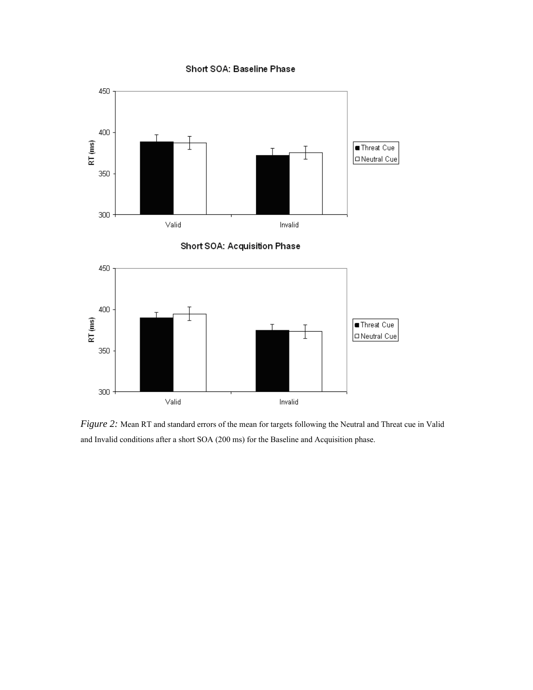## Short SOA: Baseline Phase







*Figure 2:* Mean RT and standard errors of the mean for targets following the Neutral and Threat cue in Valid and Invalid conditions after a short SOA (200 ms) for the Baseline and Acquisition phase.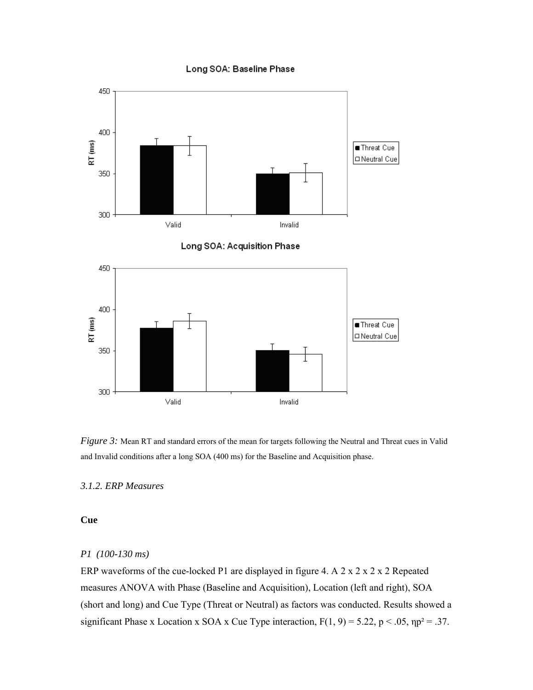#### Long SOA: Baseline Phase







*Figure 3:* Mean RT and standard errors of the mean for targets following the Neutral and Threat cues in Valid and Invalid conditions after a long SOA (400 ms) for the Baseline and Acquisition phase.

## *3.1.2. ERP Measures*

## **Cue**

## *P1 (100-130 ms)*

ERP waveforms of the cue-locked P1 are displayed in figure 4. A 2 x 2 x 2 x 2 Repeated measures ANOVA with Phase (Baseline and Acquisition), Location (left and right), SOA (short and long) and Cue Type (Threat or Neutral) as factors was conducted. Results showed a significant Phase x Location x SOA x Cue Type interaction,  $F(1, 9) = 5.22$ ,  $p < .05$ ,  $np^2 = .37$ .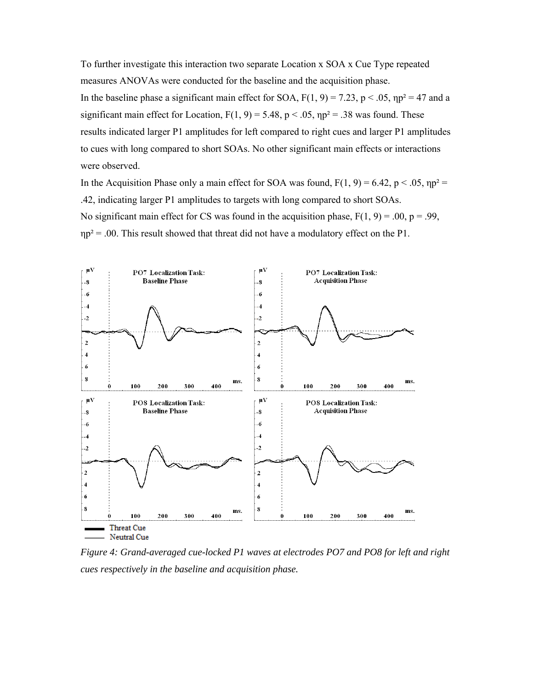To further investigate this interaction two separate Location x SOA x Cue Type repeated measures ANOVAs were conducted for the baseline and the acquisition phase. In the baseline phase a significant main effect for SOA,  $F(1, 9) = 7.23$ ,  $p < .05$ ,  $np^2 = 47$  and a significant main effect for Location,  $F(1, 9) = 5.48$ ,  $p < .05$ ,  $np^2 = .38$  was found. These results indicated larger P1 amplitudes for left compared to right cues and larger P1 amplitudes to cues with long compared to short SOAs. No other significant main effects or interactions were observed.

In the Acquisition Phase only a main effect for SOA was found,  $F(1, 9) = 6.42$ ,  $p < .05$ ,  $np^2 =$ .42, indicating larger P1 amplitudes to targets with long compared to short SOAs. No significant main effect for CS was found in the acquisition phase,  $F(1, 9) = .00$ ,  $p = .99$ ,  $np^2 = .00$ . This result showed that threat did not have a modulatory effect on the P1.



*Figure 4: Grand-averaged cue-locked P1 waves at electrodes PO7 and PO8 for left and right cues respectively in the baseline and acquisition phase.*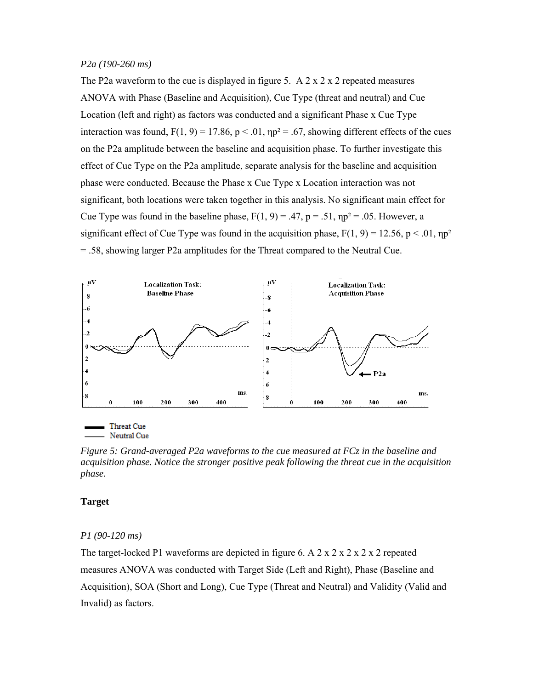#### *P2a (190-260 ms)*

The P2a waveform to the cue is displayed in figure 5. A  $2 \times 2 \times 2$  repeated measures ANOVA with Phase (Baseline and Acquisition), Cue Type (threat and neutral) and Cue Location (left and right) as factors was conducted and a significant Phase x Cue Type interaction was found,  $F(1, 9) = 17.86$ ,  $p < .01$ ,  $np^2 = .67$ , showing different effects of the cues on the P2a amplitude between the baseline and acquisition phase. To further investigate this effect of Cue Type on the P2a amplitude, separate analysis for the baseline and acquisition phase were conducted. Because the Phase x Cue Type x Location interaction was not significant, both locations were taken together in this analysis. No significant main effect for Cue Type was found in the baseline phase,  $F(1, 9) = .47$ ,  $p = .51$ ,  $np^2 = .05$ . However, a significant effect of Cue Type was found in the acquisition phase,  $F(1, 9) = 12.56$ ,  $p < .01$ ,  $np^2$ = .58, showing larger P2a amplitudes for the Threat compared to the Neutral Cue.



Neutral Cue

*Figure 5: Grand-averaged P2a waveforms to the cue measured at FCz in the baseline and acquisition phase. Notice the stronger positive peak following the threat cue in the acquisition phase.* 

#### **Target**

#### *P1 (90-120 ms)*

The target-locked P1 waveforms are depicted in figure 6. A 2 x 2 x 2 x 2 x 2 repeated measures ANOVA was conducted with Target Side (Left and Right), Phase (Baseline and Acquisition), SOA (Short and Long), Cue Type (Threat and Neutral) and Validity (Valid and Invalid) as factors.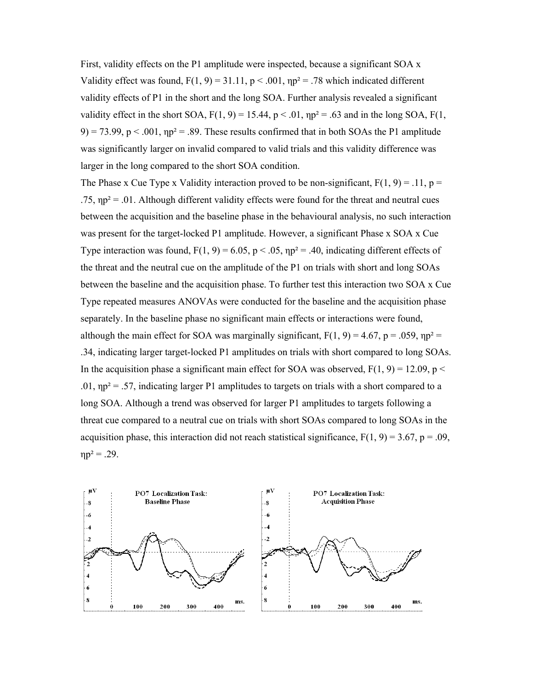First, validity effects on the P1 amplitude were inspected, because a significant SOA x Validity effect was found,  $F(1, 9) = 31.11$ ,  $p < .001$ ,  $np^2 = .78$  which indicated different validity effects of P1 in the short and the long SOA. Further analysis revealed a significant validity effect in the short SOA,  $F(1, 9) = 15.44$ ,  $p < .01$ ,  $np^2 = .63$  and in the long SOA,  $F(1,$ 9) = 73.99, p < .001,  $np^2$  = .89. These results confirmed that in both SOAs the P1 amplitude was significantly larger on invalid compared to valid trials and this validity difference was larger in the long compared to the short SOA condition.

The Phase x Cue Type x Validity interaction proved to be non-significant,  $F(1, 9) = .11$ ,  $p =$ .75,  $np^2$  = .01. Although different validity effects were found for the threat and neutral cues between the acquisition and the baseline phase in the behavioural analysis, no such interaction was present for the target-locked P1 amplitude. However, a significant Phase x SOA x Cue Type interaction was found,  $F(1, 9) = 6.05$ ,  $p < .05$ ,  $np^2 = .40$ , indicating different effects of the threat and the neutral cue on the amplitude of the P1 on trials with short and long SOAs between the baseline and the acquisition phase. To further test this interaction two SOA x Cue Type repeated measures ANOVAs were conducted for the baseline and the acquisition phase separately. In the baseline phase no significant main effects or interactions were found, although the main effect for SOA was marginally significant,  $F(1, 9) = 4.67$ ,  $p = .059$ ,  $np^2 =$ .34, indicating larger target-locked P1 amplitudes on trials with short compared to long SOAs. In the acquisition phase a significant main effect for SOA was observed,  $F(1, 9) = 12.09$ , p < .01,  $np^2 = .57$ , indicating larger P1 amplitudes to targets on trials with a short compared to a long SOA. Although a trend was observed for larger P1 amplitudes to targets following a threat cue compared to a neutral cue on trials with short SOAs compared to long SOAs in the acquisition phase, this interaction did not reach statistical significance,  $F(1, 9) = 3.67$ ,  $p = .09$ ,  $ηp² = .29.$ 

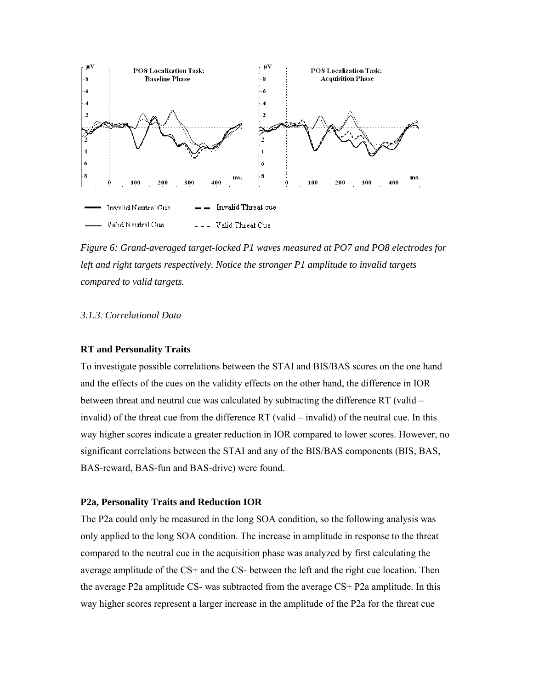

*Figure 6: Grand-averaged target-locked P1 waves measured at PO7 and PO8 electrodes for left and right targets respectively. Notice the stronger P1 amplitude to invalid targets compared to valid targets.* 

## *3.1.3. Correlational Data*

#### **RT and Personality Traits**

To investigate possible correlations between the STAI and BIS/BAS scores on the one hand and the effects of the cues on the validity effects on the other hand, the difference in IOR between threat and neutral cue was calculated by subtracting the difference RT (valid – invalid) of the threat cue from the difference RT (valid – invalid) of the neutral cue. In this way higher scores indicate a greater reduction in IOR compared to lower scores. However, no significant correlations between the STAI and any of the BIS/BAS components (BIS, BAS, BAS-reward, BAS-fun and BAS-drive) were found.

#### **P2a, Personality Traits and Reduction IOR**

The P2a could only be measured in the long SOA condition, so the following analysis was only applied to the long SOA condition. The increase in amplitude in response to the threat compared to the neutral cue in the acquisition phase was analyzed by first calculating the average amplitude of the CS+ and the CS- between the left and the right cue location. Then the average P2a amplitude CS- was subtracted from the average CS+ P2a amplitude. In this way higher scores represent a larger increase in the amplitude of the P2a for the threat cue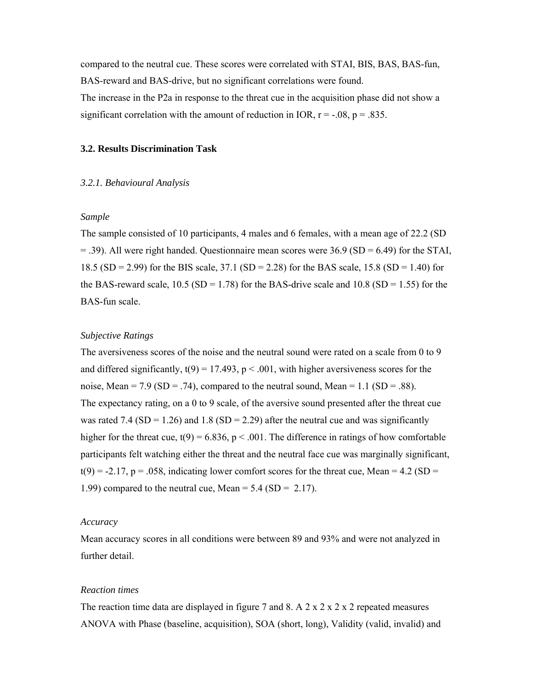compared to the neutral cue. These scores were correlated with STAI, BIS, BAS, BAS-fun, BAS-reward and BAS-drive, but no significant correlations were found.

The increase in the P2a in response to the threat cue in the acquisition phase did not show a significant correlation with the amount of reduction in IOR,  $r = -0.08$ ,  $p = 0.835$ .

## **3.2. Results Discrimination Task**

#### *3.2.1. Behavioural Analysis*

## *Sample*

The sample consisted of 10 participants, 4 males and 6 females, with a mean age of 22.2 (SD  $=$  .39). All were right handed. Questionnaire mean scores were 36.9 (SD = 6.49) for the STAI, 18.5 (SD = 2.99) for the BIS scale, 37.1 (SD = 2.28) for the BAS scale, 15.8 (SD = 1.40) for the BAS-reward scale,  $10.5$  (SD = 1.78) for the BAS-drive scale and  $10.8$  (SD = 1.55) for the BAS-fun scale.

#### *Subjective Ratings*

The aversiveness scores of the noise and the neutral sound were rated on a scale from 0 to 9 and differed significantly,  $t(9) = 17.493$ ,  $p < .001$ , with higher aversiveness scores for the noise, Mean = 7.9 (SD = .74), compared to the neutral sound, Mean = 1.1 (SD = .88). The expectancy rating, on a 0 to 9 scale, of the aversive sound presented after the threat cue was rated 7.4 (SD = 1.26) and 1.8 (SD = 2.29) after the neutral cue and was significantly higher for the threat cue,  $t(9) = 6.836$ ,  $p < .001$ . The difference in ratings of how comfortable participants felt watching either the threat and the neutral face cue was marginally significant,  $t(9) = -2.17$ ,  $p = .058$ , indicating lower comfort scores for the threat cue, Mean = 4.2 (SD = 1.99) compared to the neutral cue, Mean =  $5.4$  (SD =  $2.17$ ).

#### *Accuracy*

Mean accuracy scores in all conditions were between 89 and 93% and were not analyzed in further detail.

### *Reaction times*

The reaction time data are displayed in figure 7 and 8. A  $2 \times 2 \times 2 \times 2$  repeated measures ANOVA with Phase (baseline, acquisition), SOA (short, long), Validity (valid, invalid) and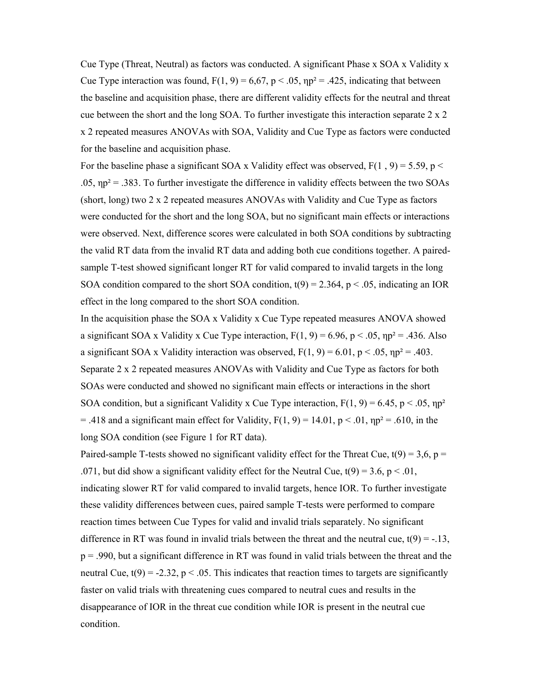Cue Type (Threat, Neutral) as factors was conducted. A significant Phase x SOA x Validity x Cue Type interaction was found,  $F(1, 9) = 6,67$ ,  $p < .05$ ,  $np^2 = .425$ , indicating that between the baseline and acquisition phase, there are different validity effects for the neutral and threat cue between the short and the long SOA. To further investigate this interaction separate 2 x 2 x 2 repeated measures ANOVAs with SOA, Validity and Cue Type as factors were conducted for the baseline and acquisition phase.

For the baseline phase a significant SOA x Validity effect was observed,  $F(1, 9) = 5.59$ , p < .05,  $np^2 = .383$ . To further investigate the difference in validity effects between the two SOAs (short, long) two 2 x 2 repeated measures ANOVAs with Validity and Cue Type as factors were conducted for the short and the long SOA, but no significant main effects or interactions were observed. Next, difference scores were calculated in both SOA conditions by subtracting the valid RT data from the invalid RT data and adding both cue conditions together. A pairedsample T-test showed significant longer RT for valid compared to invalid targets in the long SOA condition compared to the short SOA condition,  $t(9) = 2.364$ ,  $p < .05$ , indicating an IOR effect in the long compared to the short SOA condition.

In the acquisition phase the SOA x Validity x Cue Type repeated measures ANOVA showed a significant SOA x Validity x Cue Type interaction,  $F(1, 9) = 6.96$ ,  $p < .05$ ,  $np^2 = .436$ . Also a significant SOA x Validity interaction was observed,  $F(1, 9) = 6.01$ ,  $p < .05$ ,  $np^2 = .403$ . Separate 2 x 2 repeated measures ANOVAs with Validity and Cue Type as factors for both SOAs were conducted and showed no significant main effects or interactions in the short SOA condition, but a significant Validity x Cue Type interaction,  $F(1, 9) = 6.45$ ,  $p < .05$ ,  $np^2$  $=$  .418 and a significant main effect for Validity, F(1, 9) = 14.01, p < .01, np<sup>2</sup> = .610, in the long SOA condition (see Figure 1 for RT data).

Paired-sample T-tests showed no significant validity effect for the Threat Cue,  $t(9) = 3, 6, p = 1$ .071, but did show a significant validity effect for the Neutral Cue,  $t(9) = 3.6$ ,  $p < .01$ , indicating slower RT for valid compared to invalid targets, hence IOR. To further investigate these validity differences between cues, paired sample T-tests were performed to compare reaction times between Cue Types for valid and invalid trials separately. No significant difference in RT was found in invalid trials between the threat and the neutral cue,  $t(9) = -13$ , p = .990, but a significant difference in RT was found in valid trials between the threat and the neutral Cue,  $t(9) = -2.32$ ,  $p < .05$ . This indicates that reaction times to targets are significantly faster on valid trials with threatening cues compared to neutral cues and results in the disappearance of IOR in the threat cue condition while IOR is present in the neutral cue condition.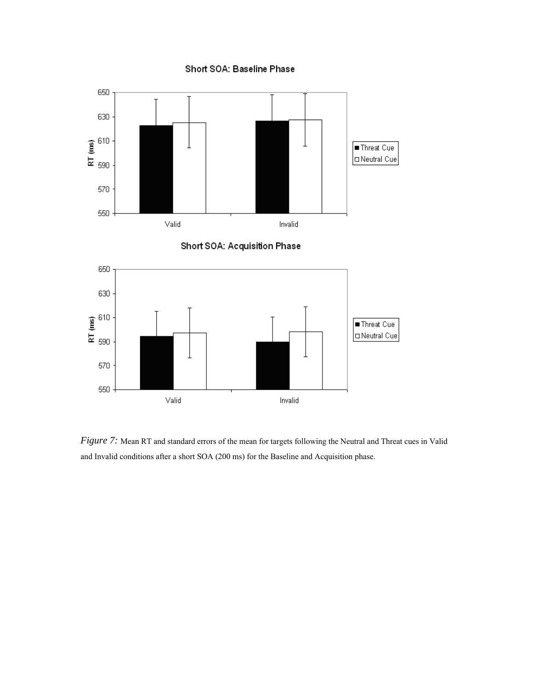## Short SOA: Baseline Phase

![](_page_31_Figure_1.jpeg)

![](_page_31_Figure_2.jpeg)

![](_page_31_Figure_3.jpeg)

*Figure 7:* Mean RT and standard errors of the mean for targets following the Neutral and Threat cues in Valid and Invalid conditions after a short SOA (200 ms) for the Baseline and Acquisition phase.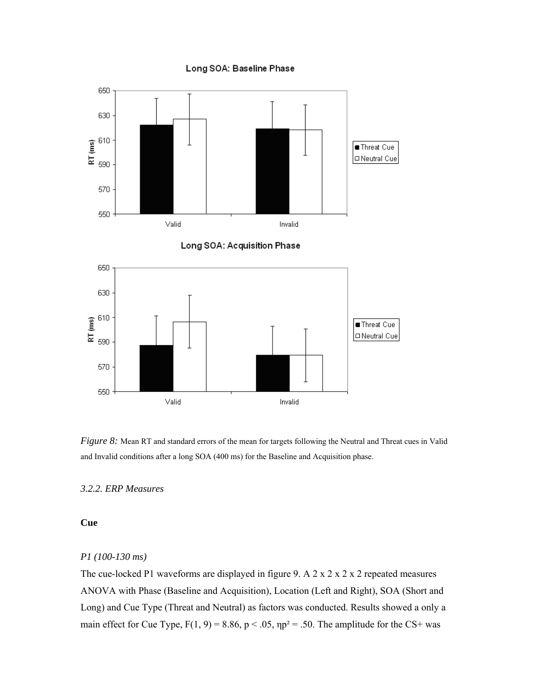#### Long SOA: Baseline Phase

![](_page_32_Figure_1.jpeg)

![](_page_32_Figure_2.jpeg)

![](_page_32_Figure_3.jpeg)

*Figure 8:* Mean RT and standard errors of the mean for targets following the Neutral and Threat cues in Valid and Invalid conditions after a long SOA (400 ms) for the Baseline and Acquisition phase.

# *3.2.2. ERP Measures*

# **Cue**

### *P1 (100-130 ms)*

The cue-locked P1 waveforms are displayed in figure 9. A 2 x 2 x 2 x 2 repeated measures ANOVA with Phase (Baseline and Acquisition), Location (Left and Right), SOA (Short and Long) and Cue Type (Threat and Neutral) as factors was conducted. Results showed a only a main effect for Cue Type,  $F(1, 9) = 8.86$ ,  $p < .05$ ,  $np^2 = .50$ . The amplitude for the CS+ was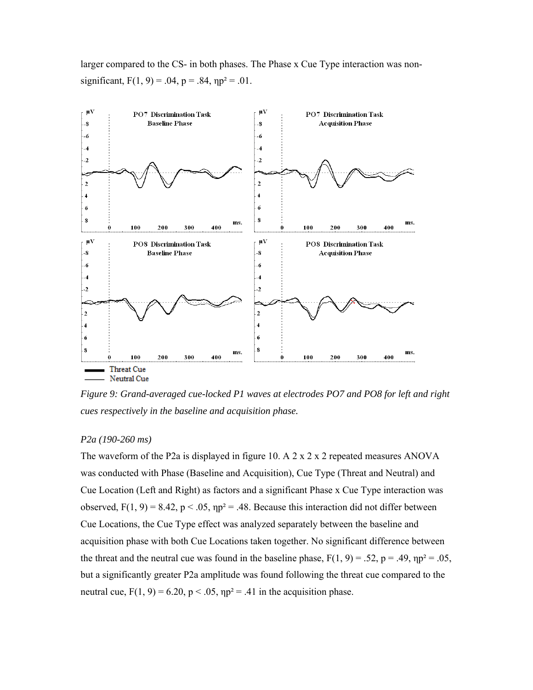larger compared to the CS- in both phases. The Phase x Cue Type interaction was nonsignificant,  $F(1, 9) = .04$ ,  $p = .84$ ,  $np^2 = .01$ .

![](_page_33_Figure_1.jpeg)

*Figure 9: Grand-averaged cue-locked P1 waves at electrodes PO7 and PO8 for left and right cues respectively in the baseline and acquisition phase.*

#### *P2a (190-260 ms)*

The waveform of the P2a is displayed in figure 10. A  $2 \times 2 \times 2$  repeated measures ANOVA was conducted with Phase (Baseline and Acquisition), Cue Type (Threat and Neutral) and Cue Location (Left and Right) as factors and a significant Phase x Cue Type interaction was observed,  $F(1, 9) = 8.42$ ,  $p < .05$ ,  $np^2 = .48$ . Because this interaction did not differ between Cue Locations, the Cue Type effect was analyzed separately between the baseline and acquisition phase with both Cue Locations taken together. No significant difference between the threat and the neutral cue was found in the baseline phase,  $F(1, 9) = .52$ ,  $p = .49$ ,  $np^2 = .05$ , but a significantly greater P2a amplitude was found following the threat cue compared to the neutral cue,  $F(1, 9) = 6.20$ ,  $p < .05$ ,  $np^2 = .41$  in the acquisition phase.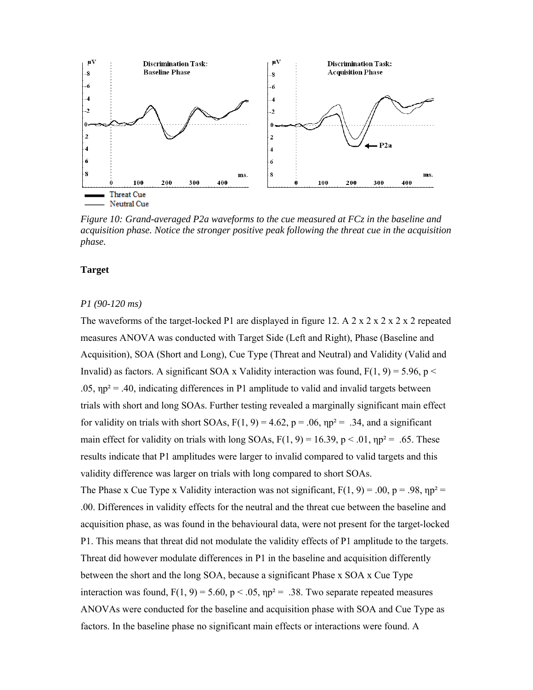![](_page_34_Figure_0.jpeg)

*Figure 10: Grand-averaged P2a waveforms to the cue measured at FCz in the baseline and acquisition phase. Notice the stronger positive peak following the threat cue in the acquisition phase.* 

## **Target**

#### *P1 (90-120 ms)*

The waveforms of the target-locked P1 are displayed in figure 12. A 2 x 2 x 2 x 2 x 2 repeated measures ANOVA was conducted with Target Side (Left and Right), Phase (Baseline and Acquisition), SOA (Short and Long), Cue Type (Threat and Neutral) and Validity (Valid and Invalid) as factors. A significant SOA x Validity interaction was found,  $F(1, 9) = 5.96$ , p < .05,  $np^2$  = .40, indicating differences in P1 amplitude to valid and invalid targets between trials with short and long SOAs. Further testing revealed a marginally significant main effect for validity on trials with short SOAs,  $F(1, 9) = 4.62$ ,  $p = .06$ ,  $np^2 = .34$ , and a significant main effect for validity on trials with long SOAs,  $F(1, 9) = 16.39$ ,  $p < .01$ ,  $np^2 = .65$ . These results indicate that P1 amplitudes were larger to invalid compared to valid targets and this validity difference was larger on trials with long compared to short SOAs. The Phase x Cue Type x Validity interaction was not significant,  $F(1, 9) = .00$ ,  $p = .98$ ,  $np^2 =$ .00. Differences in validity effects for the neutral and the threat cue between the baseline and acquisition phase, as was found in the behavioural data, were not present for the target-locked P1. This means that threat did not modulate the validity effects of P1 amplitude to the targets. Threat did however modulate differences in P1 in the baseline and acquisition differently between the short and the long SOA, because a significant Phase x SOA x Cue Type interaction was found,  $F(1, 9) = 5.60$ ,  $p < .05$ ,  $np^2 = .38$ . Two separate repeated measures ANOVAs were conducted for the baseline and acquisition phase with SOA and Cue Type as

factors. In the baseline phase no significant main effects or interactions were found. A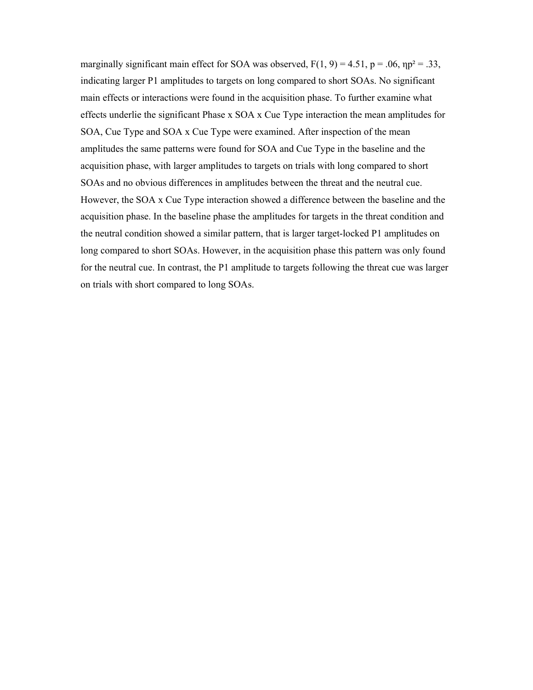marginally significant main effect for SOA was observed,  $F(1, 9) = 4.51$ ,  $p = .06$ ,  $np^2 = .33$ , indicating larger P1 amplitudes to targets on long compared to short SOAs. No significant main effects or interactions were found in the acquisition phase. To further examine what effects underlie the significant Phase x SOA x Cue Type interaction the mean amplitudes for SOA, Cue Type and SOA x Cue Type were examined. After inspection of the mean amplitudes the same patterns were found for SOA and Cue Type in the baseline and the acquisition phase, with larger amplitudes to targets on trials with long compared to short SOAs and no obvious differences in amplitudes between the threat and the neutral cue. However, the SOA x Cue Type interaction showed a difference between the baseline and the acquisition phase. In the baseline phase the amplitudes for targets in the threat condition and the neutral condition showed a similar pattern, that is larger target-locked P1 amplitudes on long compared to short SOAs. However, in the acquisition phase this pattern was only found for the neutral cue. In contrast, the P1 amplitude to targets following the threat cue was larger on trials with short compared to long SOAs.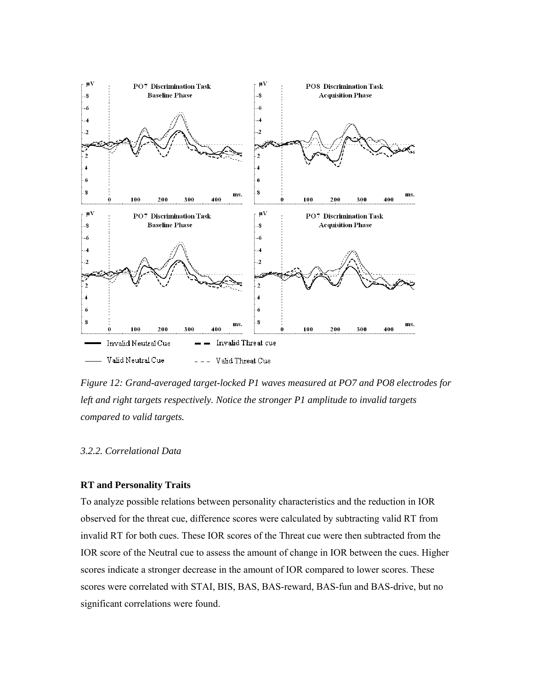

*Figure 12: Grand-averaged target-locked P1 waves measured at PO7 and PO8 electrodes for left and right targets respectively. Notice the stronger P1 amplitude to invalid targets compared to valid targets.* 

# *3.2.2. Correlational Data*

## **RT and Personality Traits**

To analyze possible relations between personality characteristics and the reduction in IOR observed for the threat cue, difference scores were calculated by subtracting valid RT from invalid RT for both cues. These IOR scores of the Threat cue were then subtracted from the IOR score of the Neutral cue to assess the amount of change in IOR between the cues. Higher scores indicate a stronger decrease in the amount of IOR compared to lower scores. These scores were correlated with STAI, BIS, BAS, BAS-reward, BAS-fun and BAS-drive, but no significant correlations were found.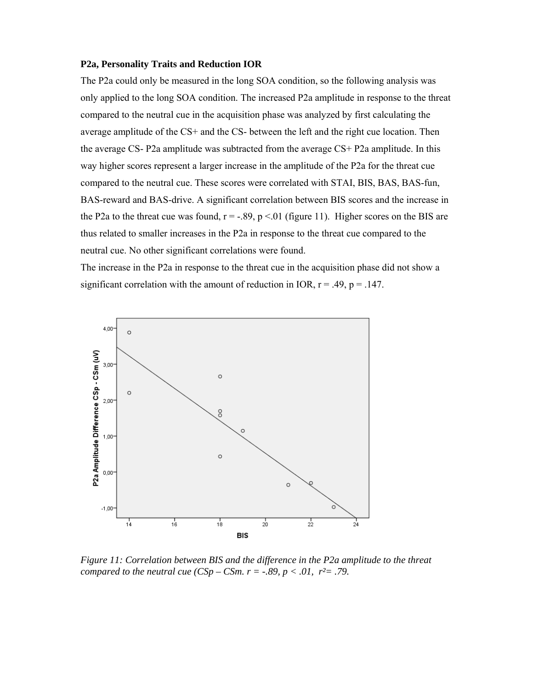#### **P2a, Personality Traits and Reduction IOR**

The P2a could only be measured in the long SOA condition, so the following analysis was only applied to the long SOA condition. The increased P2a amplitude in response to the threat compared to the neutral cue in the acquisition phase was analyzed by first calculating the average amplitude of the CS+ and the CS- between the left and the right cue location. Then the average CS- P2a amplitude was subtracted from the average CS+ P2a amplitude. In this way higher scores represent a larger increase in the amplitude of the P2a for the threat cue compared to the neutral cue. These scores were correlated with STAI, BIS, BAS, BAS-fun, BAS-reward and BAS-drive. A significant correlation between BIS scores and the increase in the P2a to the threat cue was found,  $r = -.89$ ,  $p < .01$  (figure 11). Higher scores on the BIS are thus related to smaller increases in the P2a in response to the threat cue compared to the neutral cue. No other significant correlations were found.

The increase in the P2a in response to the threat cue in the acquisition phase did not show a significant correlation with the amount of reduction in IOR,  $r = .49$ ,  $p = .147$ .



*Figure 11: Correlation between BIS and the difference in the P2a amplitude to the threat compared to the neutral cue (CSp – CSm. r = -.89, p < .01, r<sup>2</sup>= .79.*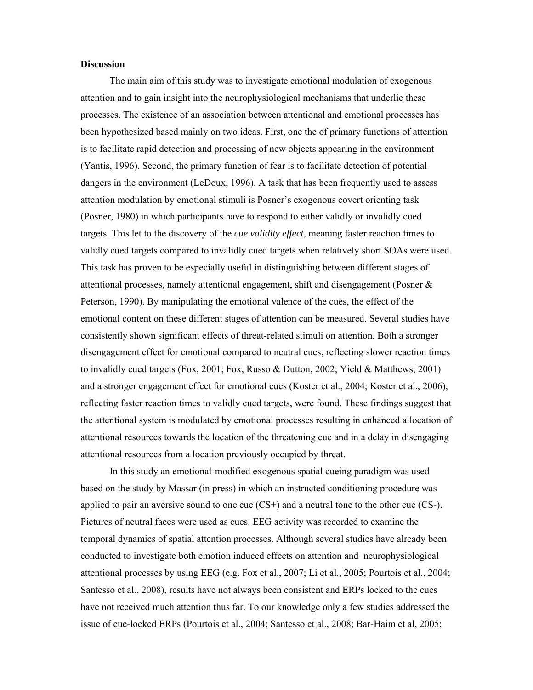## **Discussion**

The main aim of this study was to investigate emotional modulation of exogenous attention and to gain insight into the neurophysiological mechanisms that underlie these processes. The existence of an association between attentional and emotional processes has been hypothesized based mainly on two ideas. First, one the of primary functions of attention is to facilitate rapid detection and processing of new objects appearing in the environment (Yantis, 1996). Second, the primary function of fear is to facilitate detection of potential dangers in the environment (LeDoux, 1996). A task that has been frequently used to assess attention modulation by emotional stimuli is Posner's exogenous covert orienting task (Posner, 1980) in which participants have to respond to either validly or invalidly cued targets. This let to the discovery of the *cue validity effect*, meaning faster reaction times to validly cued targets compared to invalidly cued targets when relatively short SOAs were used. This task has proven to be especially useful in distinguishing between different stages of attentional processes, namely attentional engagement, shift and disengagement (Posner & Peterson, 1990). By manipulating the emotional valence of the cues, the effect of the emotional content on these different stages of attention can be measured. Several studies have consistently shown significant effects of threat-related stimuli on attention. Both a stronger disengagement effect for emotional compared to neutral cues, reflecting slower reaction times to invalidly cued targets (Fox, 2001; Fox, Russo & Dutton, 2002; Yield & Matthews, 2001) and a stronger engagement effect for emotional cues (Koster et al., 2004; Koster et al., 2006), reflecting faster reaction times to validly cued targets, were found. These findings suggest that the attentional system is modulated by emotional processes resulting in enhanced allocation of attentional resources towards the location of the threatening cue and in a delay in disengaging attentional resources from a location previously occupied by threat.

In this study an emotional-modified exogenous spatial cueing paradigm was used based on the study by Massar (in press) in which an instructed conditioning procedure was applied to pair an aversive sound to one cue  $(CS<sup>+</sup>)$  and a neutral tone to the other cue  $(CS<sup>-</sup>)$ . Pictures of neutral faces were used as cues. EEG activity was recorded to examine the temporal dynamics of spatial attention processes. Although several studies have already been conducted to investigate both emotion induced effects on attention and neurophysiological attentional processes by using EEG (e.g. Fox et al., 2007; Li et al., 2005; Pourtois et al., 2004; Santesso et al., 2008), results have not always been consistent and ERPs locked to the cues have not received much attention thus far. To our knowledge only a few studies addressed the issue of cue-locked ERPs (Pourtois et al., 2004; Santesso et al., 2008; Bar-Haim et al, 2005;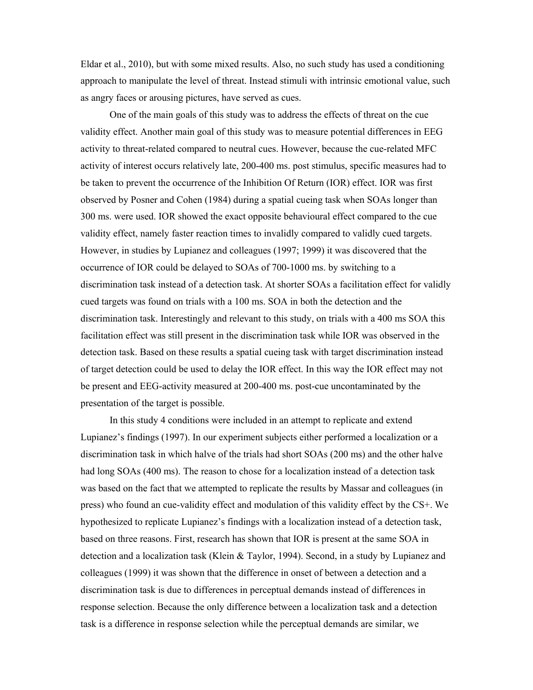Eldar et al., 2010), but with some mixed results. Also, no such study has used a conditioning approach to manipulate the level of threat. Instead stimuli with intrinsic emotional value, such as angry faces or arousing pictures, have served as cues.

One of the main goals of this study was to address the effects of threat on the cue validity effect. Another main goal of this study was to measure potential differences in EEG activity to threat-related compared to neutral cues. However, because the cue-related MFC activity of interest occurs relatively late, 200-400 ms. post stimulus, specific measures had to be taken to prevent the occurrence of the Inhibition Of Return (IOR) effect. IOR was first observed by Posner and Cohen (1984) during a spatial cueing task when SOAs longer than 300 ms. were used. IOR showed the exact opposite behavioural effect compared to the cue validity effect, namely faster reaction times to invalidly compared to validly cued targets. However, in studies by Lupianez and colleagues (1997; 1999) it was discovered that the occurrence of IOR could be delayed to SOAs of 700-1000 ms. by switching to a discrimination task instead of a detection task. At shorter SOAs a facilitation effect for validly cued targets was found on trials with a 100 ms. SOA in both the detection and the discrimination task. Interestingly and relevant to this study, on trials with a 400 ms SOA this facilitation effect was still present in the discrimination task while IOR was observed in the detection task. Based on these results a spatial cueing task with target discrimination instead of target detection could be used to delay the IOR effect. In this way the IOR effect may not be present and EEG-activity measured at 200-400 ms. post-cue uncontaminated by the presentation of the target is possible.

In this study 4 conditions were included in an attempt to replicate and extend Lupianez's findings (1997). In our experiment subjects either performed a localization or a discrimination task in which halve of the trials had short SOAs (200 ms) and the other halve had long SOAs (400 ms). The reason to chose for a localization instead of a detection task was based on the fact that we attempted to replicate the results by Massar and colleagues (in press) who found an cue-validity effect and modulation of this validity effect by the CS+. We hypothesized to replicate Lupianez's findings with a localization instead of a detection task, based on three reasons. First, research has shown that IOR is present at the same SOA in detection and a localization task (Klein & Taylor, 1994). Second, in a study by Lupianez and colleagues (1999) it was shown that the difference in onset of between a detection and a discrimination task is due to differences in perceptual demands instead of differences in response selection. Because the only difference between a localization task and a detection task is a difference in response selection while the perceptual demands are similar, we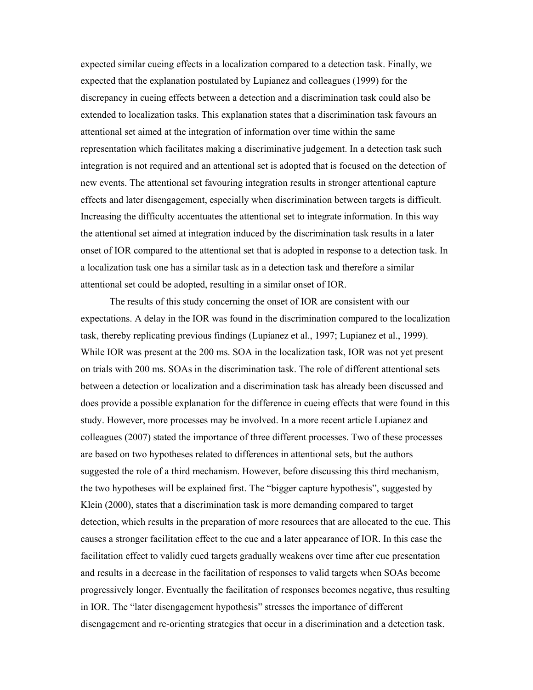expected similar cueing effects in a localization compared to a detection task. Finally, we expected that the explanation postulated by Lupianez and colleagues (1999) for the discrepancy in cueing effects between a detection and a discrimination task could also be extended to localization tasks. This explanation states that a discrimination task favours an attentional set aimed at the integration of information over time within the same representation which facilitates making a discriminative judgement. In a detection task such integration is not required and an attentional set is adopted that is focused on the detection of new events. The attentional set favouring integration results in stronger attentional capture effects and later disengagement, especially when discrimination between targets is difficult. Increasing the difficulty accentuates the attentional set to integrate information. In this way the attentional set aimed at integration induced by the discrimination task results in a later onset of IOR compared to the attentional set that is adopted in response to a detection task. In a localization task one has a similar task as in a detection task and therefore a similar attentional set could be adopted, resulting in a similar onset of IOR.

The results of this study concerning the onset of IOR are consistent with our expectations. A delay in the IOR was found in the discrimination compared to the localization task, thereby replicating previous findings (Lupianez et al., 1997; Lupianez et al., 1999). While IOR was present at the 200 ms. SOA in the localization task, IOR was not yet present on trials with 200 ms. SOAs in the discrimination task. The role of different attentional sets between a detection or localization and a discrimination task has already been discussed and does provide a possible explanation for the difference in cueing effects that were found in this study. However, more processes may be involved. In a more recent article Lupianez and colleagues (2007) stated the importance of three different processes. Two of these processes are based on two hypotheses related to differences in attentional sets, but the authors suggested the role of a third mechanism. However, before discussing this third mechanism, the two hypotheses will be explained first. The "bigger capture hypothesis", suggested by Klein (2000), states that a discrimination task is more demanding compared to target detection, which results in the preparation of more resources that are allocated to the cue. This causes a stronger facilitation effect to the cue and a later appearance of IOR. In this case the facilitation effect to validly cued targets gradually weakens over time after cue presentation and results in a decrease in the facilitation of responses to valid targets when SOAs become progressively longer. Eventually the facilitation of responses becomes negative, thus resulting in IOR. The "later disengagement hypothesis" stresses the importance of different disengagement and re-orienting strategies that occur in a discrimination and a detection task.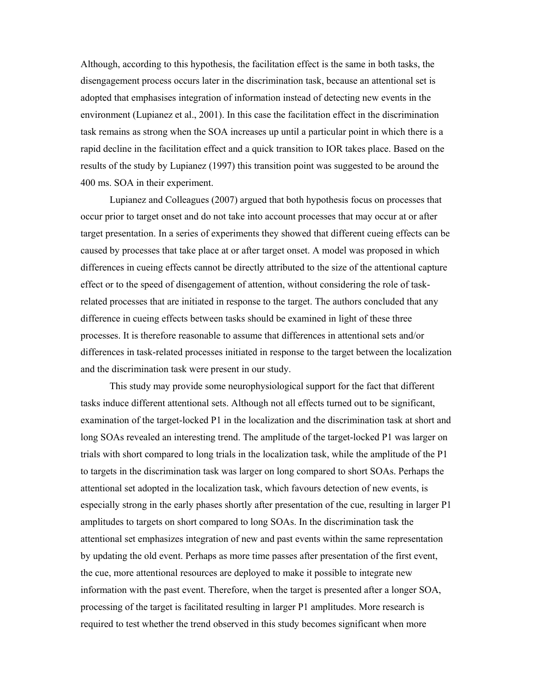Although, according to this hypothesis, the facilitation effect is the same in both tasks, the disengagement process occurs later in the discrimination task, because an attentional set is adopted that emphasises integration of information instead of detecting new events in the environment (Lupianez et al., 2001). In this case the facilitation effect in the discrimination task remains as strong when the SOA increases up until a particular point in which there is a rapid decline in the facilitation effect and a quick transition to IOR takes place. Based on the results of the study by Lupianez (1997) this transition point was suggested to be around the 400 ms. SOA in their experiment.

Lupianez and Colleagues (2007) argued that both hypothesis focus on processes that occur prior to target onset and do not take into account processes that may occur at or after target presentation. In a series of experiments they showed that different cueing effects can be caused by processes that take place at or after target onset. A model was proposed in which differences in cueing effects cannot be directly attributed to the size of the attentional capture effect or to the speed of disengagement of attention, without considering the role of taskrelated processes that are initiated in response to the target. The authors concluded that any difference in cueing effects between tasks should be examined in light of these three processes. It is therefore reasonable to assume that differences in attentional sets and/or differences in task-related processes initiated in response to the target between the localization and the discrimination task were present in our study.

This study may provide some neurophysiological support for the fact that different tasks induce different attentional sets. Although not all effects turned out to be significant, examination of the target-locked P1 in the localization and the discrimination task at short and long SOAs revealed an interesting trend. The amplitude of the target-locked P1 was larger on trials with short compared to long trials in the localization task, while the amplitude of the P1 to targets in the discrimination task was larger on long compared to short SOAs. Perhaps the attentional set adopted in the localization task, which favours detection of new events, is especially strong in the early phases shortly after presentation of the cue, resulting in larger P1 amplitudes to targets on short compared to long SOAs. In the discrimination task the attentional set emphasizes integration of new and past events within the same representation by updating the old event. Perhaps as more time passes after presentation of the first event, the cue, more attentional resources are deployed to make it possible to integrate new information with the past event. Therefore, when the target is presented after a longer SOA, processing of the target is facilitated resulting in larger P1 amplitudes. More research is required to test whether the trend observed in this study becomes significant when more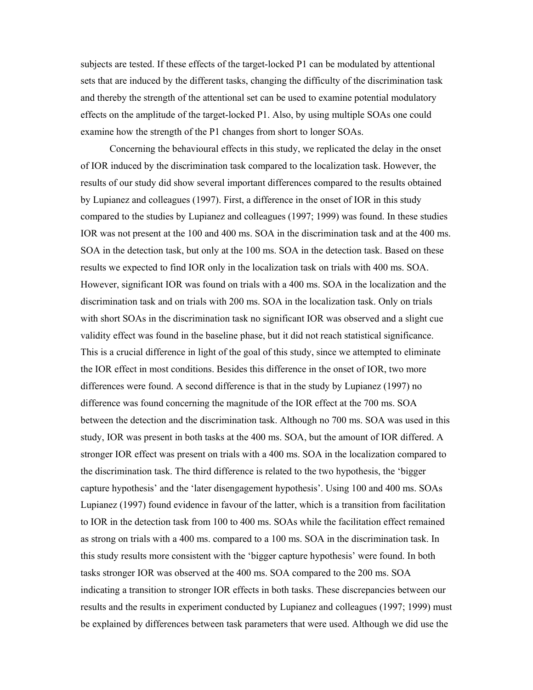subjects are tested. If these effects of the target-locked P1 can be modulated by attentional sets that are induced by the different tasks, changing the difficulty of the discrimination task and thereby the strength of the attentional set can be used to examine potential modulatory effects on the amplitude of the target-locked P1. Also, by using multiple SOAs one could examine how the strength of the P1 changes from short to longer SOAs.

Concerning the behavioural effects in this study, we replicated the delay in the onset of IOR induced by the discrimination task compared to the localization task. However, the results of our study did show several important differences compared to the results obtained by Lupianez and colleagues (1997). First, a difference in the onset of IOR in this study compared to the studies by Lupianez and colleagues (1997; 1999) was found. In these studies IOR was not present at the 100 and 400 ms. SOA in the discrimination task and at the 400 ms. SOA in the detection task, but only at the 100 ms. SOA in the detection task. Based on these results we expected to find IOR only in the localization task on trials with 400 ms. SOA. However, significant IOR was found on trials with a 400 ms. SOA in the localization and the discrimination task and on trials with 200 ms. SOA in the localization task. Only on trials with short SOAs in the discrimination task no significant IOR was observed and a slight cue validity effect was found in the baseline phase, but it did not reach statistical significance. This is a crucial difference in light of the goal of this study, since we attempted to eliminate the IOR effect in most conditions. Besides this difference in the onset of IOR, two more differences were found. A second difference is that in the study by Lupianez (1997) no difference was found concerning the magnitude of the IOR effect at the 700 ms. SOA between the detection and the discrimination task. Although no 700 ms. SOA was used in this study, IOR was present in both tasks at the 400 ms. SOA, but the amount of IOR differed. A stronger IOR effect was present on trials with a 400 ms. SOA in the localization compared to the discrimination task. The third difference is related to the two hypothesis, the 'bigger capture hypothesis' and the 'later disengagement hypothesis'. Using 100 and 400 ms. SOAs Lupianez (1997) found evidence in favour of the latter, which is a transition from facilitation to IOR in the detection task from 100 to 400 ms. SOAs while the facilitation effect remained as strong on trials with a 400 ms. compared to a 100 ms. SOA in the discrimination task. In this study results more consistent with the 'bigger capture hypothesis' were found. In both tasks stronger IOR was observed at the 400 ms. SOA compared to the 200 ms. SOA indicating a transition to stronger IOR effects in both tasks. These discrepancies between our results and the results in experiment conducted by Lupianez and colleagues (1997; 1999) must be explained by differences between task parameters that were used. Although we did use the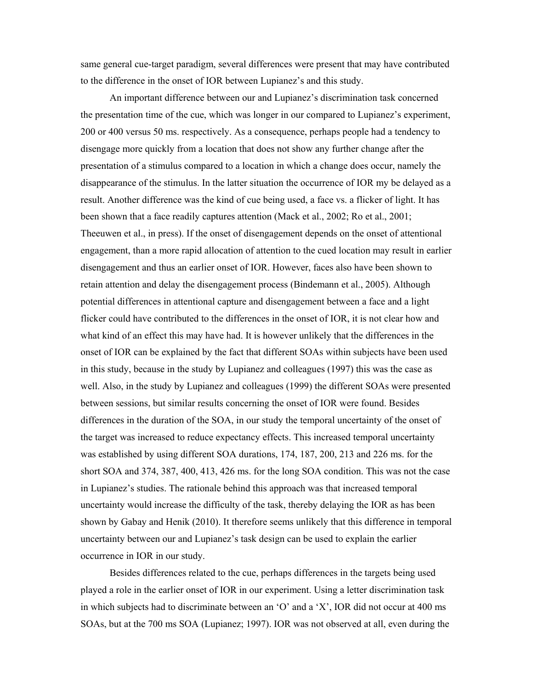same general cue-target paradigm, several differences were present that may have contributed to the difference in the onset of IOR between Lupianez's and this study.

An important difference between our and Lupianez's discrimination task concerned the presentation time of the cue, which was longer in our compared to Lupianez's experiment, 200 or 400 versus 50 ms. respectively. As a consequence, perhaps people had a tendency to disengage more quickly from a location that does not show any further change after the presentation of a stimulus compared to a location in which a change does occur, namely the disappearance of the stimulus. In the latter situation the occurrence of IOR my be delayed as a result. Another difference was the kind of cue being used, a face vs. a flicker of light. It has been shown that a face readily captures attention (Mack et al., 2002; Ro et al., 2001; Theeuwen et al., in press). If the onset of disengagement depends on the onset of attentional engagement, than a more rapid allocation of attention to the cued location may result in earlier disengagement and thus an earlier onset of IOR. However, faces also have been shown to retain attention and delay the disengagement process (Bindemann et al., 2005). Although potential differences in attentional capture and disengagement between a face and a light flicker could have contributed to the differences in the onset of IOR, it is not clear how and what kind of an effect this may have had. It is however unlikely that the differences in the onset of IOR can be explained by the fact that different SOAs within subjects have been used in this study, because in the study by Lupianez and colleagues (1997) this was the case as well. Also, in the study by Lupianez and colleagues (1999) the different SOAs were presented between sessions, but similar results concerning the onset of IOR were found. Besides differences in the duration of the SOA, in our study the temporal uncertainty of the onset of the target was increased to reduce expectancy effects. This increased temporal uncertainty was established by using different SOA durations, 174, 187, 200, 213 and 226 ms. for the short SOA and 374, 387, 400, 413, 426 ms. for the long SOA condition. This was not the case in Lupianez's studies. The rationale behind this approach was that increased temporal uncertainty would increase the difficulty of the task, thereby delaying the IOR as has been shown by Gabay and Henik (2010). It therefore seems unlikely that this difference in temporal uncertainty between our and Lupianez's task design can be used to explain the earlier occurrence in IOR in our study.

Besides differences related to the cue, perhaps differences in the targets being used played a role in the earlier onset of IOR in our experiment. Using a letter discrimination task in which subjects had to discriminate between an 'O' and a 'X', IOR did not occur at 400 ms SOAs, but at the 700 ms SOA (Lupianez; 1997). IOR was not observed at all, even during the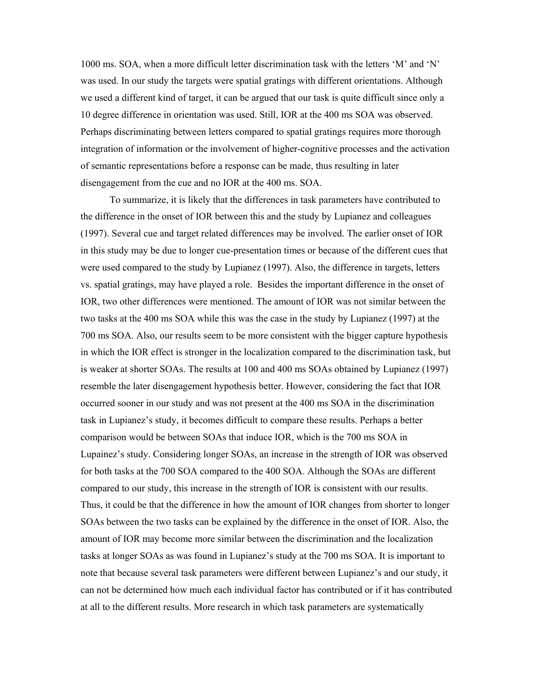1000 ms. SOA, when a more difficult letter discrimination task with the letters 'M' and 'N' was used. In our study the targets were spatial gratings with different orientations. Although we used a different kind of target, it can be argued that our task is quite difficult since only a 10 degree difference in orientation was used. Still, IOR at the 400 ms SOA was observed. Perhaps discriminating between letters compared to spatial gratings requires more thorough integration of information or the involvement of higher-cognitive processes and the activation of semantic representations before a response can be made, thus resulting in later disengagement from the cue and no IOR at the 400 ms. SOA.

To summarize, it is likely that the differences in task parameters have contributed to the difference in the onset of IOR between this and the study by Lupianez and colleagues (1997). Several cue and target related differences may be involved. The earlier onset of IOR in this study may be due to longer cue-presentation times or because of the different cues that were used compared to the study by Lupianez (1997). Also, the difference in targets, letters vs. spatial gratings, may have played a role. Besides the important difference in the onset of IOR, two other differences were mentioned. The amount of IOR was not similar between the two tasks at the 400 ms SOA while this was the case in the study by Lupianez (1997) at the 700 ms SOA. Also, our results seem to be more consistent with the bigger capture hypothesis in which the IOR effect is stronger in the localization compared to the discrimination task, but is weaker at shorter SOAs. The results at 100 and 400 ms SOAs obtained by Lupianez (1997) resemble the later disengagement hypothesis better. However, considering the fact that IOR occurred sooner in our study and was not present at the 400 ms SOA in the discrimination task in Lupianez's study, it becomes difficult to compare these results. Perhaps a better comparison would be between SOAs that induce IOR, which is the 700 ms SOA in Lupainez's study. Considering longer SOAs, an increase in the strength of IOR was observed for both tasks at the 700 SOA compared to the 400 SOA. Although the SOAs are different compared to our study, this increase in the strength of IOR is consistent with our results. Thus, it could be that the difference in how the amount of IOR changes from shorter to longer SOAs between the two tasks can be explained by the difference in the onset of IOR. Also, the amount of IOR may become more similar between the discrimination and the localization tasks at longer SOAs as was found in Lupianez's study at the 700 ms SOA. It is important to note that because several task parameters were different between Lupianez's and our study, it can not be determined how much each individual factor has contributed or if it has contributed at all to the different results. More research in which task parameters are systematically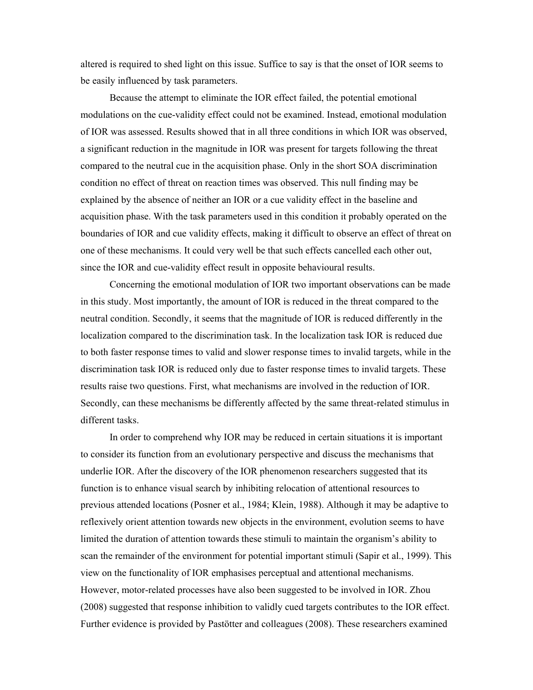altered is required to shed light on this issue. Suffice to say is that the onset of IOR seems to be easily influenced by task parameters.

Because the attempt to eliminate the IOR effect failed, the potential emotional modulations on the cue-validity effect could not be examined. Instead, emotional modulation of IOR was assessed. Results showed that in all three conditions in which IOR was observed, a significant reduction in the magnitude in IOR was present for targets following the threat compared to the neutral cue in the acquisition phase. Only in the short SOA discrimination condition no effect of threat on reaction times was observed. This null finding may be explained by the absence of neither an IOR or a cue validity effect in the baseline and acquisition phase. With the task parameters used in this condition it probably operated on the boundaries of IOR and cue validity effects, making it difficult to observe an effect of threat on one of these mechanisms. It could very well be that such effects cancelled each other out, since the IOR and cue-validity effect result in opposite behavioural results.

Concerning the emotional modulation of IOR two important observations can be made in this study. Most importantly, the amount of IOR is reduced in the threat compared to the neutral condition. Secondly, it seems that the magnitude of IOR is reduced differently in the localization compared to the discrimination task. In the localization task IOR is reduced due to both faster response times to valid and slower response times to invalid targets, while in the discrimination task IOR is reduced only due to faster response times to invalid targets. These results raise two questions. First, what mechanisms are involved in the reduction of IOR. Secondly, can these mechanisms be differently affected by the same threat-related stimulus in different tasks.

In order to comprehend why IOR may be reduced in certain situations it is important to consider its function from an evolutionary perspective and discuss the mechanisms that underlie IOR. After the discovery of the IOR phenomenon researchers suggested that its function is to enhance visual search by inhibiting relocation of attentional resources to previous attended locations (Posner et al., 1984; Klein, 1988). Although it may be adaptive to reflexively orient attention towards new objects in the environment, evolution seems to have limited the duration of attention towards these stimuli to maintain the organism's ability to scan the remainder of the environment for potential important stimuli (Sapir et al., 1999). This view on the functionality of IOR emphasises perceptual and attentional mechanisms. However, motor-related processes have also been suggested to be involved in IOR. Zhou (2008) suggested that response inhibition to validly cued targets contributes to the IOR effect. Further evidence is provided by Pastötter and colleagues (2008). These researchers examined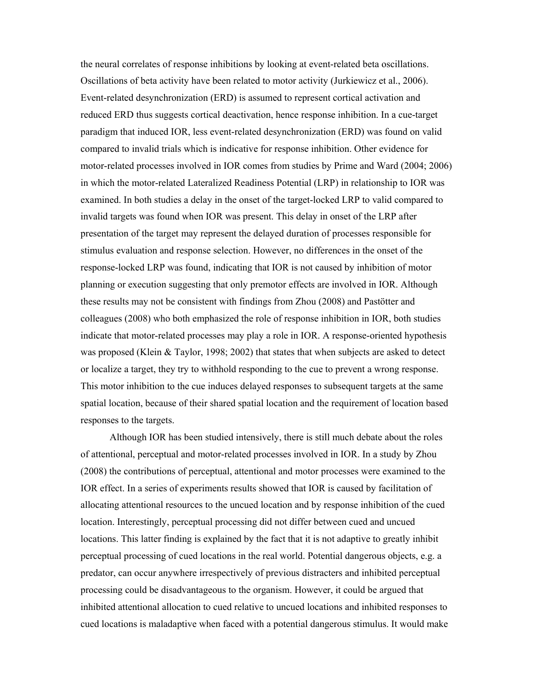the neural correlates of response inhibitions by looking at event-related beta oscillations. Oscillations of beta activity have been related to motor activity (Jurkiewicz et al., 2006). Event-related desynchronization (ERD) is assumed to represent cortical activation and reduced ERD thus suggests cortical deactivation, hence response inhibition. In a cue-target paradigm that induced IOR, less event-related desynchronization (ERD) was found on valid compared to invalid trials which is indicative for response inhibition. Other evidence for motor-related processes involved in IOR comes from studies by Prime and Ward (2004; 2006) in which the motor-related Lateralized Readiness Potential (LRP) in relationship to IOR was examined. In both studies a delay in the onset of the target-locked LRP to valid compared to invalid targets was found when IOR was present. This delay in onset of the LRP after presentation of the target may represent the delayed duration of processes responsible for stimulus evaluation and response selection. However, no differences in the onset of the response-locked LRP was found, indicating that IOR is not caused by inhibition of motor planning or execution suggesting that only premotor effects are involved in IOR. Although these results may not be consistent with findings from Zhou (2008) and Pastötter and colleagues (2008) who both emphasized the role of response inhibition in IOR, both studies indicate that motor-related processes may play a role in IOR. A response-oriented hypothesis was proposed (Klein & Taylor, 1998; 2002) that states that when subjects are asked to detect or localize a target, they try to withhold responding to the cue to prevent a wrong response. This motor inhibition to the cue induces delayed responses to subsequent targets at the same spatial location, because of their shared spatial location and the requirement of location based responses to the targets.

Although IOR has been studied intensively, there is still much debate about the roles of attentional, perceptual and motor-related processes involved in IOR. In a study by Zhou (2008) the contributions of perceptual, attentional and motor processes were examined to the IOR effect. In a series of experiments results showed that IOR is caused by facilitation of allocating attentional resources to the uncued location and by response inhibition of the cued location. Interestingly, perceptual processing did not differ between cued and uncued locations. This latter finding is explained by the fact that it is not adaptive to greatly inhibit perceptual processing of cued locations in the real world. Potential dangerous objects, e.g. a predator, can occur anywhere irrespectively of previous distracters and inhibited perceptual processing could be disadvantageous to the organism. However, it could be argued that inhibited attentional allocation to cued relative to uncued locations and inhibited responses to cued locations is maladaptive when faced with a potential dangerous stimulus. It would make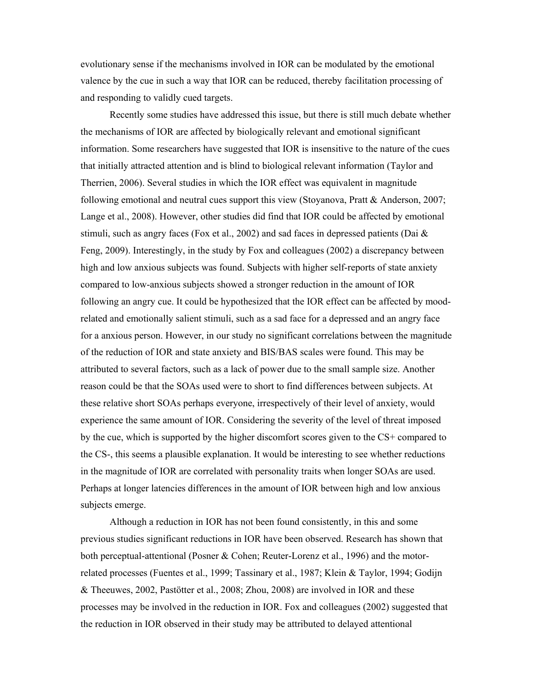evolutionary sense if the mechanisms involved in IOR can be modulated by the emotional valence by the cue in such a way that IOR can be reduced, thereby facilitation processing of and responding to validly cued targets.

Recently some studies have addressed this issue, but there is still much debate whether the mechanisms of IOR are affected by biologically relevant and emotional significant information. Some researchers have suggested that IOR is insensitive to the nature of the cues that initially attracted attention and is blind to biological relevant information (Taylor and Therrien, 2006). Several studies in which the IOR effect was equivalent in magnitude following emotional and neutral cues support this view (Stoyanova, Pratt  $\&$  Anderson, 2007; Lange et al., 2008). However, other studies did find that IOR could be affected by emotional stimuli, such as angry faces (Fox et al., 2002) and sad faces in depressed patients (Dai & Feng, 2009). Interestingly, in the study by Fox and colleagues (2002) a discrepancy between high and low anxious subjects was found. Subjects with higher self-reports of state anxiety compared to low-anxious subjects showed a stronger reduction in the amount of IOR following an angry cue. It could be hypothesized that the IOR effect can be affected by moodrelated and emotionally salient stimuli, such as a sad face for a depressed and an angry face for a anxious person. However, in our study no significant correlations between the magnitude of the reduction of IOR and state anxiety and BIS/BAS scales were found. This may be attributed to several factors, such as a lack of power due to the small sample size. Another reason could be that the SOAs used were to short to find differences between subjects. At these relative short SOAs perhaps everyone, irrespectively of their level of anxiety, would experience the same amount of IOR. Considering the severity of the level of threat imposed by the cue, which is supported by the higher discomfort scores given to the CS+ compared to the CS-, this seems a plausible explanation. It would be interesting to see whether reductions in the magnitude of IOR are correlated with personality traits when longer SOAs are used. Perhaps at longer latencies differences in the amount of IOR between high and low anxious subjects emerge.

Although a reduction in IOR has not been found consistently, in this and some previous studies significant reductions in IOR have been observed. Research has shown that both perceptual-attentional (Posner & Cohen; Reuter-Lorenz et al., 1996) and the motorrelated processes (Fuentes et al., 1999; Tassinary et al., 1987; Klein & Taylor, 1994; Godijn & Theeuwes, 2002, Pastötter et al., 2008; Zhou, 2008) are involved in IOR and these processes may be involved in the reduction in IOR. Fox and colleagues (2002) suggested that the reduction in IOR observed in their study may be attributed to delayed attentional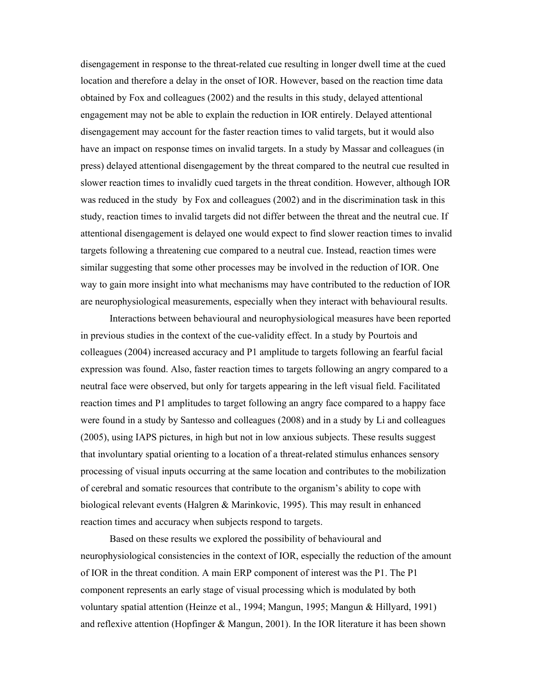disengagement in response to the threat-related cue resulting in longer dwell time at the cued location and therefore a delay in the onset of IOR. However, based on the reaction time data obtained by Fox and colleagues (2002) and the results in this study, delayed attentional engagement may not be able to explain the reduction in IOR entirely. Delayed attentional disengagement may account for the faster reaction times to valid targets, but it would also have an impact on response times on invalid targets. In a study by Massar and colleagues (in press) delayed attentional disengagement by the threat compared to the neutral cue resulted in slower reaction times to invalidly cued targets in the threat condition. However, although IOR was reduced in the study by Fox and colleagues (2002) and in the discrimination task in this study, reaction times to invalid targets did not differ between the threat and the neutral cue. If attentional disengagement is delayed one would expect to find slower reaction times to invalid targets following a threatening cue compared to a neutral cue. Instead, reaction times were similar suggesting that some other processes may be involved in the reduction of IOR. One way to gain more insight into what mechanisms may have contributed to the reduction of IOR are neurophysiological measurements, especially when they interact with behavioural results.

Interactions between behavioural and neurophysiological measures have been reported in previous studies in the context of the cue-validity effect. In a study by Pourtois and colleagues (2004) increased accuracy and P1 amplitude to targets following an fearful facial expression was found. Also, faster reaction times to targets following an angry compared to a neutral face were observed, but only for targets appearing in the left visual field. Facilitated reaction times and P1 amplitudes to target following an angry face compared to a happy face were found in a study by Santesso and colleagues (2008) and in a study by Li and colleagues (2005), using IAPS pictures, in high but not in low anxious subjects. These results suggest that involuntary spatial orienting to a location of a threat-related stimulus enhances sensory processing of visual inputs occurring at the same location and contributes to the mobilization of cerebral and somatic resources that contribute to the organism's ability to cope with biological relevant events (Halgren & Marinkovic, 1995). This may result in enhanced reaction times and accuracy when subjects respond to targets.

Based on these results we explored the possibility of behavioural and neurophysiological consistencies in the context of IOR, especially the reduction of the amount of IOR in the threat condition. A main ERP component of interest was the P1. The P1 component represents an early stage of visual processing which is modulated by both voluntary spatial attention (Heinze et al., 1994; Mangun, 1995; Mangun & Hillyard, 1991) and reflexive attention (Hopfinger & Mangun, 2001). In the IOR literature it has been shown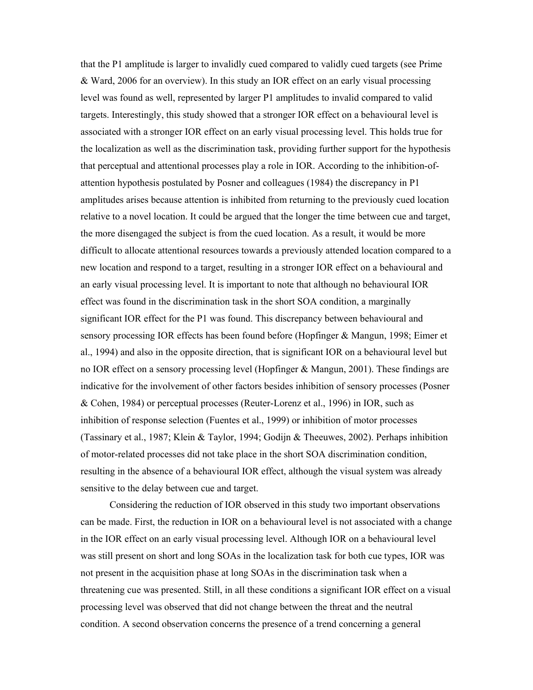that the P1 amplitude is larger to invalidly cued compared to validly cued targets (see Prime & Ward, 2006 for an overview). In this study an IOR effect on an early visual processing level was found as well, represented by larger P1 amplitudes to invalid compared to valid targets. Interestingly, this study showed that a stronger IOR effect on a behavioural level is associated with a stronger IOR effect on an early visual processing level. This holds true for the localization as well as the discrimination task, providing further support for the hypothesis that perceptual and attentional processes play a role in IOR. According to the inhibition-ofattention hypothesis postulated by Posner and colleagues (1984) the discrepancy in P1 amplitudes arises because attention is inhibited from returning to the previously cued location relative to a novel location. It could be argued that the longer the time between cue and target, the more disengaged the subject is from the cued location. As a result, it would be more difficult to allocate attentional resources towards a previously attended location compared to a new location and respond to a target, resulting in a stronger IOR effect on a behavioural and an early visual processing level. It is important to note that although no behavioural IOR effect was found in the discrimination task in the short SOA condition, a marginally significant IOR effect for the P1 was found. This discrepancy between behavioural and sensory processing IOR effects has been found before (Hopfinger & Mangun, 1998; Eimer et al., 1994) and also in the opposite direction, that is significant IOR on a behavioural level but no IOR effect on a sensory processing level (Hopfinger & Mangun, 2001). These findings are indicative for the involvement of other factors besides inhibition of sensory processes (Posner & Cohen, 1984) or perceptual processes (Reuter-Lorenz et al., 1996) in IOR, such as inhibition of response selection (Fuentes et al., 1999) or inhibition of motor processes (Tassinary et al., 1987; Klein & Taylor, 1994; Godijn & Theeuwes, 2002). Perhaps inhibition of motor-related processes did not take place in the short SOA discrimination condition, resulting in the absence of a behavioural IOR effect, although the visual system was already sensitive to the delay between cue and target.

Considering the reduction of IOR observed in this study two important observations can be made. First, the reduction in IOR on a behavioural level is not associated with a change in the IOR effect on an early visual processing level. Although IOR on a behavioural level was still present on short and long SOAs in the localization task for both cue types, IOR was not present in the acquisition phase at long SOAs in the discrimination task when a threatening cue was presented. Still, in all these conditions a significant IOR effect on a visual processing level was observed that did not change between the threat and the neutral condition. A second observation concerns the presence of a trend concerning a general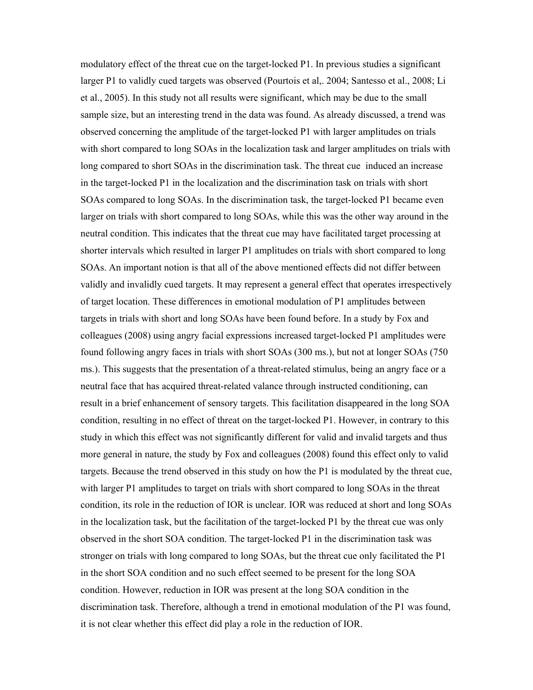modulatory effect of the threat cue on the target-locked P1. In previous studies a significant larger P1 to validly cued targets was observed (Pourtois et al,. 2004; Santesso et al., 2008; Li et al., 2005). In this study not all results were significant, which may be due to the small sample size, but an interesting trend in the data was found. As already discussed, a trend was observed concerning the amplitude of the target-locked P1 with larger amplitudes on trials with short compared to long SOAs in the localization task and larger amplitudes on trials with long compared to short SOAs in the discrimination task. The threat cue induced an increase in the target-locked P1 in the localization and the discrimination task on trials with short SOAs compared to long SOAs. In the discrimination task, the target-locked P1 became even larger on trials with short compared to long SOAs, while this was the other way around in the neutral condition. This indicates that the threat cue may have facilitated target processing at shorter intervals which resulted in larger P1 amplitudes on trials with short compared to long SOAs. An important notion is that all of the above mentioned effects did not differ between validly and invalidly cued targets. It may represent a general effect that operates irrespectively of target location. These differences in emotional modulation of P1 amplitudes between targets in trials with short and long SOAs have been found before. In a study by Fox and colleagues (2008) using angry facial expressions increased target-locked P1 amplitudes were found following angry faces in trials with short SOAs (300 ms.), but not at longer SOAs (750 ms.). This suggests that the presentation of a threat-related stimulus, being an angry face or a neutral face that has acquired threat-related valance through instructed conditioning, can result in a brief enhancement of sensory targets. This facilitation disappeared in the long SOA condition, resulting in no effect of threat on the target-locked P1. However, in contrary to this study in which this effect was not significantly different for valid and invalid targets and thus more general in nature, the study by Fox and colleagues (2008) found this effect only to valid targets. Because the trend observed in this study on how the P1 is modulated by the threat cue, with larger P1 amplitudes to target on trials with short compared to long SOAs in the threat condition, its role in the reduction of IOR is unclear. IOR was reduced at short and long SOAs in the localization task, but the facilitation of the target-locked P1 by the threat cue was only observed in the short SOA condition. The target-locked P1 in the discrimination task was stronger on trials with long compared to long SOAs, but the threat cue only facilitated the P1 in the short SOA condition and no such effect seemed to be present for the long SOA condition. However, reduction in IOR was present at the long SOA condition in the discrimination task. Therefore, although a trend in emotional modulation of the P1 was found, it is not clear whether this effect did play a role in the reduction of IOR.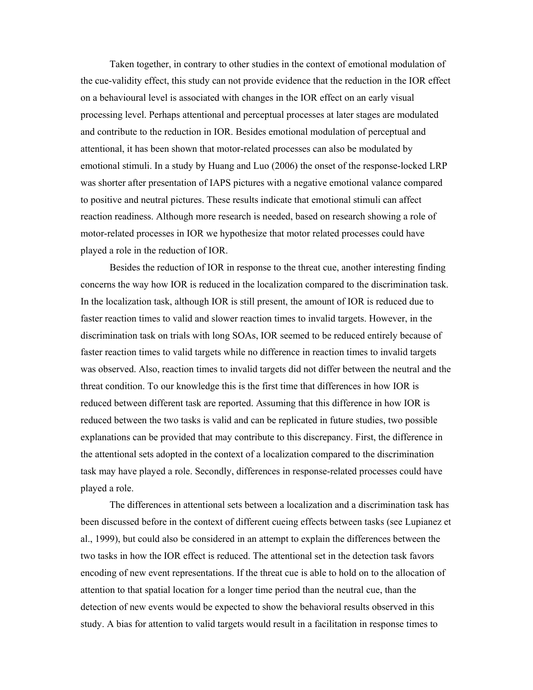Taken together, in contrary to other studies in the context of emotional modulation of the cue-validity effect, this study can not provide evidence that the reduction in the IOR effect on a behavioural level is associated with changes in the IOR effect on an early visual processing level. Perhaps attentional and perceptual processes at later stages are modulated and contribute to the reduction in IOR. Besides emotional modulation of perceptual and attentional, it has been shown that motor-related processes can also be modulated by emotional stimuli. In a study by Huang and Luo (2006) the onset of the response-locked LRP was shorter after presentation of IAPS pictures with a negative emotional valance compared to positive and neutral pictures. These results indicate that emotional stimuli can affect reaction readiness. Although more research is needed, based on research showing a role of motor-related processes in IOR we hypothesize that motor related processes could have played a role in the reduction of IOR.

Besides the reduction of IOR in response to the threat cue, another interesting finding concerns the way how IOR is reduced in the localization compared to the discrimination task. In the localization task, although IOR is still present, the amount of IOR is reduced due to faster reaction times to valid and slower reaction times to invalid targets. However, in the discrimination task on trials with long SOAs, IOR seemed to be reduced entirely because of faster reaction times to valid targets while no difference in reaction times to invalid targets was observed. Also, reaction times to invalid targets did not differ between the neutral and the threat condition. To our knowledge this is the first time that differences in how IOR is reduced between different task are reported. Assuming that this difference in how IOR is reduced between the two tasks is valid and can be replicated in future studies, two possible explanations can be provided that may contribute to this discrepancy. First, the difference in the attentional sets adopted in the context of a localization compared to the discrimination task may have played a role. Secondly, differences in response-related processes could have played a role.

The differences in attentional sets between a localization and a discrimination task has been discussed before in the context of different cueing effects between tasks (see Lupianez et al., 1999), but could also be considered in an attempt to explain the differences between the two tasks in how the IOR effect is reduced. The attentional set in the detection task favors encoding of new event representations. If the threat cue is able to hold on to the allocation of attention to that spatial location for a longer time period than the neutral cue, than the detection of new events would be expected to show the behavioral results observed in this study. A bias for attention to valid targets would result in a facilitation in response times to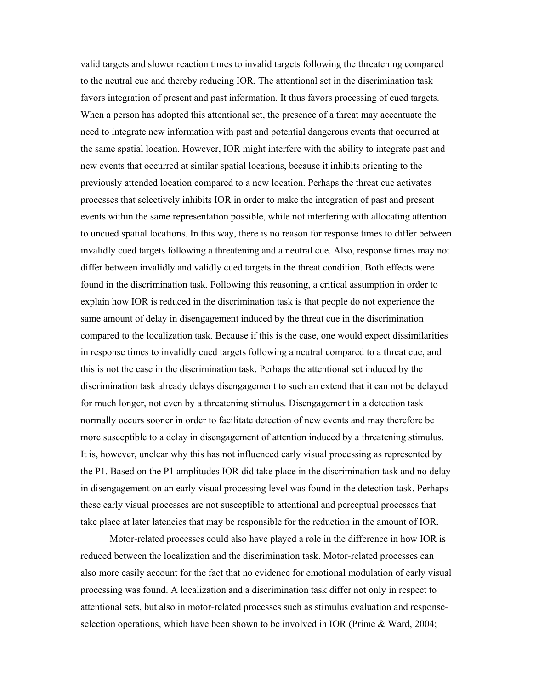valid targets and slower reaction times to invalid targets following the threatening compared to the neutral cue and thereby reducing IOR. The attentional set in the discrimination task favors integration of present and past information. It thus favors processing of cued targets. When a person has adopted this attentional set, the presence of a threat may accentuate the need to integrate new information with past and potential dangerous events that occurred at the same spatial location. However, IOR might interfere with the ability to integrate past and new events that occurred at similar spatial locations, because it inhibits orienting to the previously attended location compared to a new location. Perhaps the threat cue activates processes that selectively inhibits IOR in order to make the integration of past and present events within the same representation possible, while not interfering with allocating attention to uncued spatial locations. In this way, there is no reason for response times to differ between invalidly cued targets following a threatening and a neutral cue. Also, response times may not differ between invalidly and validly cued targets in the threat condition. Both effects were found in the discrimination task. Following this reasoning, a critical assumption in order to explain how IOR is reduced in the discrimination task is that people do not experience the same amount of delay in disengagement induced by the threat cue in the discrimination compared to the localization task. Because if this is the case, one would expect dissimilarities in response times to invalidly cued targets following a neutral compared to a threat cue, and this is not the case in the discrimination task. Perhaps the attentional set induced by the discrimination task already delays disengagement to such an extend that it can not be delayed for much longer, not even by a threatening stimulus. Disengagement in a detection task normally occurs sooner in order to facilitate detection of new events and may therefore be more susceptible to a delay in disengagement of attention induced by a threatening stimulus. It is, however, unclear why this has not influenced early visual processing as represented by the P1. Based on the P1 amplitudes IOR did take place in the discrimination task and no delay in disengagement on an early visual processing level was found in the detection task. Perhaps these early visual processes are not susceptible to attentional and perceptual processes that take place at later latencies that may be responsible for the reduction in the amount of IOR.

Motor-related processes could also have played a role in the difference in how IOR is reduced between the localization and the discrimination task. Motor-related processes can also more easily account for the fact that no evidence for emotional modulation of early visual processing was found. A localization and a discrimination task differ not only in respect to attentional sets, but also in motor-related processes such as stimulus evaluation and responseselection operations, which have been shown to be involved in IOR (Prime & Ward, 2004;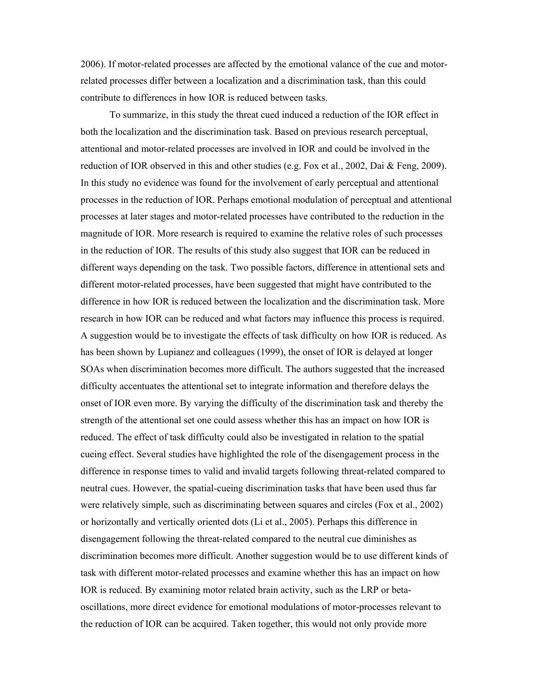2006). If motor-related processes are affected by the emotional valance of the cue and motorrelated processes differ between a localization and a discrimination task, than this could contribute to differences in how IOR is reduced between tasks.

To summarize, in this study the threat cued induced a reduction of the IOR effect in both the localization and the discrimination task. Based on previous research perceptual, attentional and motor-related processes are involved in IOR and could be involved in the reduction of IOR observed in this and other studies (e.g. Fox et al., 2002, Dai & Feng, 2009). In this study no evidence was found for the involvement of early perceptual and attentional processes in the reduction of IOR. Perhaps emotional modulation of perceptual and attentional processes at later stages and motor-related processes have contributed to the reduction in the magnitude of IOR. More research is required to examine the relative roles of such processes in the reduction of IOR. The results of this study also suggest that IOR can be reduced in different ways depending on the task. Two possible factors, difference in attentional sets and different motor-related processes, have been suggested that might have contributed to the difference in how IOR is reduced between the localization and the discrimination task. More research in how IOR can be reduced and what factors may influence this process is required. A suggestion would be to investigate the effects of task difficulty on how IOR is reduced. As has been shown by Lupianez and colleagues (1999), the onset of IOR is delayed at longer SOAs when discrimination becomes more difficult. The authors suggested that the increased difficulty accentuates the attentional set to integrate information and therefore delays the onset of IOR even more. By varying the difficulty of the discrimination task and thereby the strength of the attentional set one could assess whether this has an impact on how IOR is reduced. The effect of task difficulty could also be investigated in relation to the spatial cueing effect. Several studies have highlighted the role of the disengagement process in the difference in response times to valid and invalid targets following threat-related compared to neutral cues. However, the spatial-cueing discrimination tasks that have been used thus far were relatively simple, such as discriminating between squares and circles (Fox et al., 2002) or horizontally and vertically oriented dots (Li et al., 2005). Perhaps this difference in disengagement following the threat-related compared to the neutral cue diminishes as discrimination becomes more difficult. Another suggestion would be to use different kinds of task with different motor-related processes and examine whether this has an impact on how IOR is reduced. By examining motor related brain activity, such as the LRP or betaoscillations, more direct evidence for emotional modulations of motor-processes relevant to the reduction of IOR can be acquired. Taken together, this would not only provide more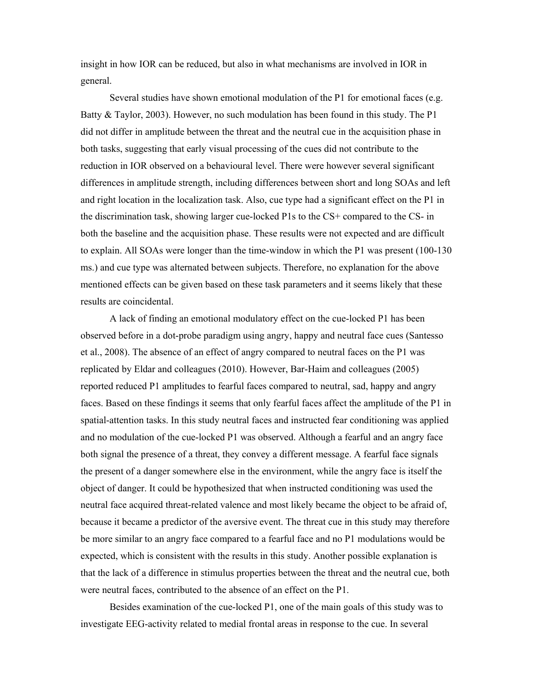insight in how IOR can be reduced, but also in what mechanisms are involved in IOR in general.

Several studies have shown emotional modulation of the P1 for emotional faces (e.g. Batty & Taylor, 2003). However, no such modulation has been found in this study. The P1 did not differ in amplitude between the threat and the neutral cue in the acquisition phase in both tasks, suggesting that early visual processing of the cues did not contribute to the reduction in IOR observed on a behavioural level. There were however several significant differences in amplitude strength, including differences between short and long SOAs and left and right location in the localization task. Also, cue type had a significant effect on the P1 in the discrimination task, showing larger cue-locked P1s to the CS+ compared to the CS- in both the baseline and the acquisition phase. These results were not expected and are difficult to explain. All SOAs were longer than the time-window in which the P1 was present (100-130 ms.) and cue type was alternated between subjects. Therefore, no explanation for the above mentioned effects can be given based on these task parameters and it seems likely that these results are coincidental.

A lack of finding an emotional modulatory effect on the cue-locked P1 has been observed before in a dot-probe paradigm using angry, happy and neutral face cues (Santesso et al., 2008). The absence of an effect of angry compared to neutral faces on the P1 was replicated by Eldar and colleagues (2010). However, Bar-Haim and colleagues (2005) reported reduced P1 amplitudes to fearful faces compared to neutral, sad, happy and angry faces. Based on these findings it seems that only fearful faces affect the amplitude of the P1 in spatial-attention tasks. In this study neutral faces and instructed fear conditioning was applied and no modulation of the cue-locked P1 was observed. Although a fearful and an angry face both signal the presence of a threat, they convey a different message. A fearful face signals the present of a danger somewhere else in the environment, while the angry face is itself the object of danger. It could be hypothesized that when instructed conditioning was used the neutral face acquired threat-related valence and most likely became the object to be afraid of, because it became a predictor of the aversive event. The threat cue in this study may therefore be more similar to an angry face compared to a fearful face and no P1 modulations would be expected, which is consistent with the results in this study. Another possible explanation is that the lack of a difference in stimulus properties between the threat and the neutral cue, both were neutral faces, contributed to the absence of an effect on the P1.

Besides examination of the cue-locked P1, one of the main goals of this study was to investigate EEG-activity related to medial frontal areas in response to the cue. In several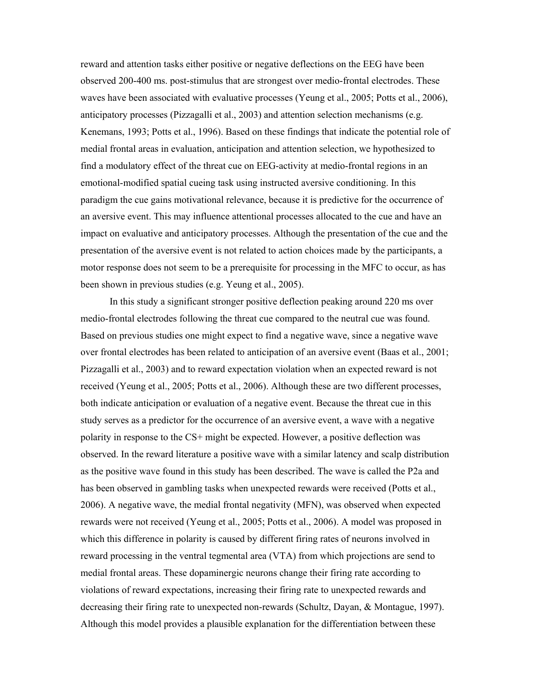reward and attention tasks either positive or negative deflections on the EEG have been observed 200-400 ms. post-stimulus that are strongest over medio-frontal electrodes. These waves have been associated with evaluative processes (Yeung et al., 2005; Potts et al., 2006), anticipatory processes (Pizzagalli et al., 2003) and attention selection mechanisms (e.g. Kenemans, 1993; Potts et al., 1996). Based on these findings that indicate the potential role of medial frontal areas in evaluation, anticipation and attention selection, we hypothesized to find a modulatory effect of the threat cue on EEG-activity at medio-frontal regions in an emotional-modified spatial cueing task using instructed aversive conditioning. In this paradigm the cue gains motivational relevance, because it is predictive for the occurrence of an aversive event. This may influence attentional processes allocated to the cue and have an impact on evaluative and anticipatory processes. Although the presentation of the cue and the presentation of the aversive event is not related to action choices made by the participants, a motor response does not seem to be a prerequisite for processing in the MFC to occur, as has been shown in previous studies (e.g. Yeung et al., 2005).

In this study a significant stronger positive deflection peaking around 220 ms over medio-frontal electrodes following the threat cue compared to the neutral cue was found. Based on previous studies one might expect to find a negative wave, since a negative wave over frontal electrodes has been related to anticipation of an aversive event (Baas et al., 2001; Pizzagalli et al., 2003) and to reward expectation violation when an expected reward is not received (Yeung et al., 2005; Potts et al., 2006). Although these are two different processes, both indicate anticipation or evaluation of a negative event. Because the threat cue in this study serves as a predictor for the occurrence of an aversive event, a wave with a negative polarity in response to the CS+ might be expected. However, a positive deflection was observed. In the reward literature a positive wave with a similar latency and scalp distribution as the positive wave found in this study has been described. The wave is called the P2a and has been observed in gambling tasks when unexpected rewards were received (Potts et al., 2006). A negative wave, the medial frontal negativity (MFN), was observed when expected rewards were not received (Yeung et al., 2005; Potts et al., 2006). A model was proposed in which this difference in polarity is caused by different firing rates of neurons involved in reward processing in the ventral tegmental area (VTA) from which projections are send to medial frontal areas. These dopaminergic neurons change their firing rate according to violations of reward expectations, increasing their firing rate to unexpected rewards and decreasing their firing rate to unexpected non-rewards (Schultz, Dayan, & Montague, 1997). Although this model provides a plausible explanation for the differentiation between these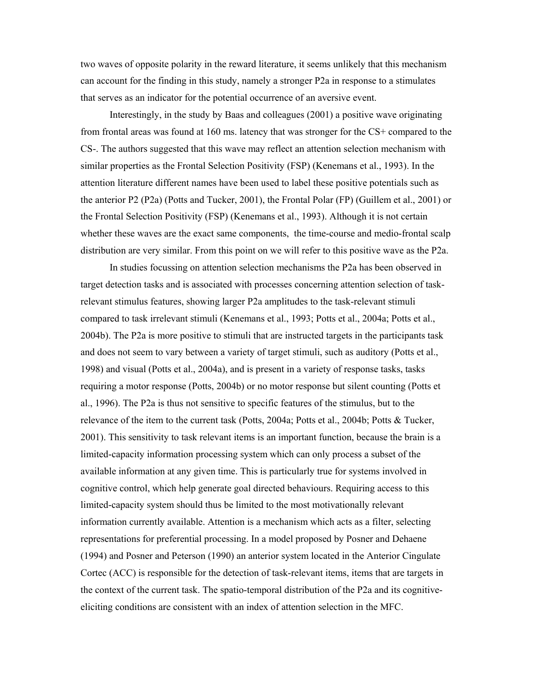two waves of opposite polarity in the reward literature, it seems unlikely that this mechanism can account for the finding in this study, namely a stronger P2a in response to a stimulates that serves as an indicator for the potential occurrence of an aversive event.

Interestingly, in the study by Baas and colleagues (2001) a positive wave originating from frontal areas was found at 160 ms. latency that was stronger for the CS+ compared to the CS-. The authors suggested that this wave may reflect an attention selection mechanism with similar properties as the Frontal Selection Positivity (FSP) (Kenemans et al., 1993). In the attention literature different names have been used to label these positive potentials such as the anterior P2 (P2a) (Potts and Tucker, 2001), the Frontal Polar (FP) (Guillem et al., 2001) or the Frontal Selection Positivity (FSP) (Kenemans et al., 1993). Although it is not certain whether these waves are the exact same components, the time-course and medio-frontal scalp distribution are very similar. From this point on we will refer to this positive wave as the P2a.

In studies focussing on attention selection mechanisms the P2a has been observed in target detection tasks and is associated with processes concerning attention selection of taskrelevant stimulus features, showing larger P2a amplitudes to the task-relevant stimuli compared to task irrelevant stimuli (Kenemans et al., 1993; Potts et al., 2004a; Potts et al., 2004b). The P2a is more positive to stimuli that are instructed targets in the participants task and does not seem to vary between a variety of target stimuli, such as auditory (Potts et al., 1998) and visual (Potts et al., 2004a), and is present in a variety of response tasks, tasks requiring a motor response (Potts, 2004b) or no motor response but silent counting (Potts et al., 1996). The P2a is thus not sensitive to specific features of the stimulus, but to the relevance of the item to the current task (Potts, 2004a; Potts et al., 2004b; Potts & Tucker, 2001). This sensitivity to task relevant items is an important function, because the brain is a limited-capacity information processing system which can only process a subset of the available information at any given time. This is particularly true for systems involved in cognitive control, which help generate goal directed behaviours. Requiring access to this limited-capacity system should thus be limited to the most motivationally relevant information currently available. Attention is a mechanism which acts as a filter, selecting representations for preferential processing. In a model proposed by Posner and Dehaene (1994) and Posner and Peterson (1990) an anterior system located in the Anterior Cingulate Cortec (ACC) is responsible for the detection of task-relevant items, items that are targets in the context of the current task. The spatio-temporal distribution of the P2a and its cognitiveeliciting conditions are consistent with an index of attention selection in the MFC.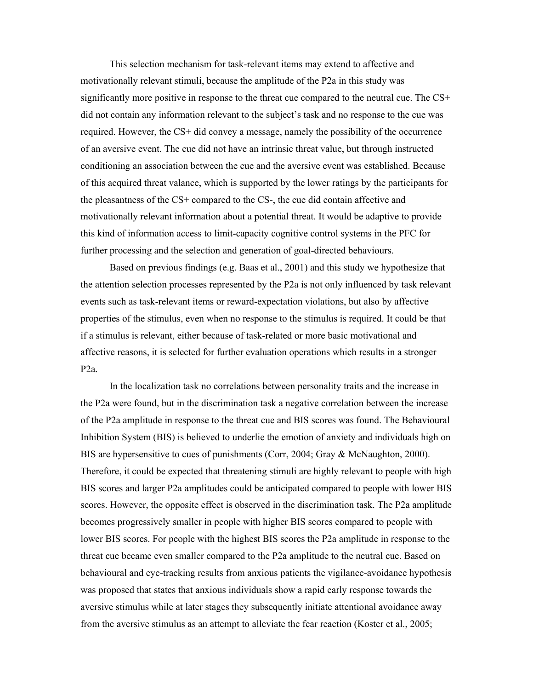This selection mechanism for task-relevant items may extend to affective and motivationally relevant stimuli, because the amplitude of the P2a in this study was significantly more positive in response to the threat cue compared to the neutral cue. The CS+ did not contain any information relevant to the subject's task and no response to the cue was required. However, the CS+ did convey a message, namely the possibility of the occurrence of an aversive event. The cue did not have an intrinsic threat value, but through instructed conditioning an association between the cue and the aversive event was established. Because of this acquired threat valance, which is supported by the lower ratings by the participants for the pleasantness of the CS+ compared to the CS-, the cue did contain affective and motivationally relevant information about a potential threat. It would be adaptive to provide this kind of information access to limit-capacity cognitive control systems in the PFC for further processing and the selection and generation of goal-directed behaviours.

Based on previous findings (e.g. Baas et al., 2001) and this study we hypothesize that the attention selection processes represented by the P2a is not only influenced by task relevant events such as task-relevant items or reward-expectation violations, but also by affective properties of the stimulus, even when no response to the stimulus is required. It could be that if a stimulus is relevant, either because of task-related or more basic motivational and affective reasons, it is selected for further evaluation operations which results in a stronger P2a.

In the localization task no correlations between personality traits and the increase in the P2a were found, but in the discrimination task a negative correlation between the increase of the P2a amplitude in response to the threat cue and BIS scores was found. The Behavioural Inhibition System (BIS) is believed to underlie the emotion of anxiety and individuals high on BIS are hypersensitive to cues of punishments (Corr, 2004; Gray & McNaughton, 2000). Therefore, it could be expected that threatening stimuli are highly relevant to people with high BIS scores and larger P2a amplitudes could be anticipated compared to people with lower BIS scores. However, the opposite effect is observed in the discrimination task. The P2a amplitude becomes progressively smaller in people with higher BIS scores compared to people with lower BIS scores. For people with the highest BIS scores the P2a amplitude in response to the threat cue became even smaller compared to the P2a amplitude to the neutral cue. Based on behavioural and eye-tracking results from anxious patients the vigilance-avoidance hypothesis was proposed that states that anxious individuals show a rapid early response towards the aversive stimulus while at later stages they subsequently initiate attentional avoidance away from the aversive stimulus as an attempt to alleviate the fear reaction (Koster et al., 2005;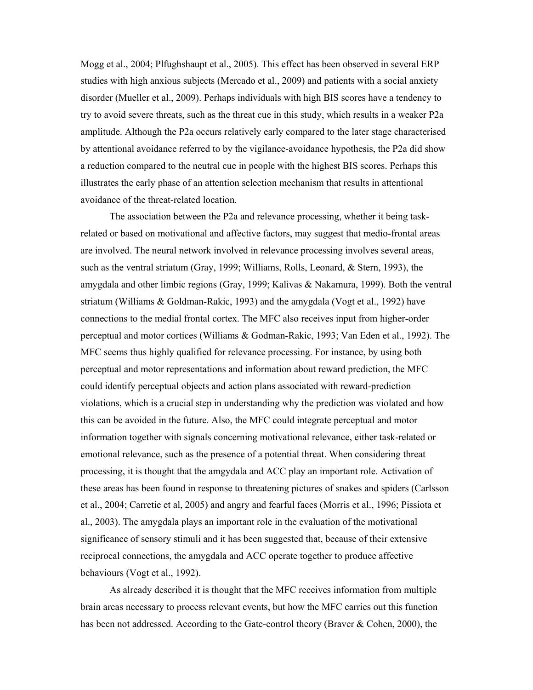Mogg et al., 2004; Plfughshaupt et al., 2005). This effect has been observed in several ERP studies with high anxious subjects (Mercado et al., 2009) and patients with a social anxiety disorder (Mueller et al., 2009). Perhaps individuals with high BIS scores have a tendency to try to avoid severe threats, such as the threat cue in this study, which results in a weaker P2a amplitude. Although the P2a occurs relatively early compared to the later stage characterised by attentional avoidance referred to by the vigilance-avoidance hypothesis, the P2a did show a reduction compared to the neutral cue in people with the highest BIS scores. Perhaps this illustrates the early phase of an attention selection mechanism that results in attentional avoidance of the threat-related location.

The association between the P2a and relevance processing, whether it being taskrelated or based on motivational and affective factors, may suggest that medio-frontal areas are involved. The neural network involved in relevance processing involves several areas, such as the ventral striatum (Gray, 1999; Williams, Rolls, Leonard, & Stern, 1993), the amygdala and other limbic regions (Gray, 1999; Kalivas & Nakamura, 1999). Both the ventral striatum (Williams & Goldman-Rakic, 1993) and the amygdala (Vogt et al., 1992) have connections to the medial frontal cortex. The MFC also receives input from higher-order perceptual and motor cortices (Williams & Godman-Rakic, 1993; Van Eden et al., 1992). The MFC seems thus highly qualified for relevance processing. For instance, by using both perceptual and motor representations and information about reward prediction, the MFC could identify perceptual objects and action plans associated with reward-prediction violations, which is a crucial step in understanding why the prediction was violated and how this can be avoided in the future. Also, the MFC could integrate perceptual and motor information together with signals concerning motivational relevance, either task-related or emotional relevance, such as the presence of a potential threat. When considering threat processing, it is thought that the amgydala and ACC play an important role. Activation of these areas has been found in response to threatening pictures of snakes and spiders (Carlsson et al., 2004; Carretie et al, 2005) and angry and fearful faces (Morris et al., 1996; Pissiota et al., 2003). The amygdala plays an important role in the evaluation of the motivational significance of sensory stimuli and it has been suggested that, because of their extensive reciprocal connections, the amygdala and ACC operate together to produce affective behaviours (Vogt et al., 1992).

As already described it is thought that the MFC receives information from multiple brain areas necessary to process relevant events, but how the MFC carries out this function has been not addressed. According to the Gate-control theory (Braver & Cohen, 2000), the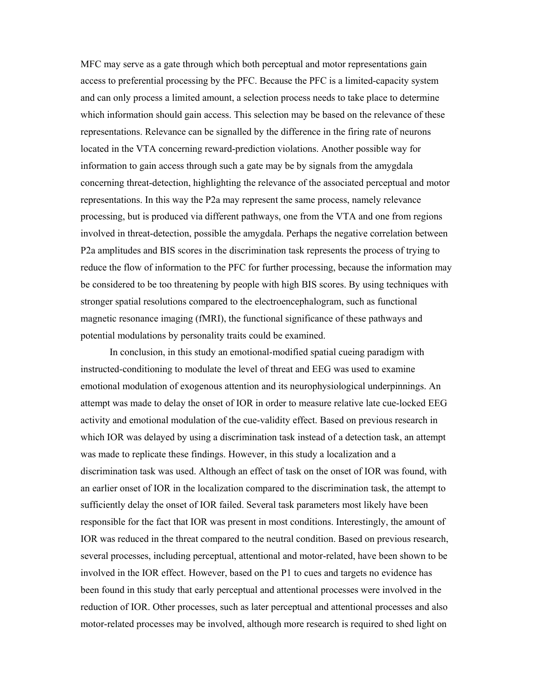MFC may serve as a gate through which both perceptual and motor representations gain access to preferential processing by the PFC. Because the PFC is a limited-capacity system and can only process a limited amount, a selection process needs to take place to determine which information should gain access. This selection may be based on the relevance of these representations. Relevance can be signalled by the difference in the firing rate of neurons located in the VTA concerning reward-prediction violations. Another possible way for information to gain access through such a gate may be by signals from the amygdala concerning threat-detection, highlighting the relevance of the associated perceptual and motor representations. In this way the P2a may represent the same process, namely relevance processing, but is produced via different pathways, one from the VTA and one from regions involved in threat-detection, possible the amygdala. Perhaps the negative correlation between P2a amplitudes and BIS scores in the discrimination task represents the process of trying to reduce the flow of information to the PFC for further processing, because the information may be considered to be too threatening by people with high BIS scores. By using techniques with stronger spatial resolutions compared to the electroencephalogram, such as functional magnetic resonance imaging (fMRI), the functional significance of these pathways and potential modulations by personality traits could be examined.

In conclusion, in this study an emotional-modified spatial cueing paradigm with instructed-conditioning to modulate the level of threat and EEG was used to examine emotional modulation of exogenous attention and its neurophysiological underpinnings. An attempt was made to delay the onset of IOR in order to measure relative late cue-locked EEG activity and emotional modulation of the cue-validity effect. Based on previous research in which IOR was delayed by using a discrimination task instead of a detection task, an attempt was made to replicate these findings. However, in this study a localization and a discrimination task was used. Although an effect of task on the onset of IOR was found, with an earlier onset of IOR in the localization compared to the discrimination task, the attempt to sufficiently delay the onset of IOR failed. Several task parameters most likely have been responsible for the fact that IOR was present in most conditions. Interestingly, the amount of IOR was reduced in the threat compared to the neutral condition. Based on previous research, several processes, including perceptual, attentional and motor-related, have been shown to be involved in the IOR effect. However, based on the P1 to cues and targets no evidence has been found in this study that early perceptual and attentional processes were involved in the reduction of IOR. Other processes, such as later perceptual and attentional processes and also motor-related processes may be involved, although more research is required to shed light on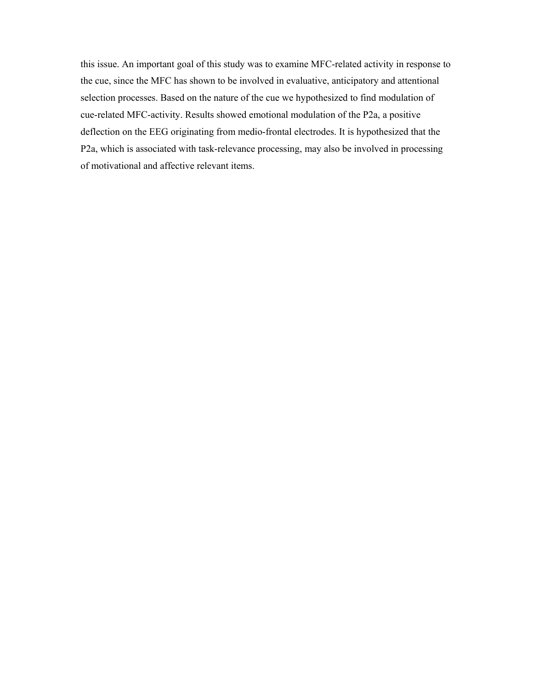this issue. An important goal of this study was to examine MFC-related activity in response to the cue, since the MFC has shown to be involved in evaluative, anticipatory and attentional selection processes. Based on the nature of the cue we hypothesized to find modulation of cue-related MFC-activity. Results showed emotional modulation of the P2a, a positive deflection on the EEG originating from medio-frontal electrodes. It is hypothesized that the P2a, which is associated with task-relevance processing, may also be involved in processing of motivational and affective relevant items.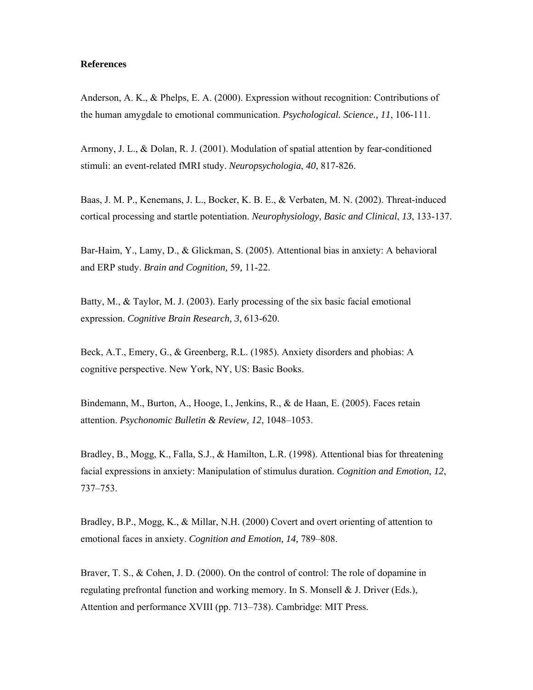### **References**

Anderson, A. K., & Phelps, E. A. (2000). Expression without recognition: Contributions of the human amygdale to emotional communication. *Psychological. Science., 11*, 106-111.

Armony, J. L., & Dolan, R. J. (2001). Modulation of spatial attention by fear-conditioned stimuli: an event-related fMRI study. *Neuropsychologia*, *40*, 817-826.

Baas, J. M. P., Kenemans, J. L., Bocker, K. B. E., & Verbaten, M. N. (2002). Threat-induced cortical processing and startle potentiation. *Neurophysiology, Basic and Clinical*, *13*, 133-137.

Bar-Haim, Y., Lamy, D., & Glickman, S. (2005). Attentional bias in anxiety: A behavioral and ERP study. *Brain and Cognition,* 59*,* 11-22.

Batty, M., & Taylor, M. J. (2003). Early processing of the six basic facial emotional expression. *Cognitive Brain Research, 3*, 613-620.

Beck, A.T., Emery, G., & Greenberg, R.L. (1985). Anxiety disorders and phobias: A cognitive perspective. New York, NY, US: Basic Books.

Bindemann, M., Burton, A., Hooge, I., Jenkins, R., & de Haan, E. (2005). Faces retain attention. *Psychonomic Bulletin & Review, 12*, 1048–1053.

Bradley, B., Mogg, K., Falla, S.J., & Hamilton, L.R. (1998). Attentional bias for threatening facial expressions in anxiety: Manipulation of stimulus duration. *Cognition and Emotion*, *12*, 737–753.

Bradley, B.P., Mogg, K., & Millar, N.H. (2000) Covert and overt orienting of attention to emotional faces in anxiety. *Cognition and Emotion, 14,* 789–808.

Braver, T. S., & Cohen, J. D. (2000). On the control of control: The role of dopamine in regulating prefrontal function and working memory. In S. Monsell & J. Driver (Eds.), Attention and performance XVIII (pp. 713–738). Cambridge: MIT Press.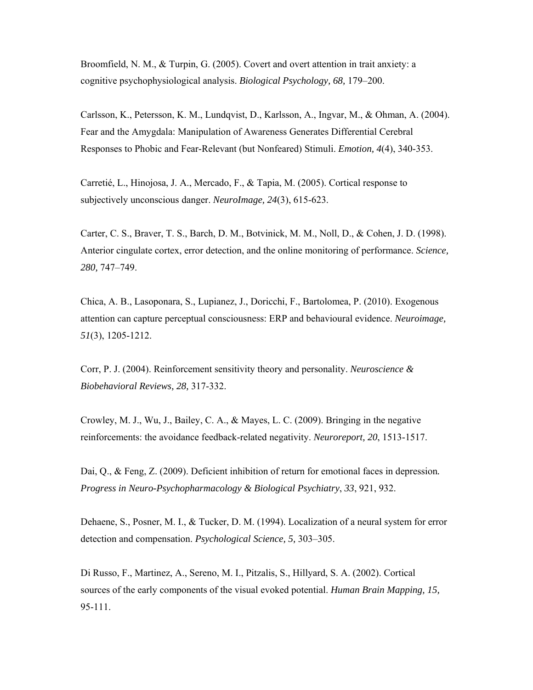Broomfield, N. M., & Turpin, G. (2005). Covert and overt attention in trait anxiety: a cognitive psychophysiological analysis. *Biological Psychology, 68,* 179–200.

Carlsson, K., Petersson, K. M., Lundqvist, D., Karlsson, A., Ingvar, M., & Ohman, A. (2004). Fear and the Amygdala: Manipulation of Awareness Generates Differential Cerebral Responses to Phobic and Fear-Relevant (but Nonfeared) Stimuli. *Emotion, 4*(4), 340-353.

Carretié, L., Hinojosa, J. A., Mercado, F., & Tapia, M. (2005). Cortical response to subjectively unconscious danger. *NeuroImage, 24*(3), 615-623.

Carter, C. S., Braver, T. S., Barch, D. M., Botvinick, M. M., Noll, D., & Cohen, J. D. (1998). Anterior cingulate cortex, error detection, and the online monitoring of performance. *Science, 280,* 747–749.

Chica, A. B., Lasoponara, S., Lupianez, J., Doricchi, F., Bartolomea, P. (2010). Exogenous attention can capture perceptual consciousness: ERP and behavioural evidence. *Neuroimage, 51*(3), 1205-1212.

Corr, P. J. (2004). Reinforcement sensitivity theory and personality. *Neuroscience & Biobehavioral Reviews, 28,* 317-332.

Crowley, M. J., Wu, J., Bailey, C. A., & Mayes, L. C. (2009). Bringing in the negative reinforcements: the avoidance feedback-related negativity. *Neuroreport, 20*, 1513-1517.

Dai, Q., & Feng, Z. (2009). Deficient inhibition of return for emotional faces in depression*. Progress in Neuro-Psychopharmacology & Biological Psychiatry*, *33*, 921, 932.

Dehaene, S., Posner, M. I., & Tucker, D. M. (1994). Localization of a neural system for error detection and compensation. *Psychological Science, 5,* 303–305.

Di Russo, F., Martinez, A., Sereno, M. I., Pitzalis, S., Hillyard, S. A. (2002). Cortical sources of the early components of the visual evoked potential. *Human Brain Mapping, 15,*  95-111.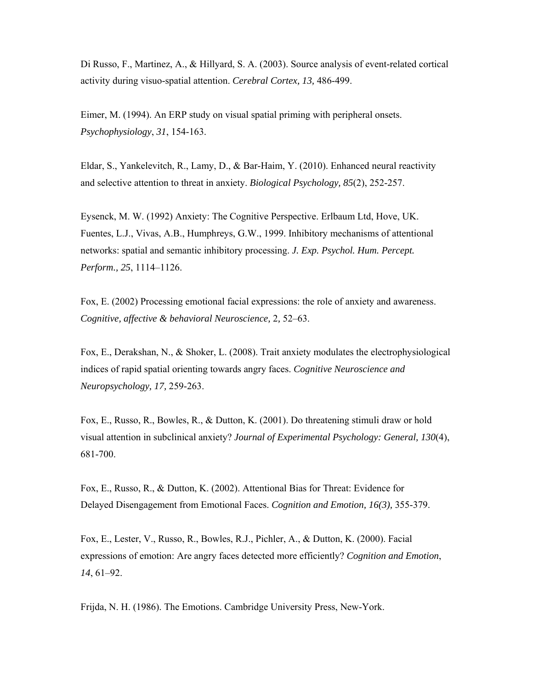Di Russo, F., Martinez, A., & Hillyard, S. A. (2003). Source analysis of event-related cortical activity during visuo-spatial attention. *Cerebral Cortex, 13,* 486-499.

Eimer, M. (1994). An ERP study on visual spatial priming with peripheral onsets. *Psychophysiology*, *31*, 154-163.

Eldar, S., Yankelevitch, R., Lamy, D., & Bar-Haim, Y. (2010). Enhanced neural reactivity and selective attention to threat in anxiety. *Biological Psychology, 85*(2), 252-257.

Eysenck, M. W. (1992) Anxiety: The Cognitive Perspective. Erlbaum Ltd, Hove, UK. Fuentes, L.J., Vivas, A.B., Humphreys, G.W., 1999. Inhibitory mechanisms of attentional networks: spatial and semantic inhibitory processing. *J. Exp. Psychol. Hum. Percept. Perform., 25*, 1114–1126.

Fox, E. (2002) Processing emotional facial expressions: the role of anxiety and awareness. *Cognitive, affective & behavioral Neuroscience,* 2*,* 52–63.

Fox, E., Derakshan, N., & Shoker, L. (2008). Trait anxiety modulates the electrophysiological indices of rapid spatial orienting towards angry faces. *Cognitive Neuroscience and Neuropsychology, 17,* 259-263.

Fox, E., Russo, R., Bowles, R., & Dutton, K. (2001). Do threatening stimuli draw or hold visual attention in subclinical anxiety? *Journal of Experimental Psychology: General, 130*(4), 681-700.

Fox, E., Russo, R., & Dutton, K. (2002). Attentional Bias for Threat: Evidence for Delayed Disengagement from Emotional Faces. *Cognition and Emotion, 16(3),* 355-379.

Fox, E., Lester, V., Russo, R., Bowles, R.J., Pichler, A., & Dutton, K. (2000). Facial expressions of emotion: Are angry faces detected more efficiently? *Cognition and Emotion*, *14*, 61–92.

Frijda, N. H. (1986). The Emotions. Cambridge University Press, New-York.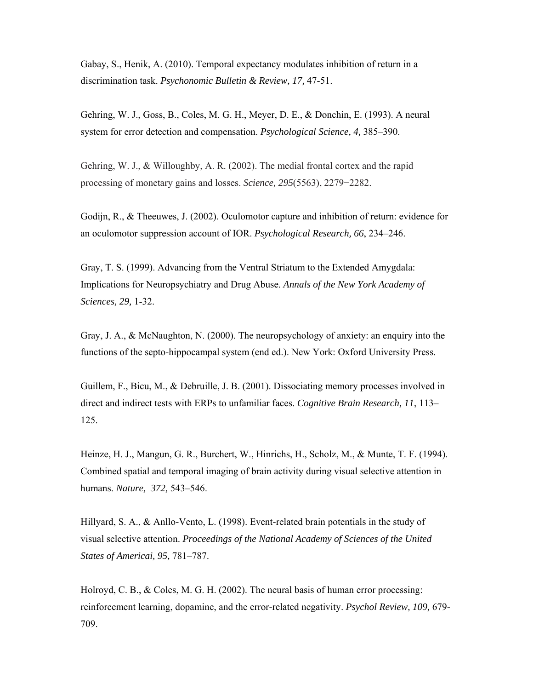Gabay, S., Henik, A. (2010). Temporal expectancy modulates inhibition of return in a discrimination task. *Psychonomic Bulletin & Review, 17,* 47-51.

Gehring, W. J., Goss, B., Coles, M. G. H., Meyer, D. E., & Donchin, E. (1993). A neural system for error detection and compensation. *Psychological Science, 4,* 385–390.

Gehring, W. J., & Willoughby, A. R. (2002). The medial frontal cortex and the rapid processing of monetary gains and losses. *Science, 295*(5563), 2279−2282.

Godijn, R., & Theeuwes, J. (2002). Oculomotor capture and inhibition of return: evidence for an oculomotor suppression account of IOR. *Psychological Research, 66*, 234–246.

Gray, T. S. (1999). Advancing from the Ventral Striatum to the Extended Amygdala: Implications for Neuropsychiatry and Drug Abuse. *Annals of the New York Academy of Sciences, 29,* 1-32.

Gray, J. A., & McNaughton, N. (2000). The neuropsychology of anxiety: an enquiry into the functions of the septo-hippocampal system (end ed.). New York: Oxford University Press.

Guillem, F., Bicu, M., & Debruille, J. B. (2001). Dissociating memory processes involved in direct and indirect tests with ERPs to unfamiliar faces. *Cognitive Brain Research, 11*, 113– 125.

Heinze, H. J., Mangun, G. R., Burchert, W., Hinrichs, H., Scholz, M., & Munte, T. F. (1994). Combined spatial and temporal imaging of brain activity during visual selective attention in humans. *Nature, 372,* 543–546.

Hillyard, S. A., & Anllo-Vento, L. (1998). Event-related brain potentials in the study of visual selective attention. *Proceedings of the National Academy of Sciences of the United States of Americai, 95,* 781–787.

Holroyd, C. B., & Coles, M. G. H. (2002). The neural basis of human error processing: reinforcement learning, dopamine, and the error-related negativity. *Psychol Review, 109,* 679- 709.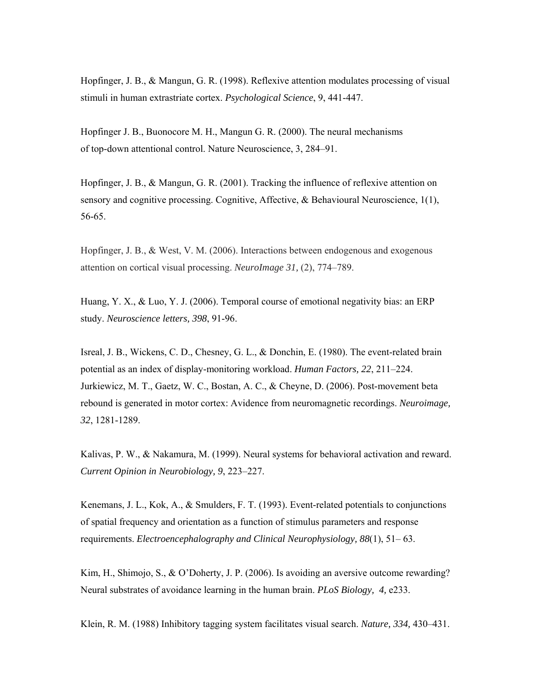Hopfinger, J. B., & Mangun, G. R. (1998). Reflexive attention modulates processing of visual stimuli in human extrastriate cortex. *Psychological Science*, 9, 441-447.

Hopfinger J. B., Buonocore M. H., Mangun G. R. (2000). The neural mechanisms of top-down attentional control. Nature Neuroscience, 3, 284–91.

Hopfinger, J. B., & Mangun, G. R. (2001). Tracking the influence of reflexive attention on sensory and cognitive processing. Cognitive, Affective, & Behavioural Neuroscience, 1(1), 56-65.

Hopfinger, J. B., & West, V. M. (2006). Interactions between endogenous and exogenous attention on cortical visual processing. *NeuroImage 31,* (2), 774–789.

Huang, Y. X., & Luo, Y. J. (2006). Temporal course of emotional negativity bias: an ERP study. *Neuroscience letters, 398*, 91-96.

Isreal, J. B., Wickens, C. D., Chesney, G. L., & Donchin, E. (1980). The event-related brain potential as an index of display-monitoring workload. *Human Factors, 22*, 211–224. Jurkiewicz, M. T., Gaetz, W. C., Bostan, A. C., & Cheyne, D. (2006). Post-movement beta rebound is generated in motor cortex: Avidence from neuromagnetic recordings. *Neuroimage, 32*, 1281-1289.

Kalivas, P. W., & Nakamura, M. (1999). Neural systems for behavioral activation and reward. *Current Opinion in Neurobiology, 9*, 223–227.

Kenemans, J. L., Kok, A., & Smulders, F. T. (1993). Event-related potentials to conjunctions of spatial frequency and orientation as a function of stimulus parameters and response requirements. *Electroencephalography and Clinical Neurophysiology, 88*(1), 51– 63.

Kim, H., Shimojo, S., & O'Doherty, J. P. (2006). Is avoiding an aversive outcome rewarding? Neural substrates of avoidance learning in the human brain. *PLoS Biology, 4,* e233.

Klein, R. M. (1988) Inhibitory tagging system facilitates visual search. *Nature, 334,* 430–431.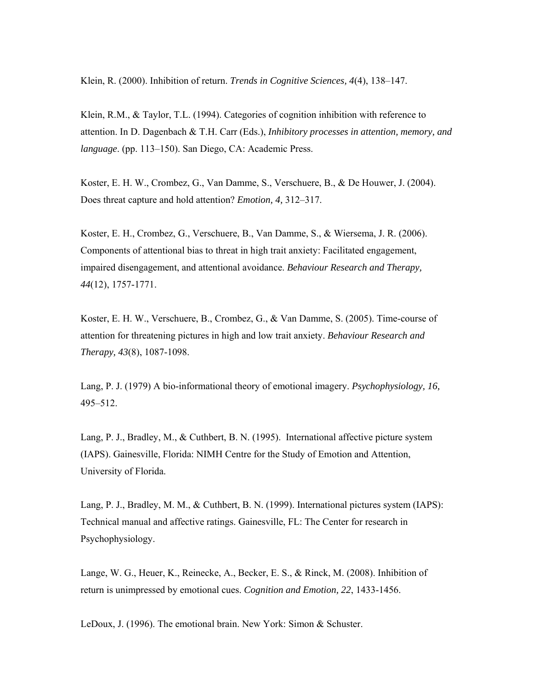Klein, R. (2000). Inhibition of return. *Trends in Cognitive Sciences, 4*(4), 138–147.

Klein, R.M., & Taylor, T.L. (1994). Categories of cognition inhibition with reference to attention. In D. Dagenbach & T.H. Carr (Eds.), *Inhibitory processes in attention, memory, and language*. (pp. 113–150). San Diego, CA: Academic Press.

Koster, E. H. W., Crombez, G., Van Damme, S., Verschuere, B., & De Houwer, J. (2004). Does threat capture and hold attention? *Emotion, 4,* 312–317.

Koster, E. H., Crombez, G., Verschuere, B., Van Damme, S., & Wiersema, J. R. (2006). Components of attentional bias to threat in high trait anxiety: Facilitated engagement, impaired disengagement, and attentional avoidance. *Behaviour Research and Therapy, 44*(12), 1757-1771.

Koster, E. H. W., Verschuere, B., Crombez, G., & Van Damme, S. (2005). Time-course of attention for threatening pictures in high and low trait anxiety. *Behaviour Research and Therapy, 43*(8), 1087-1098.

Lang, P. J. (1979) A bio-informational theory of emotional imagery. *Psychophysiology, 16,* 495–512.

Lang, P. J., Bradley, M., & Cuthbert, B. N. (1995). International affective picture system (IAPS). Gainesville, Florida: NIMH Centre for the Study of Emotion and Attention, University of Florida.

Lang, P. J., Bradley, M. M., & Cuthbert, B. N. (1999). International pictures system (IAPS): Technical manual and affective ratings. Gainesville, FL: The Center for research in Psychophysiology.

Lange, W. G., Heuer, K., Reinecke, A., Becker, E. S., & Rinck, M. (2008). Inhibition of return is unimpressed by emotional cues. *Cognition and Emotion, 22*, 1433-1456.

LeDoux, J. (1996). The emotional brain. New York: Simon & Schuster.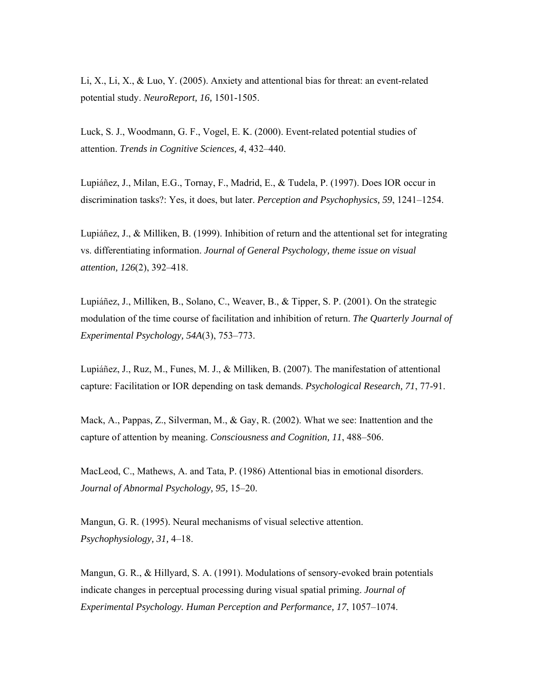Li, X., Li, X., & Luo, Y. (2005). Anxiety and attentional bias for threat: an event-related potential study. *NeuroReport, 16,* 1501-1505.

Luck, S. J., Woodmann, G. F., Vogel, E. K. (2000). Event-related potential studies of attention. *Trends in Cognitive Sciences, 4*, 432–440.

Lupiáñez, J., Milan, E.G., Tornay, F., Madrid, E., & Tudela, P. (1997). Does IOR occur in discrimination tasks?: Yes, it does, but later. *Perception and Psychophysics, 59*, 1241–1254.

Lupiáñez, J., & Milliken, B. (1999). Inhibition of return and the attentional set for integrating vs. differentiating information. *Journal of General Psychology, theme issue on visual attention, 126*(2), 392–418.

Lupiáñez, J., Milliken, B., Solano, C., Weaver, B., & Tipper, S. P. (2001). On the strategic modulation of the time course of facilitation and inhibition of return. *The Quarterly Journal of Experimental Psychology, 54A*(3), 753–773.

Lupiáñez, J., Ruz, M., Funes, M. J., & Milliken, B. (2007). The manifestation of attentional capture: Facilitation or IOR depending on task demands. *Psychological Research, 71*, 77-91.

Mack, A., Pappas, Z., Silverman, M., & Gay, R. (2002). What we see: Inattention and the capture of attention by meaning. *Consciousness and Cognition, 11*, 488–506.

MacLeod, C., Mathews, A. and Tata, P. (1986) Attentional bias in emotional disorders. *Journal of Abnormal Psychology, 95,* 15–20.

Mangun, G. R. (1995). Neural mechanisms of visual selective attention. *Psychophysiology, 31,* 4–18.

Mangun, G. R., & Hillyard, S. A. (1991). Modulations of sensory-evoked brain potentials indicate changes in perceptual processing during visual spatial priming. *Journal of Experimental Psychology. Human Perception and Performance, 17*, 1057–1074.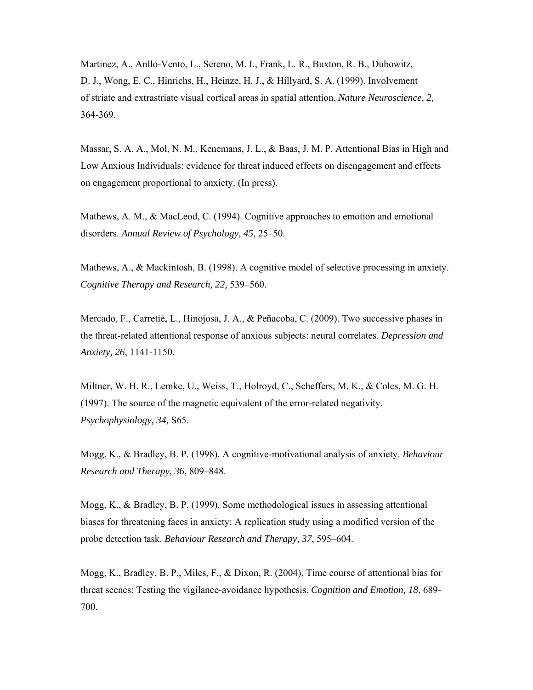Martinez, A., Anllo-Vento, L., Sereno, M. I., Frank, L. R., Buxton, R. B., Dubowitz, D. J., Wong, E. C., Hinrichs, H., Heinze, H. J., & Hillyard, S. A. (1999). Involvement of striate and extrastriate visual cortical areas in spatial attention. *Nature Neuroscience, 2,*  364-369.

Massar, S. A. A., Mol, N. M., Kenemans, J. L., & Baas, J. M. P. Attentional Bias in High and Low Anxious Individuals: evidence for threat induced effects on disengagement and effects on engagement proportional to anxiety. (In press).

Mathews, A. M., & MacLeod, C. (1994). Cognitive approaches to emotion and emotional disorders. *Annual Review of Psychology*, *45*, 25–50.

Mathews, A., & Mackintosh, B. (1998). A cognitive model of selective processing in anxiety. *Cognitive Therapy and Research, 22,* 539–560.

Mercado, F., Carretié, L., Hinojosa, J. A., & Peñacoba, C. (2009). Two successive phases in the threat-related attentional response of anxious subjects: neural correlates. *Depression and Anxiety, 26*, 1141-1150.

Miltner, W. H. R., Lemke, U., Weiss, T., Holroyd, C., Scheffers, M. K., & Coles, M. G. H. (1997). The source of the magnetic equivalent of the error-related negativity. *Psychophysiology, 34,* S65.

Mogg, K., & Bradley, B. P. (1998). A cognitive-motivational analysis of anxiety. *Behaviour Research and Therapy, 36*, 809–848.

Mogg, K., & Bradley, B. P. (1999). Some methodological issues in assessing attentional biases for threatening faces in anxiety: A replication study using a modified version of the probe detection task. *Behaviour Research and Therapy, 37*, 595–604.

Mogg, K., Bradley, B. P., Miles, F., & Dixon, R. (2004). Time course of attentional bias for threat scenes: Testing the vigilance-avoidance hypothesis. *Cognition and Emotion, 18*, 689- 700.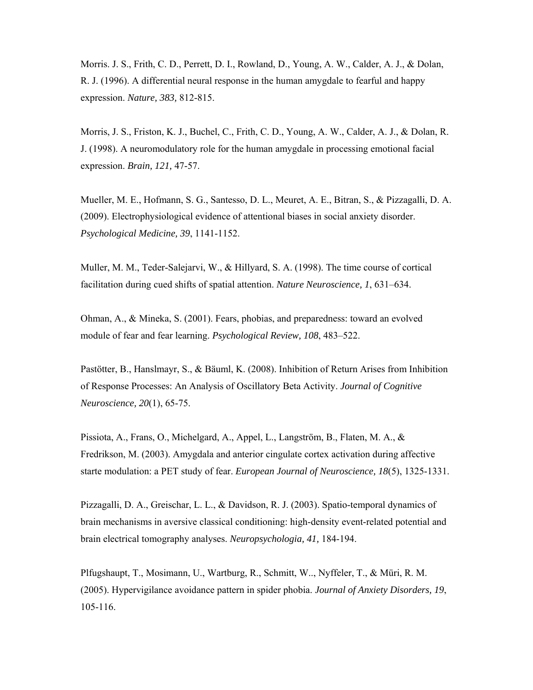Morris. J. S., Frith, C. D., Perrett, D. I., Rowland, D., Young, A. W., Calder, A. J., & Dolan, R. J. (1996). A differential neural response in the human amygdale to fearful and happy expression. *Nature, 383,* 812-815.

Morris, J. S., Friston, K. J., Buchel, C., Frith, C. D., Young, A. W., Calder, A. J., & Dolan, R. J. (1998). A neuromodulatory role for the human amygdale in processing emotional facial expression. *Brain, 121,* 47-57.

Mueller, M. E., Hofmann, S. G., Santesso, D. L., Meuret, A. E., Bitran, S., & Pizzagalli, D. A. (2009). Electrophysiological evidence of attentional biases in social anxiety disorder. *Psychological Medicine, 39*, 1141-1152.

Muller, M. M., Teder-Salejarvi, W., & Hillyard, S. A. (1998). The time course of cortical facilitation during cued shifts of spatial attention. *Nature Neuroscience, 1*, 631–634.

Ohman, A., & Mineka, S. (2001). Fears, phobias, and preparedness: toward an evolved module of fear and fear learning. *Psychological Review, 108*, 483–522.

Pastötter, B., Hanslmayr, S., & Bäuml, K. (2008). Inhibition of Return Arises from Inhibition of Response Processes: An Analysis of Oscillatory Beta Activity. *Journal of Cognitive Neuroscience, 20*(1), 65-75.

Pissiota, A., Frans, O., Michelgard, A., Appel, L., Langström, B., Flaten, M. A., & Fredrikson, M. (2003). Amygdala and anterior cingulate cortex activation during affective starte modulation: a PET study of fear. *European Journal of Neuroscience, 18*(5), 1325-1331.

Pizzagalli, D. A., Greischar, L. L., & Davidson, R. J. (2003). Spatio-temporal dynamics of brain mechanisms in aversive classical conditioning: high-density event-related potential and brain electrical tomography analyses. *Neuropsychologia, 41,* 184-194.

Plfugshaupt, T., Mosimann, U., Wartburg, R., Schmitt, W.., Nyffeler, T., & Müri, R. M. (2005). Hypervigilance avoidance pattern in spider phobia. *Journal of Anxiety Disorders, 19*, 105-116.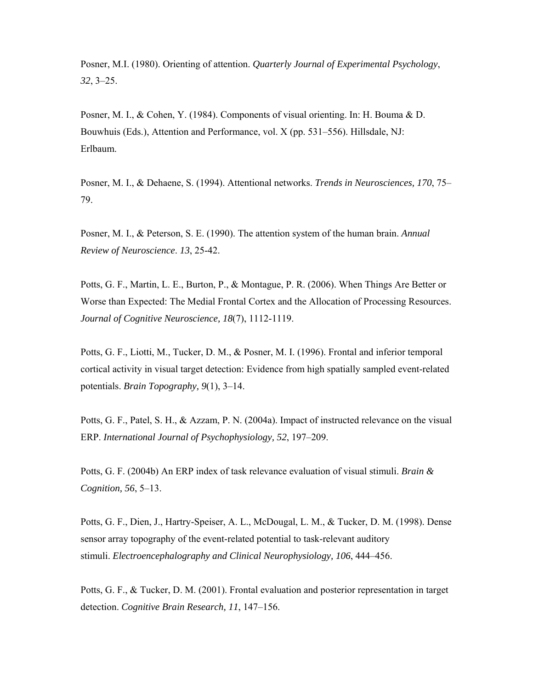Posner, M.I. (1980). Orienting of attention. *Quarterly Journal of Experimental Psychology*, *32*, 3–25.

Posner, M. I., & Cohen, Y. (1984). Components of visual orienting. In: H. Bouma & D. Bouwhuis (Eds.), Attention and Performance, vol. X (pp. 531–556). Hillsdale, NJ: Erlbaum.

Posner, M. I., & Dehaene, S. (1994). Attentional networks. *Trends in Neurosciences, 170*, 75– 79.

Posner, M. I., & Peterson, S. E. (1990). The attention system of the human brain. *Annual Review of Neuroscience*. *13*, 25-42.

Potts, G. F., Martin, L. E., Burton, P., & Montague, P. R. (2006). When Things Are Better or Worse than Expected: The Medial Frontal Cortex and the Allocation of Processing Resources. *Journal of Cognitive Neuroscience, 18*(7), 1112-1119.

Potts, G. F., Liotti, M., Tucker, D. M., & Posner, M. I. (1996). Frontal and inferior temporal cortical activity in visual target detection: Evidence from high spatially sampled event-related potentials. *Brain Topography, 9*(1), 3–14.

Potts, G. F., Patel, S. H., & Azzam, P. N. (2004a). Impact of instructed relevance on the visual ERP. *International Journal of Psychophysiology, 52*, 197–209.

Potts, G. F. (2004b) An ERP index of task relevance evaluation of visual stimuli. *Brain & Cognition, 56*, 5–13.

Potts, G. F., Dien, J., Hartry-Speiser, A. L., McDougal, L. M., & Tucker, D. M. (1998). Dense sensor array topography of the event-related potential to task-relevant auditory stimuli. *Electroencephalography and Clinical Neurophysiology, 106*, 444–456.

Potts, G. F., & Tucker, D. M. (2001). Frontal evaluation and posterior representation in target detection. *Cognitive Brain Research, 11*, 147–156.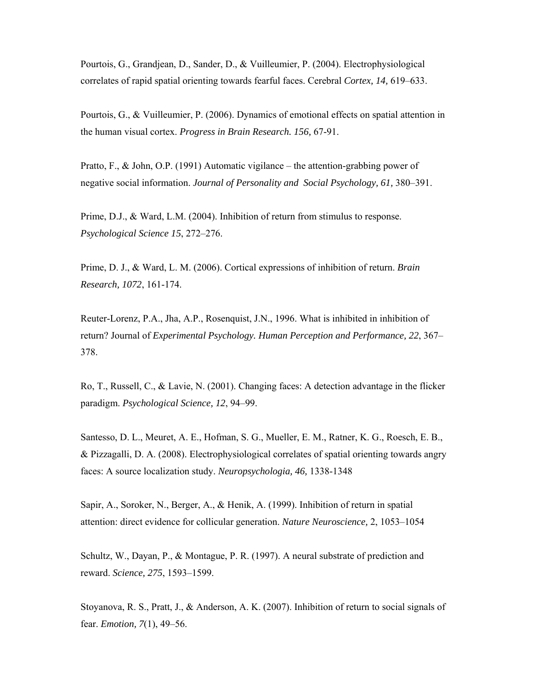Pourtois, G., Grandjean, D., Sander, D., & Vuilleumier, P. (2004). Electrophysiological correlates of rapid spatial orienting towards fearful faces. Cerebral *Cortex, 14,* 619–633.

Pourtois, G., & Vuilleumier, P. (2006). Dynamics of emotional effects on spatial attention in the human visual cortex. *Progress in Brain Research. 156,* 67-91.

Pratto, F., & John, O.P. (1991) Automatic vigilance – the attention-grabbing power of negative social information. *Journal of Personality and Social Psychology, 61,* 380–391.

Prime, D.J., & Ward, L.M. (2004). Inhibition of return from stimulus to response. *Psychological Science 15*, 272–276.

Prime, D. J., & Ward, L. M. (2006). Cortical expressions of inhibition of return. *Brain Research, 1072*, 161-174.

Reuter-Lorenz, P.A., Jha, A.P., Rosenquist, J.N., 1996. What is inhibited in inhibition of return? Journal of *Experimental Psychology. Human Perception and Performance, 22*, 367– 378.

Ro, T., Russell, C., & Lavie, N. (2001). Changing faces: A detection advantage in the flicker paradigm. *Psychological Science, 12*, 94–99.

Santesso, D. L., Meuret, A. E., Hofman, S. G., Mueller, E. M., Ratner, K. G., Roesch, E. B., & Pizzagalli, D. A. (2008). Electrophysiological correlates of spatial orienting towards angry faces: A source localization study. *Neuropsychologia, 46,* 1338-1348

Sapir, A., Soroker, N., Berger, A., & Henik, A. (1999). Inhibition of return in spatial attention: direct evidence for collicular generation. *Nature Neuroscience,* 2, 1053–1054

Schultz, W., Dayan, P., & Montague, P. R. (1997). A neural substrate of prediction and reward. *Science, 275*, 1593–1599.

Stoyanova, R. S., Pratt, J., & Anderson, A. K. (2007). Inhibition of return to social signals of fear. *Emotion, 7*(1), 49–56.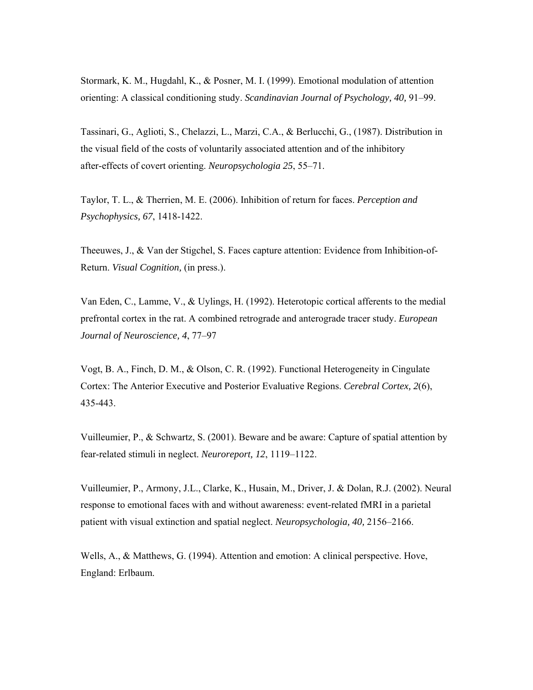Stormark, K. M., Hugdahl, K., & Posner, M. I. (1999). Emotional modulation of attention orienting: A classical conditioning study. *Scandinavian Journal of Psychology, 40,* 91–99.

Tassinari, G., Aglioti, S., Chelazzi, L., Marzi, C.A., & Berlucchi, G., (1987). Distribution in the visual field of the costs of voluntarily associated attention and of the inhibitory after-effects of covert orienting. *Neuropsychologia 25*, 55–71.

Taylor, T. L., & Therrien, M. E. (2006). Inhibition of return for faces. *Perception and Psychophysics, 67*, 1418-1422.

Theeuwes, J., & Van der Stigchel, S. Faces capture attention: Evidence from Inhibition-of-Return. *Visual Cognition,* (in press.).

Van Eden, C., Lamme, V., & Uylings, H. (1992). Heterotopic cortical afferents to the medial prefrontal cortex in the rat. A combined retrograde and anterograde tracer study. *European Journal of Neuroscience, 4*, 77–97

Vogt, B. A., Finch, D. M., & Olson, C. R. (1992). Functional Heterogeneity in Cingulate Cortex: The Anterior Executive and Posterior Evaluative Regions. *Cerebral Cortex, 2*(6), 435-443.

Vuilleumier, P., & Schwartz, S. (2001). Beware and be aware: Capture of spatial attention by fear-related stimuli in neglect. *Neuroreport, 12*, 1119–1122.

Vuilleumier, P., Armony, J.L., Clarke, K., Husain, M., Driver, J. & Dolan, R.J. (2002). Neural response to emotional faces with and without awareness: event-related fMRI in a parietal patient with visual extinction and spatial neglect. *Neuropsychologia, 40,* 2156–2166.

Wells, A., & Matthews, G. (1994). Attention and emotion: A clinical perspective. Hove, England: Erlbaum.